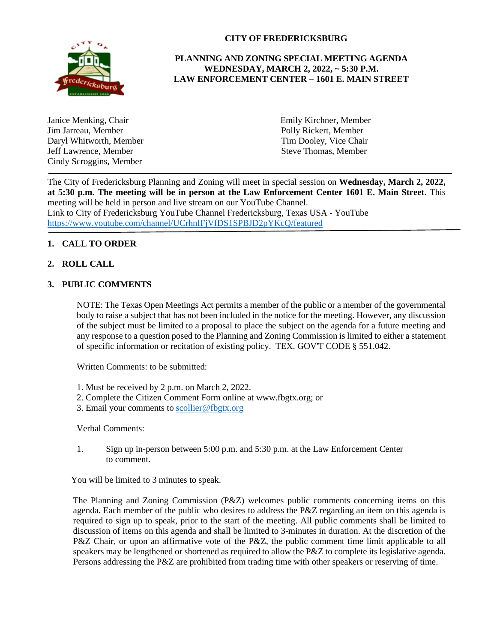

# **CITY OF FREDERICKSBURG**

# **PLANNING AND ZONING SPECIAL MEETING AGENDA WEDNESDAY, MARCH 2, 2022, ~ 5:30 P.M. LAW ENFORCEMENT CENTER – 1601 E. MAIN STREET**

Jim Jarreau, Member Polly Rickert, Member Daryl Whitworth, Member Tim Dooley, Vice Chair<br>
Jeff Lawrence, Member Steve Thomas, Member Jeff Lawrence, Member Cindy Scroggins, Member

Janice Menking, Chair Emily Kirchner, Member

The City of Fredericksburg Planning and Zoning will meet in special session on **Wednesday, March 2, 2022, at 5:30 p.m. The meeting will be in person at the Law Enforcement Center 1601 E. Main Street**. This meeting will be held in person and live stream on our YouTube Channel. Link to City of Fredericksburg YouTube Channel Fredericksburg, Texas USA - YouTube

https://www.youtube.com/channel/UCrhnIFjVfDS1SPBJD2pYKcQ/featured

# **1. CALL TO ORDER**

# **2. ROLL CALL**

# **3. PUBLIC COMMENTS**

NOTE: The Texas Open Meetings Act permits a member of the public or a member of the governmental body to raise a subject that has not been included in the notice for the meeting. However, any discussion of the subject must be limited to a proposal to place the subject on the agenda for a future meeting and any response to a question posed to the Planning and Zoning Commission is limited to either a statement of specific information or recitation of existing policy. TEX. GOV'T CODE § 551.042.

Written Comments: to be submitted:

- 1. Must be received by 2 p.m. on March 2, 2022.
- 2. Complete the Citizen Comment Form online at www.fbgtx.org; or
- 3. Email your comments to scollier@fbgtx.org

Verbal Comments:

1. Sign up in-person between 5:00 p.m. and 5:30 p.m. at the Law Enforcement Center to comment.

You will be limited to 3 minutes to speak.

The Planning and Zoning Commission (P&Z) welcomes public comments concerning items on this agenda. Each member of the public who desires to address the P&Z regarding an item on this agenda is required to sign up to speak, prior to the start of the meeting. All public comments shall be limited to discussion of items on this agenda and shall be limited to 3-minutes in duration. At the discretion of the P&Z Chair, or upon an affirmative vote of the P&Z, the public comment time limit applicable to all speakers may be lengthened or shortened as required to allow the P&Z to complete its legislative agenda. Persons addressing the P&Z are prohibited from trading time with other speakers or reserving of time.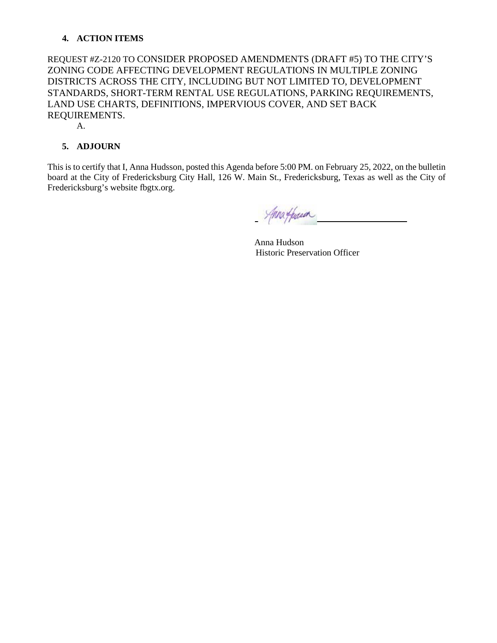# **4. ACTION ITEMS**

REQUEST #Z-2120 TO CONSIDER PROPOSED AMENDMENTS (DRAFT #5) TO THE CITY'S ZONING CODE AFFECTING DEVELOPMENT REGULATIONS IN MULTIPLE ZONING DISTRICTS ACROSS THE CITY, INCLUDING BUT NOT LIMITED TO, DEVELOPMENT STANDARDS, SHORT-TERM RENTAL USE REGULATIONS, PARKING REQUIREMENTS, LAND USE CHARTS, DEFINITIONS, IMPERVIOUS COVER, AND SET BACK REQUIREMENTS.

A.

# **5. ADJOURN**

This is to certify that I, Anna Hudsson, posted this Agenda before 5:00 PM. on February 25, 2022, on the bulletin board at the City of Fredericksburg City Hall, 126 W. Main St., Fredericksburg, Texas as well as the City of Fredericksburg's website fbgtx.org.

Anathusen

Anna Hudson Historic Preservation Officer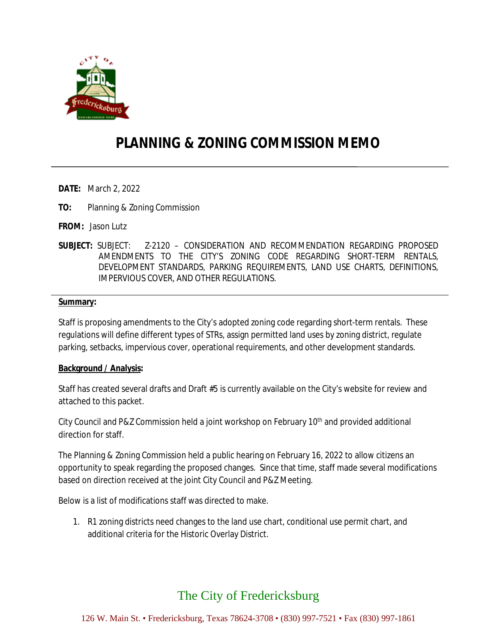

# **PLANNING & ZONING COMMISSION MEMO**

- **DATE:** March 2, 2022
- **TO:** Planning & Zoning Commission
- **FROM:** Jason Lutz
- **SUBJECT:** SUBJECT: Z-2120 CONSIDERATION AND RECOMMENDATION REGARDING PROPOSED AMENDMENTS TO THE CITY'S ZONING CODE REGARDING SHORT-TERM RENTALS, DEVELOPMENT STANDARDS, PARKING REQUIREMENTS, LAND USE CHARTS, DEFINITIONS, IMPERVIOUS COVER, AND OTHER REGULATIONS.

## **Summary:**

Staff is proposing amendments to the City's adopted zoning code regarding short-term rentals. These regulations will define different types of STRs, assign permitted land uses by zoning district, regulate parking, setbacks, impervious cover, operational requirements, and other development standards.

# **Background / Analysis:**

Staff has created several drafts and Draft #5 is currently available on the City's website for review and attached to this packet.

City Council and P&Z Commission held a joint workshop on February 10<sup>th</sup> and provided additional direction for staff.

The Planning & Zoning Commission held a public hearing on February 16, 2022 to allow citizens an opportunity to speak regarding the proposed changes. Since that time, staff made several modifications based on direction received at the joint City Council and P&Z Meeting.

Below is a list of modifications staff was directed to make.

1. R1 zoning districts need changes to the land use chart, conditional use permit chart, and additional criteria for the Historic Overlay District.

# The City of Fredericksburg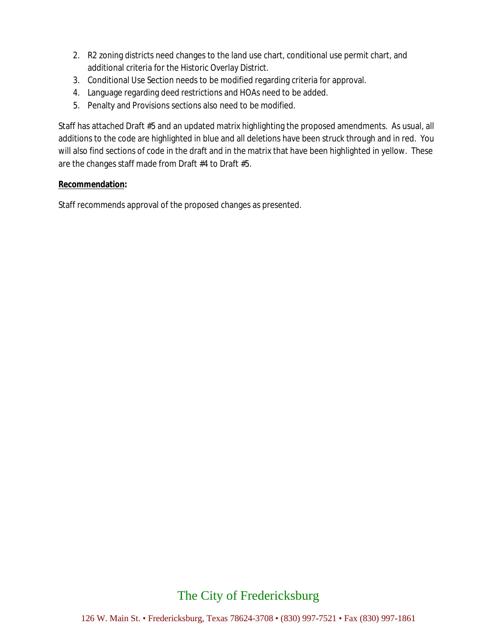- 2. R2 zoning districts need changes to the land use chart, conditional use permit chart, and additional criteria for the Historic Overlay District.
- 3. Conditional Use Section needs to be modified regarding criteria for approval.
- 4. Language regarding deed restrictions and HOAs need to be added.
- 5. Penalty and Provisions sections also need to be modified.

Staff has attached Draft #5 and an updated matrix highlighting the proposed amendments. As usual, all additions to the code are highlighted in blue and all deletions have been struck through and in red. You will also find sections of code in the draft and in the matrix that have been highlighted in yellow. These are the changes staff made from Draft #4 to Draft #5.

# **Recommendation:**

Staff recommends approval of the proposed changes as presented.

# The City of Fredericksburg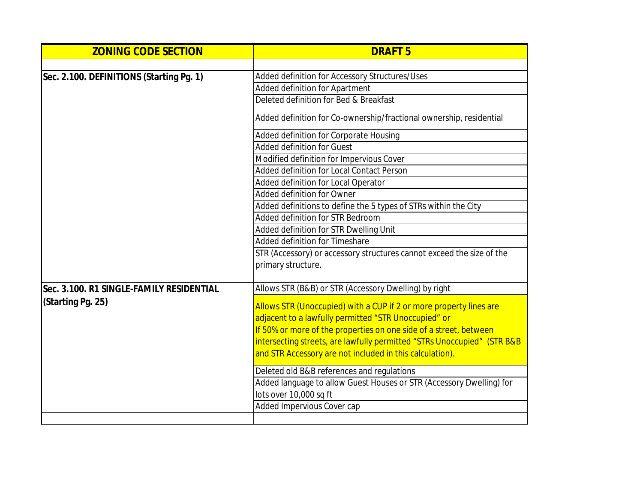| <b>ZONING CODE SECTION</b>               | <b>DRAFT5</b>                                                                                                                                                                                   |
|------------------------------------------|-------------------------------------------------------------------------------------------------------------------------------------------------------------------------------------------------|
|                                          |                                                                                                                                                                                                 |
| Sec. 2.100. DEFINITIONS (Starting Pg. 1) | Added definition for Accessory Structures/Uses                                                                                                                                                  |
|                                          | Added definition for Apartment                                                                                                                                                                  |
|                                          | Deleted definition for Bed & Breakfast                                                                                                                                                          |
|                                          | Added definition for Co-ownership/fractional ownership, residential                                                                                                                             |
|                                          | Added definition for Corporate Housing                                                                                                                                                          |
|                                          | <b>Added definition for Guest</b>                                                                                                                                                               |
|                                          | Modified definition for Impervious Cover                                                                                                                                                        |
|                                          | Added definition for Local Contact Person                                                                                                                                                       |
|                                          | Added definition for Local Operator                                                                                                                                                             |
|                                          | Added definition for Owner                                                                                                                                                                      |
|                                          | Added definitions to define the 5 types of STRs within the City                                                                                                                                 |
|                                          | Added definition for STR Bedroom                                                                                                                                                                |
|                                          | Added definition for STR Dwelling Unit                                                                                                                                                          |
|                                          | Added definition for Timeshare                                                                                                                                                                  |
|                                          | STR (Accessory) or accessory structures cannot exceed the size of the                                                                                                                           |
|                                          | primary structure.                                                                                                                                                                              |
|                                          |                                                                                                                                                                                                 |
| Sec. 3.100. R1 SINGLE-FAMILY RESIDENTIAL | Allows STR (B&B) or STR (Accessory Dwelling) by right                                                                                                                                           |
| (Starting Pg. 25)                        | Allows STR (Unoccupied) with a CUP if 2 or more property lines are<br>adjacent to a lawfully permitted "STR Unoccupied" or<br>If 50% or more of the properties on one side of a street, between |
|                                          | intersecting streets, are lawfully permitted "STRs Unoccupied" (STR B&B                                                                                                                         |
|                                          | and STR Accessory are not included in this calculation).                                                                                                                                        |
|                                          |                                                                                                                                                                                                 |
|                                          | Deleted old B&B references and regulations                                                                                                                                                      |
|                                          | Added language to allow Guest Houses or STR (Accessory Dwelling) for                                                                                                                            |
|                                          | lots over 10,000 sq ft                                                                                                                                                                          |
|                                          | Added Impervious Cover cap                                                                                                                                                                      |
|                                          |                                                                                                                                                                                                 |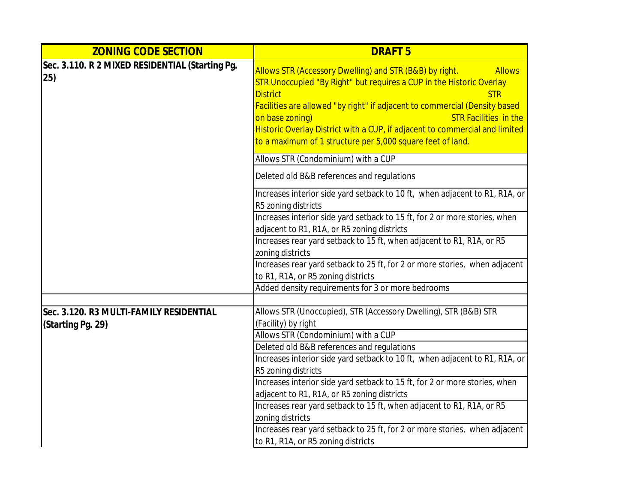| <b>ZONING CODE SECTION</b>                                   | <b>DRAFT5</b>                                                                                                                                                                                                                                                                                                                                                                                                                                                   |
|--------------------------------------------------------------|-----------------------------------------------------------------------------------------------------------------------------------------------------------------------------------------------------------------------------------------------------------------------------------------------------------------------------------------------------------------------------------------------------------------------------------------------------------------|
| Sec. 3.110. R 2 MIXED RESIDENTIAL (Starting Pg.<br>25)       | Allows STR (Accessory Dwelling) and STR (B&B) by right.<br><b>Allows</b><br>STR Unoccupied "By Right" but requires a CUP in the Historic Overlay<br><b>District</b><br><b>STR</b><br>Facilities are allowed "by right" if adjacent to commercial (Density based<br>on base zoning)<br><b>STR Facilities in the</b><br>Historic Overlay District with a CUP, if adjacent to commercial and limited<br>to a maximum of 1 structure per 5,000 square feet of land. |
|                                                              | Allows STR (Condominium) with a CUP                                                                                                                                                                                                                                                                                                                                                                                                                             |
|                                                              | Deleted old B&B references and regulations                                                                                                                                                                                                                                                                                                                                                                                                                      |
|                                                              | Increases interior side yard setback to 10 ft, when adjacent to R1, R1A, or<br>R5 zoning districts                                                                                                                                                                                                                                                                                                                                                              |
|                                                              | Increases interior side yard setback to 15 ft, for 2 or more stories, when<br>adjacent to R1, R1A, or R5 zoning districts                                                                                                                                                                                                                                                                                                                                       |
|                                                              | Increases rear yard setback to 15 ft, when adjacent to R1, R1A, or R5<br>zoning districts                                                                                                                                                                                                                                                                                                                                                                       |
|                                                              | Increases rear yard setback to 25 ft, for 2 or more stories, when adjacent<br>to R1, R1A, or R5 zoning districts                                                                                                                                                                                                                                                                                                                                                |
|                                                              | Added density requirements for 3 or more bedrooms                                                                                                                                                                                                                                                                                                                                                                                                               |
|                                                              |                                                                                                                                                                                                                                                                                                                                                                                                                                                                 |
| Sec. 3.120. R3 MULTI-FAMILY RESIDENTIAL<br>(Starting Pg. 29) | Allows STR (Unoccupied), STR (Accessory Dwelling), STR (B&B) STR<br>(Facility) by right                                                                                                                                                                                                                                                                                                                                                                         |
|                                                              | Allows STR (Condominium) with a CUP                                                                                                                                                                                                                                                                                                                                                                                                                             |
|                                                              | Deleted old B&B references and regulations                                                                                                                                                                                                                                                                                                                                                                                                                      |
|                                                              | Increases interior side yard setback to 10 ft, when adjacent to R1, R1A, or                                                                                                                                                                                                                                                                                                                                                                                     |
|                                                              | R5 zoning districts                                                                                                                                                                                                                                                                                                                                                                                                                                             |
|                                                              | Increases interior side yard setback to 15 ft, for 2 or more stories, when                                                                                                                                                                                                                                                                                                                                                                                      |
|                                                              | adjacent to R1, R1A, or R5 zoning districts                                                                                                                                                                                                                                                                                                                                                                                                                     |
|                                                              | Increases rear yard setback to 15 ft, when adjacent to R1, R1A, or R5<br>zoning districts                                                                                                                                                                                                                                                                                                                                                                       |
|                                                              | Increases rear yard setback to 25 ft, for 2 or more stories, when adjacent                                                                                                                                                                                                                                                                                                                                                                                      |
|                                                              | to R1, R1A, or R5 zoning districts                                                                                                                                                                                                                                                                                                                                                                                                                              |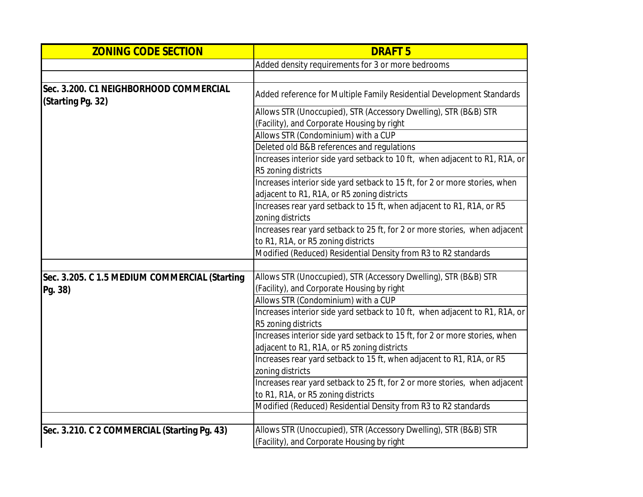| <b>ZONING CODE SECTION</b>                                  | <b>DRAFT 5</b>                                                                            |
|-------------------------------------------------------------|-------------------------------------------------------------------------------------------|
|                                                             | Added density requirements for 3 or more bedrooms                                         |
|                                                             |                                                                                           |
| Sec. 3.200. C1 NEIGHBORHOOD COMMERCIAL<br>(Starting Pg. 32) | Added reference for Multiple Family Residential Development Standards                     |
|                                                             | Allows STR (Unoccupied), STR (Accessory Dwelling), STR (B&B) STR                          |
|                                                             | (Facility), and Corporate Housing by right                                                |
|                                                             | Allows STR (Condominium) with a CUP                                                       |
|                                                             | Deleted old B&B references and regulations                                                |
|                                                             | Increases interior side yard setback to 10 ft, when adjacent to R1, R1A, or               |
|                                                             | R5 zoning districts                                                                       |
|                                                             | Increases interior side yard setback to 15 ft, for 2 or more stories, when                |
|                                                             | adjacent to R1, R1A, or R5 zoning districts                                               |
|                                                             | Increases rear yard setback to 15 ft, when adjacent to R1, R1A, or R5                     |
|                                                             | zoning districts                                                                          |
|                                                             | Increases rear yard setback to 25 ft, for 2 or more stories, when adjacent                |
|                                                             | to R1, R1A, or R5 zoning districts                                                        |
|                                                             | Modified (Reduced) Residential Density from R3 to R2 standards                            |
|                                                             |                                                                                           |
| Sec. 3.205. C 1.5 MEDIUM COMMERCIAL (Starting               | Allows STR (Unoccupied), STR (Accessory Dwelling), STR (B&B) STR                          |
| Pq. 38)                                                     | (Facility), and Corporate Housing by right                                                |
|                                                             | Allows STR (Condominium) with a CUP                                                       |
|                                                             | Increases interior side yard setback to 10 ft, when adjacent to R1, R1A, or               |
|                                                             | R5 zoning districts                                                                       |
|                                                             | Increases interior side yard setback to 15 ft, for 2 or more stories, when                |
|                                                             | adjacent to R1, R1A, or R5 zoning districts                                               |
|                                                             | Increases rear yard setback to 15 ft, when adjacent to R1, R1A, or R5<br>zoning districts |
|                                                             | Increases rear yard setback to 25 ft, for 2 or more stories, when adjacent                |
|                                                             | to R1, R1A, or R5 zoning districts                                                        |
|                                                             | Modified (Reduced) Residential Density from R3 to R2 standards                            |
|                                                             |                                                                                           |
| Sec. 3.210. C 2 COMMERCIAL (Starting Pg. 43)                | Allows STR (Unoccupied), STR (Accessory Dwelling), STR (B&B) STR                          |
|                                                             | (Facility), and Corporate Housing by right                                                |
|                                                             |                                                                                           |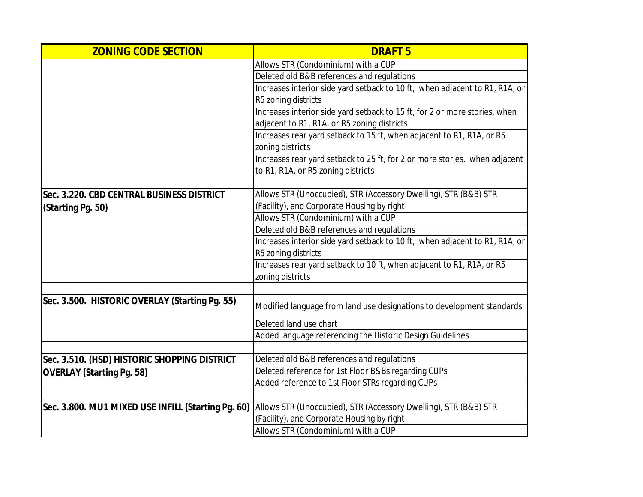| <b>ZONING CODE SECTION</b>                         | <b>DRAFT5</b>                                                               |
|----------------------------------------------------|-----------------------------------------------------------------------------|
|                                                    | Allows STR (Condominium) with a CUP                                         |
|                                                    | Deleted old B&B references and regulations                                  |
|                                                    | Increases interior side yard setback to 10 ft, when adjacent to R1, R1A, or |
|                                                    | R5 zoning districts                                                         |
|                                                    | Increases interior side yard setback to 15 ft, for 2 or more stories, when  |
|                                                    | adjacent to R1, R1A, or R5 zoning districts                                 |
|                                                    | Increases rear yard setback to 15 ft, when adjacent to R1, R1A, or R5       |
|                                                    | zoning districts                                                            |
|                                                    | Increases rear yard setback to 25 ft, for 2 or more stories, when adjacent  |
|                                                    | to R1, R1A, or R5 zoning districts                                          |
|                                                    |                                                                             |
| Sec. 3.220. CBD CENTRAL BUSINESS DISTRICT          | Allows STR (Unoccupied), STR (Accessory Dwelling), STR (B&B) STR            |
| (Starting Pg. 50)                                  | (Facility), and Corporate Housing by right                                  |
|                                                    | Allows STR (Condominium) with a CUP                                         |
|                                                    | Deleted old B&B references and regulations                                  |
|                                                    | Increases interior side yard setback to 10 ft, when adjacent to R1, R1A, or |
|                                                    | R5 zoning districts                                                         |
|                                                    | Increases rear yard setback to 10 ft, when adjacent to R1, R1A, or R5       |
|                                                    | zoning districts                                                            |
|                                                    |                                                                             |
| Sec. 3.500. HISTORIC OVERLAY (Starting Pg. 55)     | Modified language from land use designations to development standards       |
|                                                    | Deleted land use chart                                                      |
|                                                    | Added language referencing the Historic Design Guidelines                   |
|                                                    |                                                                             |
| Sec. 3.510. (HSD) HISTORIC SHOPPING DISTRICT       | Deleted old B&B references and regulations                                  |
| <b>OVERLAY (Starting Pg. 58)</b>                   | Deleted reference for 1st Floor B&Bs regarding CUPs                         |
|                                                    | Added reference to 1st Floor STRs regarding CUPs                            |
|                                                    |                                                                             |
| Sec. 3.800. MU1 MIXED USE INFILL (Starting Pg. 60) | Allows STR (Unoccupied), STR (Accessory Dwelling), STR (B&B) STR            |
|                                                    | (Facility), and Corporate Housing by right                                  |
|                                                    | Allows STR (Condominium) with a CUP                                         |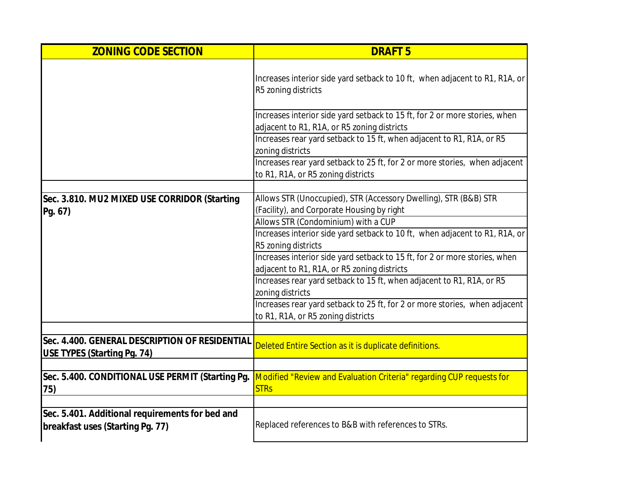| <b>ZONING CODE SECTION</b>                                                           | <b>DRAFT5</b>                                                                                                                             |
|--------------------------------------------------------------------------------------|-------------------------------------------------------------------------------------------------------------------------------------------|
|                                                                                      | Increases interior side yard setback to 10 ft, when adjacent to R1, R1A, or<br>R5 zoning districts                                        |
|                                                                                      | Increases interior side yard setback to 15 ft, for 2 or more stories, when<br>adjacent to R1, R1A, or R5 zoning districts                 |
|                                                                                      | Increases rear yard setback to 15 ft, when adjacent to R1, R1A, or R5<br>zoning districts                                                 |
|                                                                                      | Increases rear yard setback to 25 ft, for 2 or more stories, when adjacent<br>to R1, R1A, or R5 zoning districts                          |
| Sec. 3.810. MU2 MIXED USE CORRIDOR (Starting<br>Pg. 67)                              | Allows STR (Unoccupied), STR (Accessory Dwelling), STR (B&B) STR<br>(Facility), and Corporate Housing by right                            |
|                                                                                      | Allows STR (Condominium) with a CUP<br>Increases interior side yard setback to 10 ft, when adjacent to R1, R1A, or<br>R5 zoning districts |
|                                                                                      | Increases interior side yard setback to 15 ft, for 2 or more stories, when<br>adjacent to R1, R1A, or R5 zoning districts                 |
|                                                                                      | Increases rear yard setback to 15 ft, when adjacent to R1, R1A, or R5<br>zoning districts                                                 |
|                                                                                      | Increases rear yard setback to 25 ft, for 2 or more stories, when adjacent<br>to R1, R1A, or R5 zoning districts                          |
| Sec. 4.400. GENERAL DESCRIPTION OF RESIDENTIAL<br><b>USE TYPES (Starting Pg. 74)</b> | Deleted Entire Section as it is duplicate definitions.                                                                                    |
| Sec. 5.400. CONDITIONAL USE PERMIT (Starting Pg.<br>75)                              | Modified "Review and Evaluation Criteria" regarding CUP requests for<br><b>STRs</b>                                                       |
| Sec. 5.401. Additional requirements for bed and<br>breakfast uses (Starting Pg. 77)  | Replaced references to B&B with references to STRs.                                                                                       |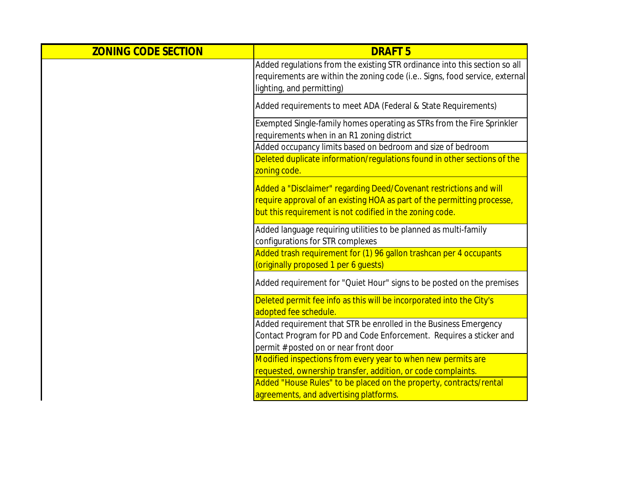| <b>ZONING CODE SECTION</b> | <b>DRAFT5</b>                                                                                                                                                                                             |
|----------------------------|-----------------------------------------------------------------------------------------------------------------------------------------------------------------------------------------------------------|
|                            | Added regulations from the existing STR ordinance into this section so all<br>requirements are within the zoning code (i.e Signs, food service, external<br>lighting, and permitting)                     |
|                            | Added requirements to meet ADA (Federal & State Requirements)                                                                                                                                             |
|                            | Exempted Single-family homes operating as STRs from the Fire Sprinkler<br>requirements when in an R1 zoning district                                                                                      |
|                            | Added occupancy limits based on bedroom and size of bedroom                                                                                                                                               |
|                            | Deleted duplicate information/regulations found in other sections of the<br>zoning code.                                                                                                                  |
|                            | Added a "Disclaimer" regarding Deed/Covenant restrictions and will<br>require approval of an existing HOA as part of the permitting processe,<br>but this requirement is not codified in the zoning code. |
|                            | Added language requiring utilities to be planned as multi-family<br>configurations for STR complexes                                                                                                      |
|                            | Added trash requirement for (1) 96 gallon trashcan per 4 occupants<br>(originally proposed 1 per 6 guests)                                                                                                |
|                            | Added requirement for "Quiet Hour" signs to be posted on the premises                                                                                                                                     |
|                            | Deleted permit fee info as this will be incorporated into the City's<br>adopted fee schedule.                                                                                                             |
|                            | Added requirement that STR be enrolled in the Business Emergency<br>Contact Program for PD and Code Enforcement. Requires a sticker and<br>permit # posted on or near front door                          |
|                            | Modified inspections from every year to when new permits are<br>requested, ownership transfer, addition, or code complaints.                                                                              |
|                            | Added "House Rules" to be placed on the property, contracts/rental<br>agreements, and advertising platforms.                                                                                              |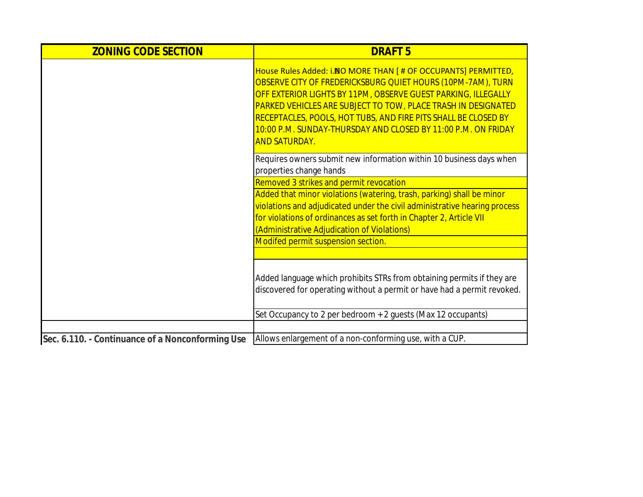| <b>ZONING CODE SECTION</b>                       | <b>DRAFT 5</b>                                                                                                                                                                                                                                                                                                                                                                                                            |
|--------------------------------------------------|---------------------------------------------------------------------------------------------------------------------------------------------------------------------------------------------------------------------------------------------------------------------------------------------------------------------------------------------------------------------------------------------------------------------------|
|                                                  | House Rules Added: i.NO MORE THAN [# OF OCCUPANTS] PERMITTED,<br>OBSERVE CITY OF FREDERICKSBURG QUIET HOURS (10PM-7AM), TURN<br>OFF EXTERIOR LIGHTS BY 11PM, OBSERVE GUEST PARKING, ILLEGALLY<br>PARKED VEHICLES ARE SUBJECT TO TOW, PLACE TRASH IN DESIGNATED<br>RECEPTACLES, POOLS, HOT TUBS, AND FIRE PITS SHALL BE CLOSED BY<br>10:00 P.M. SUNDAY-THURSDAY AND CLOSED BY 11:00 P.M. ON FRIDAY<br><b>AND SATURDAY.</b> |
|                                                  | Requires owners submit new information within 10 business days when<br>properties change hands                                                                                                                                                                                                                                                                                                                            |
|                                                  | Removed 3 strikes and permit revocation                                                                                                                                                                                                                                                                                                                                                                                   |
|                                                  | Added that minor violations (watering, trash, parking) shall be minor<br>violations and adjudicated under the civil administrative hearing process<br>for violations of ordinances as set forth in Chapter 2, Article VII<br>(Administrative Adjudication of Violations)                                                                                                                                                  |
|                                                  | Modifed permit suspension section.                                                                                                                                                                                                                                                                                                                                                                                        |
|                                                  | Added language which prohibits STRs from obtaining permits if they are<br>discovered for operating without a permit or have had a permit revoked.<br>Set Occupancy to 2 per bedroom + 2 guests (Max 12 occupants)                                                                                                                                                                                                         |
| Sec. 6.110. - Continuance of a Nonconforming Use | Allows enlargement of a non-conforming use, with a CUP.                                                                                                                                                                                                                                                                                                                                                                   |
|                                                  |                                                                                                                                                                                                                                                                                                                                                                                                                           |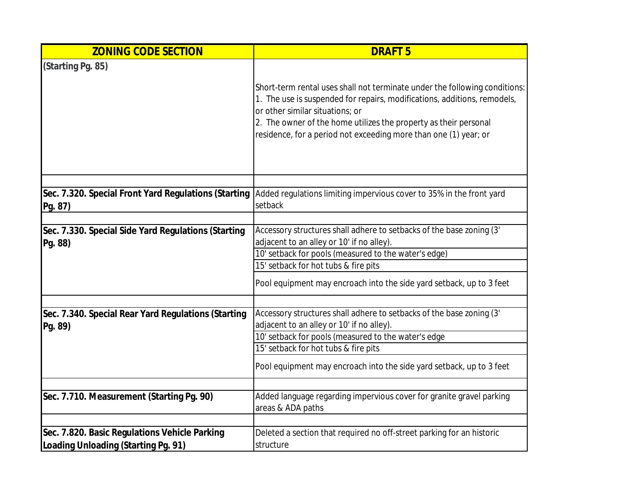| <b>ZONING CODE SECTION</b>                                                           | <b>DRAFT5</b>                                                                                                                                                                                                                                                                                                                     |
|--------------------------------------------------------------------------------------|-----------------------------------------------------------------------------------------------------------------------------------------------------------------------------------------------------------------------------------------------------------------------------------------------------------------------------------|
| (Starting Pg. 85)                                                                    |                                                                                                                                                                                                                                                                                                                                   |
|                                                                                      | Short-term rental uses shall not terminate under the following conditions:<br>1. The use is suspended for repairs, modifications, additions, remodels,<br>or other similar situations; or<br>2. The owner of the home utilizes the property as their personal<br>residence, for a period not exceeding more than one (1) year; or |
|                                                                                      |                                                                                                                                                                                                                                                                                                                                   |
| Sec. 7.320. Special Front Yard Regulations (Starting<br>Pg. 87)                      | Added regulations limiting impervious cover to 35% in the front yard<br>setback                                                                                                                                                                                                                                                   |
|                                                                                      |                                                                                                                                                                                                                                                                                                                                   |
| Sec. 7.330. Special Side Yard Regulations (Starting<br>Pg. 88)                       | Accessory structures shall adhere to setbacks of the base zoning (3'<br>adjacent to an alley or 10' if no alley).                                                                                                                                                                                                                 |
|                                                                                      | 10' setback for pools (measured to the water's edge)                                                                                                                                                                                                                                                                              |
|                                                                                      | 15' setback for hot tubs & fire pits                                                                                                                                                                                                                                                                                              |
|                                                                                      | Pool equipment may encroach into the side yard setback, up to 3 feet                                                                                                                                                                                                                                                              |
|                                                                                      |                                                                                                                                                                                                                                                                                                                                   |
| Sec. 7.340. Special Rear Yard Regulations (Starting<br>Pq. 89)                       | Accessory structures shall adhere to setbacks of the base zoning (3'<br>adjacent to an alley or 10' if no alley).                                                                                                                                                                                                                 |
|                                                                                      | 10' setback for pools (measured to the water's edge                                                                                                                                                                                                                                                                               |
|                                                                                      | 15' setback for hot tubs & fire pits                                                                                                                                                                                                                                                                                              |
|                                                                                      | Pool equipment may encroach into the side yard setback, up to 3 feet                                                                                                                                                                                                                                                              |
|                                                                                      |                                                                                                                                                                                                                                                                                                                                   |
| Sec. 7.710. Measurement (Starting Pg. 90)                                            | Added language regarding impervious cover for granite gravel parking<br>areas & ADA paths                                                                                                                                                                                                                                         |
|                                                                                      |                                                                                                                                                                                                                                                                                                                                   |
| Sec. 7.820. Basic Regulations Vehicle Parking<br>Loading Unloading (Starting Pg. 91) | Deleted a section that required no off-street parking for an historic<br>structure                                                                                                                                                                                                                                                |
|                                                                                      |                                                                                                                                                                                                                                                                                                                                   |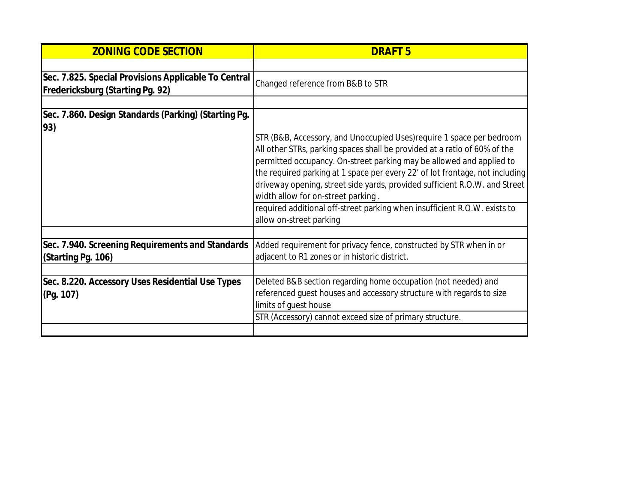| <b>ZONING CODE SECTION</b>                                                               | <b>DRAFT 5</b>                                                                                                                                                                                                                                                                                                                                                                                                                                                                                                                         |
|------------------------------------------------------------------------------------------|----------------------------------------------------------------------------------------------------------------------------------------------------------------------------------------------------------------------------------------------------------------------------------------------------------------------------------------------------------------------------------------------------------------------------------------------------------------------------------------------------------------------------------------|
|                                                                                          |                                                                                                                                                                                                                                                                                                                                                                                                                                                                                                                                        |
| Sec. 7.825. Special Provisions Applicable To Central<br>Fredericksburg (Starting Pg. 92) | Changed reference from B&B to STR                                                                                                                                                                                                                                                                                                                                                                                                                                                                                                      |
|                                                                                          |                                                                                                                                                                                                                                                                                                                                                                                                                                                                                                                                        |
| Sec. 7.860. Design Standards (Parking) (Starting Pg.<br>93)                              | STR (B&B, Accessory, and Unoccupied Uses) require 1 space per bedroom<br>All other STRs, parking spaces shall be provided at a ratio of 60% of the<br>permitted occupancy. On-street parking may be allowed and applied to<br>the required parking at 1 space per every 22' of lot frontage, not including<br>driveway opening, street side yards, provided sufficient R.O.W. and Street<br>width allow for on-street parking.<br>required additional off-street parking when insufficient R.O.W. exists to<br>allow on-street parking |
|                                                                                          |                                                                                                                                                                                                                                                                                                                                                                                                                                                                                                                                        |
| Sec. 7.940. Screening Requirements and Standards<br>(Starting Pg. 106)                   | Added requirement for privacy fence, constructed by STR when in or<br>adjacent to R1 zones or in historic district.                                                                                                                                                                                                                                                                                                                                                                                                                    |
|                                                                                          |                                                                                                                                                                                                                                                                                                                                                                                                                                                                                                                                        |
| Sec. 8.220. Accessory Uses Residential Use Types<br>(Pg. 107)                            | Deleted B&B section regarding home occupation (not needed) and<br>referenced guest houses and accessory structure with regards to size<br>limits of guest house                                                                                                                                                                                                                                                                                                                                                                        |
|                                                                                          | STR (Accessory) cannot exceed size of primary structure.                                                                                                                                                                                                                                                                                                                                                                                                                                                                               |
|                                                                                          |                                                                                                                                                                                                                                                                                                                                                                                                                                                                                                                                        |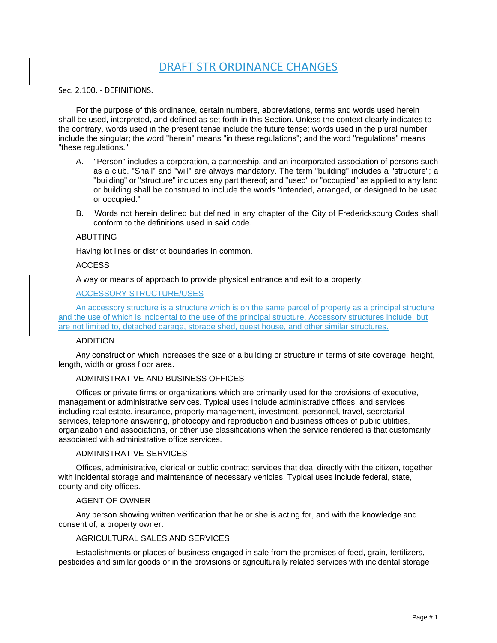# DRAFT STR ORDINANCE CHANGES

#### Sec. 2.100. - DEFINITIONS.

For the purpose of this ordinance, certain numbers, abbreviations, terms and words used herein shall be used, interpreted, and defined as set forth in this Section. Unless the context clearly indicates to the contrary, words used in the present tense include the future tense; words used in the plural number include the singular; the word "herein" means "in these regulations"; and the word "regulations" means "these regulations."

- A. "Person" includes a corporation, a partnership, and an incorporated association of persons such as a club. "Shall" and "will" are always mandatory. The term "building" includes a "structure"; a "building" or "structure" includes any part thereof; and "used" or "occupied" as applied to any land or building shall be construed to include the words "intended, arranged, or designed to be used or occupied."
- B. Words not herein defined but defined in any chapter of the City of Fredericksburg Codes shall conform to the definitions used in said code.

#### ABUTTING

Having lot lines or district boundaries in common.

#### ACCESS

A way or means of approach to provide physical entrance and exit to a property.

ACCESSORY STRUCTURE/USES

An accessory structure is a structure which is on the same parcel of property as a principal structure and the use of which is incidental to the use of the principal structure. Accessory structures include, but are not limited to, detached garage, storage shed, guest house, and other similar structures.

#### ADDITION

Any construction which increases the size of a building or structure in terms of site coverage, height, length, width or gross floor area.

#### ADMINISTRATIVE AND BUSINESS OFFICES

Offices or private firms or organizations which are primarily used for the provisions of executive, management or administrative services. Typical uses include administrative offices, and services including real estate, insurance, property management, investment, personnel, travel, secretarial services, telephone answering, photocopy and reproduction and business offices of public utilities, organization and associations, or other use classifications when the service rendered is that customarily associated with administrative office services.

#### ADMINISTRATIVE SERVICES

Offices, administrative, clerical or public contract services that deal directly with the citizen, together with incidental storage and maintenance of necessary vehicles. Typical uses include federal, state, county and city offices.

## AGENT OF OWNER

Any person showing written verification that he or she is acting for, and with the knowledge and consent of, a property owner.

### AGRICULTURAL SALES AND SERVICES

Establishments or places of business engaged in sale from the premises of feed, grain, fertilizers, pesticides and similar goods or in the provisions or agriculturally related services with incidental storage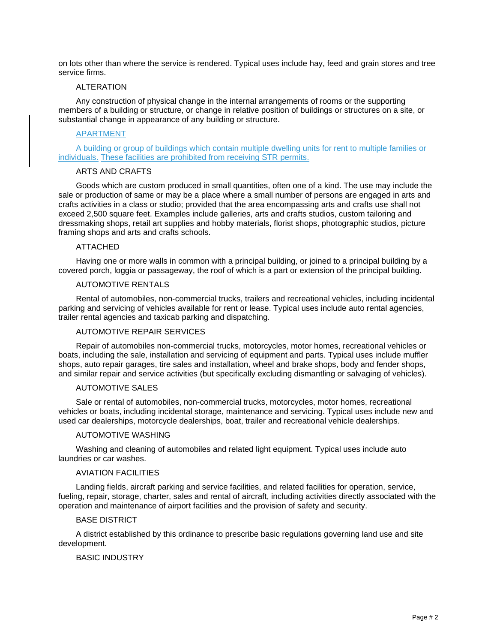on lots other than where the service is rendered. Typical uses include hay, feed and grain stores and tree service firms.

#### ALTERATION

Any construction of physical change in the internal arrangements of rooms or the supporting members of a building or structure, or change in relative position of buildings or structures on a site, or substantial change in appearance of any building or structure.

## APARTMENT

A building or group of buildings which contain multiple dwelling units for rent to multiple families or individuals. These facilities are prohibited from receiving STR permits.

#### ARTS AND CRAFTS

Goods which are custom produced in small quantities, often one of a kind. The use may include the sale or production of same or may be a place where a small number of persons are engaged in arts and crafts activities in a class or studio; provided that the area encompassing arts and crafts use shall not exceed 2,500 square feet. Examples include galleries, arts and crafts studios, custom tailoring and dressmaking shops, retail art supplies and hobby materials, florist shops, photographic studios, picture framing shops and arts and crafts schools.

#### ATTACHED

Having one or more walls in common with a principal building, or joined to a principal building by a covered porch, loggia or passageway, the roof of which is a part or extension of the principal building.

#### AUTOMOTIVE RENTALS

Rental of automobiles, non-commercial trucks, trailers and recreational vehicles, including incidental parking and servicing of vehicles available for rent or lease. Typical uses include auto rental agencies, trailer rental agencies and taxicab parking and dispatching.

## AUTOMOTIVE REPAIR SERVICES

Repair of automobiles non-commercial trucks, motorcycles, motor homes, recreational vehicles or boats, including the sale, installation and servicing of equipment and parts. Typical uses include muffler shops, auto repair garages, tire sales and installation, wheel and brake shops, body and fender shops, and similar repair and service activities (but specifically excluding dismantling or salvaging of vehicles).

#### AUTOMOTIVE SALES

Sale or rental of automobiles, non-commercial trucks, motorcycles, motor homes, recreational vehicles or boats, including incidental storage, maintenance and servicing. Typical uses include new and used car dealerships, motorcycle dealerships, boat, trailer and recreational vehicle dealerships.

#### AUTOMOTIVE WASHING

Washing and cleaning of automobiles and related light equipment. Typical uses include auto laundries or car washes.

#### AVIATION FACILITIES

Landing fields, aircraft parking and service facilities, and related facilities for operation, service, fueling, repair, storage, charter, sales and rental of aircraft, including activities directly associated with the operation and maintenance of airport facilities and the provision of safety and security.

#### BASE DISTRICT

A district established by this ordinance to prescribe basic regulations governing land use and site development.

#### BASIC INDUSTRY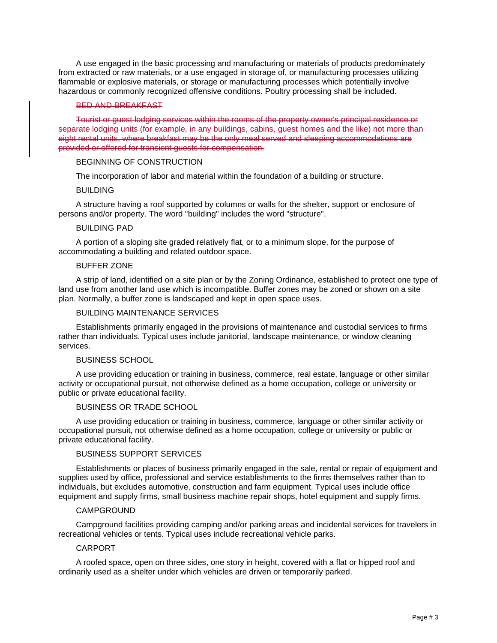A use engaged in the basic processing and manufacturing or materials of products predominately from extracted or raw materials, or a use engaged in storage of, or manufacturing processes utilizing flammable or explosive materials, or storage or manufacturing processes which potentially involve hazardous or commonly recognized offensive conditions. Poultry processing shall be included.

#### BED AND BREAKFAST

Tourist or guest lodging services within the rooms of the property owner's principal residence or separate lodging units (for example, in any buildings, cabins, guest homes and the like) not more than eight rental units, where breakfast may be the only meal served and sleeping accommodations are provided or offered for transient guests for compensation.

# BEGINNING OF CONSTRUCTION

The incorporation of labor and material within the foundation of a building or structure.

#### **BUILDING**

A structure having a roof supported by columns or walls for the shelter, support or enclosure of persons and/or property. The word "building" includes the word "structure".

### BUILDING PAD

A portion of a sloping site graded relatively flat, or to a minimum slope, for the purpose of accommodating a building and related outdoor space.

#### BUFFER ZONE

A strip of land, identified on a site plan or by the Zoning Ordinance, established to protect one type of land use from another land use which is incompatible. Buffer zones may be zoned or shown on a site plan. Normally, a buffer zone is landscaped and kept in open space uses.

## BUILDING MAINTENANCE SERVICES

Establishments primarily engaged in the provisions of maintenance and custodial services to firms rather than individuals. Typical uses include janitorial, landscape maintenance, or window cleaning services.

#### BUSINESS SCHOOL

A use providing education or training in business, commerce, real estate, language or other similar activity or occupational pursuit, not otherwise defined as a home occupation, college or university or public or private educational facility.

## BUSINESS OR TRADE SCHOOL

A use providing education or training in business, commerce, language or other similar activity or occupational pursuit, not otherwise defined as a home occupation, college or university or public or private educational facility.

#### BUSINESS SUPPORT SERVICES

Establishments or places of business primarily engaged in the sale, rental or repair of equipment and supplies used by office, professional and service establishments to the firms themselves rather than to individuals, but excludes automotive, construction and farm equipment. Typical uses include office equipment and supply firms, small business machine repair shops, hotel equipment and supply firms.

#### CAMPGROUND

Campground facilities providing camping and/or parking areas and incidental services for travelers in recreational vehicles or tents. Typical uses include recreational vehicle parks.

## CARPORT

A roofed space, open on three sides, one story in height, covered with a flat or hipped roof and ordinarily used as a shelter under which vehicles are driven or temporarily parked.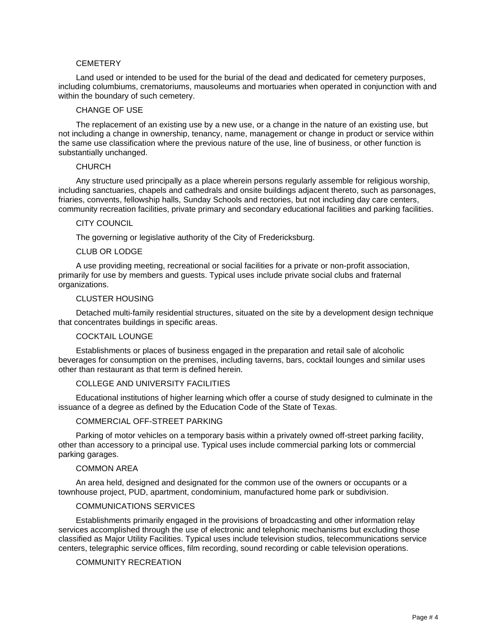## **CEMETERY**

Land used or intended to be used for the burial of the dead and dedicated for cemetery purposes, including columbiums, crematoriums, mausoleums and mortuaries when operated in conjunction with and within the boundary of such cemetery.

#### CHANGE OF USE

The replacement of an existing use by a new use, or a change in the nature of an existing use, but not including a change in ownership, tenancy, name, management or change in product or service within the same use classification where the previous nature of the use, line of business, or other function is substantially unchanged.

## CHURCH

Any structure used principally as a place wherein persons regularly assemble for religious worship, including sanctuaries, chapels and cathedrals and onsite buildings adjacent thereto, such as parsonages, friaries, convents, fellowship halls, Sunday Schools and rectories, but not including day care centers, community recreation facilities, private primary and secondary educational facilities and parking facilities.

#### CITY COUNCIL

The governing or legislative authority of the City of Fredericksburg.

#### CLUB OR LODGE

A use providing meeting, recreational or social facilities for a private or non-profit association, primarily for use by members and guests. Typical uses include private social clubs and fraternal organizations.

## CLUSTER HOUSING

Detached multi-family residential structures, situated on the site by a development design technique that concentrates buildings in specific areas.

#### COCKTAIL LOUNGE

Establishments or places of business engaged in the preparation and retail sale of alcoholic beverages for consumption on the premises, including taverns, bars, cocktail lounges and similar uses other than restaurant as that term is defined herein.

#### COLLEGE AND UNIVERSITY FACILITIES

Educational institutions of higher learning which offer a course of study designed to culminate in the issuance of a degree as defined by the Education Code of the State of Texas.

#### COMMERCIAL OFF-STREET PARKING

Parking of motor vehicles on a temporary basis within a privately owned off-street parking facility, other than accessory to a principal use. Typical uses include commercial parking lots or commercial parking garages.

#### COMMON AREA

An area held, designed and designated for the common use of the owners or occupants or a townhouse project, PUD, apartment, condominium, manufactured home park or subdivision.

#### COMMUNICATIONS SERVICES

Establishments primarily engaged in the provisions of broadcasting and other information relay services accomplished through the use of electronic and telephonic mechanisms but excluding those classified as Major Utility Facilities. Typical uses include television studios, telecommunications service centers, telegraphic service offices, film recording, sound recording or cable television operations.

# COMMUNITY RECREATION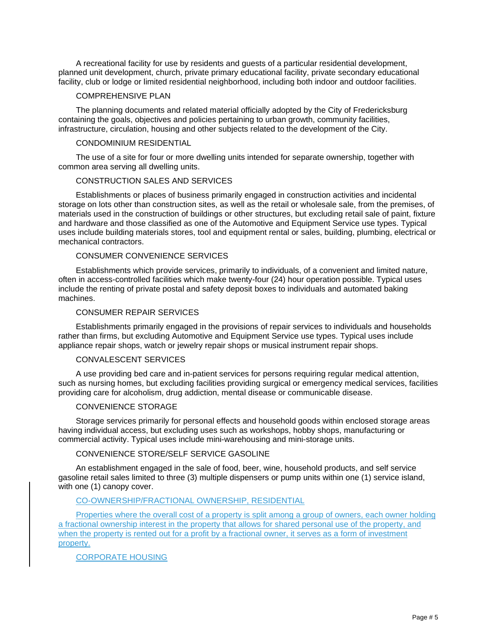A recreational facility for use by residents and guests of a particular residential development, planned unit development, church, private primary educational facility, private secondary educational facility, club or lodge or limited residential neighborhood, including both indoor and outdoor facilities.

## COMPREHENSIVE PLAN

The planning documents and related material officially adopted by the City of Fredericksburg containing the goals, objectives and policies pertaining to urban growth, community facilities, infrastructure, circulation, housing and other subjects related to the development of the City.

## CONDOMINIUM RESIDENTIAL

The use of a site for four or more dwelling units intended for separate ownership, together with common area serving all dwelling units.

## CONSTRUCTION SALES AND SERVICES

Establishments or places of business primarily engaged in construction activities and incidental storage on lots other than construction sites, as well as the retail or wholesale sale, from the premises, of materials used in the construction of buildings or other structures, but excluding retail sale of paint, fixture and hardware and those classified as one of the Automotive and Equipment Service use types. Typical uses include building materials stores, tool and equipment rental or sales, building, plumbing, electrical or mechanical contractors.

# CONSUMER CONVENIENCE SERVICES

Establishments which provide services, primarily to individuals, of a convenient and limited nature, often in access-controlled facilities which make twenty-four (24) hour operation possible. Typical uses include the renting of private postal and safety deposit boxes to individuals and automated baking machines.

# CONSUMER REPAIR SERVICES

Establishments primarily engaged in the provisions of repair services to individuals and households rather than firms, but excluding Automotive and Equipment Service use types. Typical uses include appliance repair shops, watch or jewelry repair shops or musical instrument repair shops.

## CONVALESCENT SERVICES

A use providing bed care and in-patient services for persons requiring regular medical attention, such as nursing homes, but excluding facilities providing surgical or emergency medical services, facilities providing care for alcoholism, drug addiction, mental disease or communicable disease.

# CONVENIENCE STORAGE

Storage services primarily for personal effects and household goods within enclosed storage areas having individual access, but excluding uses such as workshops, hobby shops, manufacturing or commercial activity. Typical uses include mini-warehousing and mini-storage units.

# CONVENIENCE STORE/SELF SERVICE GASOLINE

An establishment engaged in the sale of food, beer, wine, household products, and self service gasoline retail sales limited to three (3) multiple dispensers or pump units within one (1) service island, with one (1) canopy cover.

# CO-OWNERSHIP/FRACTIONAL OWNERSHIP, RESIDENTIAL

Properties where the overall cost of a property is split among a group of owners, each owner holding a fractional ownership interest in the property that allows for shared personal use of the property, and when the property is rented out for a profit by a fractional owner, it serves as a form of investment property.

# CORPORATE HOUSING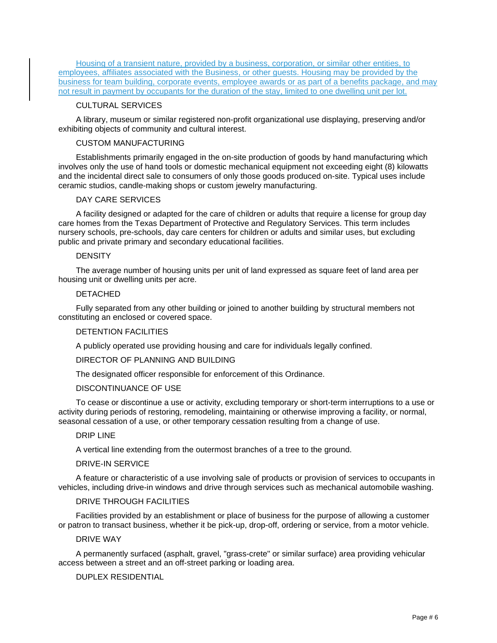Housing of a transient nature, provided by a business, corporation, or similar other entities, to employees, affiliates associated with the Business, or other guests. Housing may be provided by the business for team building, corporate events, employee awards or as part of a benefits package, and may not result in payment by occupants for the duration of the stay, limited to one dwelling unit per lot.

#### CULTURAL SERVICES

A library, museum or similar registered non-profit organizational use displaying, preserving and/or exhibiting objects of community and cultural interest.

## CUSTOM MANUFACTURING

Establishments primarily engaged in the on-site production of goods by hand manufacturing which involves only the use of hand tools or domestic mechanical equipment not exceeding eight (8) kilowatts and the incidental direct sale to consumers of only those goods produced on-site. Typical uses include ceramic studios, candle-making shops or custom jewelry manufacturing.

#### DAY CARE SERVICES

A facility designed or adapted for the care of children or adults that require a license for group day care homes from the Texas Department of Protective and Regulatory Services. This term includes nursery schools, pre-schools, day care centers for children or adults and similar uses, but excluding public and private primary and secondary educational facilities.

#### **DENSITY**

The average number of housing units per unit of land expressed as square feet of land area per housing unit or dwelling units per acre.

#### DETACHED

Fully separated from any other building or joined to another building by structural members not constituting an enclosed or covered space.

## DETENTION FACILITIES

A publicly operated use providing housing and care for individuals legally confined.

#### DIRECTOR OF PLANNING AND BUILDING

The designated officer responsible for enforcement of this Ordinance.

#### DISCONTINUANCE OF USE

To cease or discontinue a use or activity, excluding temporary or short-term interruptions to a use or activity during periods of restoring, remodeling, maintaining or otherwise improving a facility, or normal, seasonal cessation of a use, or other temporary cessation resulting from a change of use.

#### DRIP LINE

A vertical line extending from the outermost branches of a tree to the ground.

#### DRIVE-IN SERVICE

A feature or characteristic of a use involving sale of products or provision of services to occupants in vehicles, including drive-in windows and drive through services such as mechanical automobile washing.

#### DRIVE THROUGH FACILITIES

Facilities provided by an establishment or place of business for the purpose of allowing a customer or patron to transact business, whether it be pick-up, drop-off, ordering or service, from a motor vehicle.

#### DRIVE WAY

A permanently surfaced (asphalt, gravel, "grass-crete" or similar surface) area providing vehicular access between a street and an off-street parking or loading area.

## DUPLEX RESIDENTIAL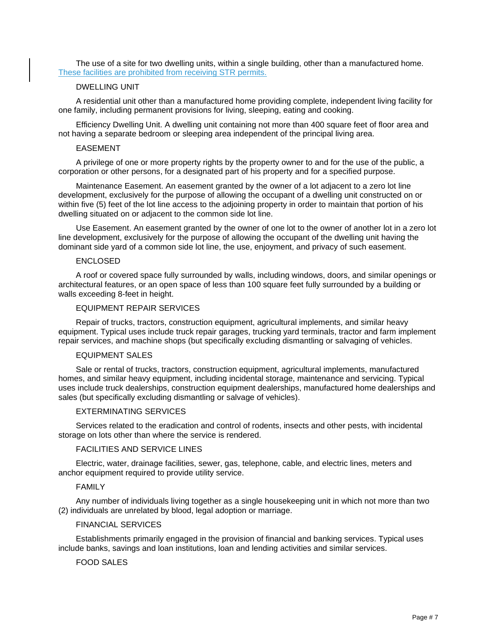The use of a site for two dwelling units, within a single building, other than a manufactured home. These facilities are prohibited from receiving STR permits.

## DWELLING UNIT

A residential unit other than a manufactured home providing complete, independent living facility for one family, including permanent provisions for living, sleeping, eating and cooking.

Efficiency Dwelling Unit. A dwelling unit containing not more than 400 square feet of floor area and not having a separate bedroom or sleeping area independent of the principal living area.

#### EASEMENT

A privilege of one or more property rights by the property owner to and for the use of the public, a corporation or other persons, for a designated part of his property and for a specified purpose.

Maintenance Easement. An easement granted by the owner of a lot adjacent to a zero lot line development, exclusively for the purpose of allowing the occupant of a dwelling unit constructed on or within five (5) feet of the lot line access to the adjoining property in order to maintain that portion of his dwelling situated on or adjacent to the common side lot line.

Use Easement. An easement granted by the owner of one lot to the owner of another lot in a zero lot line development, exclusively for the purpose of allowing the occupant of the dwelling unit having the dominant side yard of a common side lot line, the use, enjoyment, and privacy of such easement.

## ENCLOSED

A roof or covered space fully surrounded by walls, including windows, doors, and similar openings or architectural features, or an open space of less than 100 square feet fully surrounded by a building or walls exceeding 8-feet in height.

## EQUIPMENT REPAIR SERVICES

Repair of trucks, tractors, construction equipment, agricultural implements, and similar heavy equipment. Typical uses include truck repair garages, trucking yard terminals, tractor and farm implement repair services, and machine shops (but specifically excluding dismantling or salvaging of vehicles.

## EQUIPMENT SALES

Sale or rental of trucks, tractors, construction equipment, agricultural implements, manufactured homes, and similar heavy equipment, including incidental storage, maintenance and servicing. Typical uses include truck dealerships, construction equipment dealerships, manufactured home dealerships and sales (but specifically excluding dismantling or salvage of vehicles).

#### EXTERMINATING SERVICES

Services related to the eradication and control of rodents, insects and other pests, with incidental storage on lots other than where the service is rendered.

#### FACILITIES AND SERVICE LINES

Electric, water, drainage facilities, sewer, gas, telephone, cable, and electric lines, meters and anchor equipment required to provide utility service.

## FAMILY

Any number of individuals living together as a single housekeeping unit in which not more than two (2) individuals are unrelated by blood, legal adoption or marriage.

## FINANCIAL SERVICES

Establishments primarily engaged in the provision of financial and banking services. Typical uses include banks, savings and loan institutions, loan and lending activities and similar services.

## FOOD SALES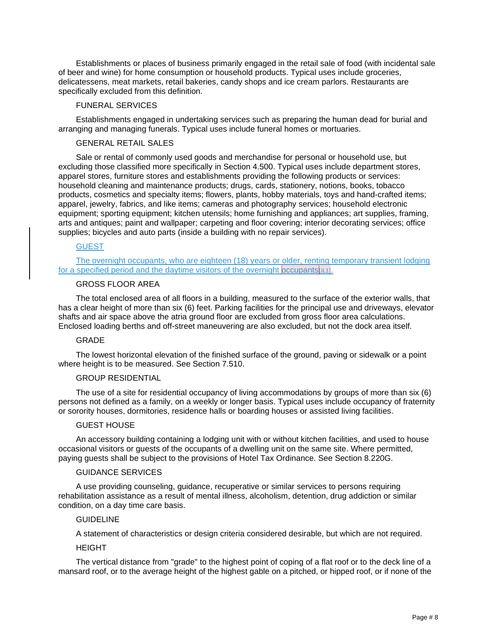Establishments or places of business primarily engaged in the retail sale of food (with incidental sale of beer and wine) for home consumption or household products. Typical uses include groceries, delicatessens, meat markets, retail bakeries, candy shops and ice cream parlors. Restaurants are specifically excluded from this definition.

#### FUNERAL SERVICES

Establishments engaged in undertaking services such as preparing the human dead for burial and arranging and managing funerals. Typical uses include funeral homes or mortuaries.

#### GENERAL RETAIL SALES

Sale or rental of commonly used goods and merchandise for personal or household use, but excluding those classified more specifically in Section 4.500. Typical uses include department stores, apparel stores, furniture stores and establishments providing the following products or services: household cleaning and maintenance products; drugs, cards, stationery, notions, books, tobacco products, cosmetics and specialty items; flowers, plants, hobby materials, toys and hand-crafted items; apparel, jewelry, fabrics, and like items; cameras and photography services; household electronic equipment; sporting equipment; kitchen utensils; home furnishing and appliances; art supplies, framing, arts and antiques; paint and wallpaper; carpeting and floor covering; interior decorating services; office supplies; bicycles and auto parts (inside a building with no repair services).

# **GUEST**

The overnight occupants, who are eighteen (18) years or older, renting temporary transient lodging for a specified period and the daytime visitors of the overnight occupants  $\mu$ 1.

#### GROSS FLOOR AREA

The total enclosed area of all floors in a building, measured to the surface of the exterior walls, that has a clear height of more than six (6) feet. Parking facilities for the principal use and driveways, elevator shafts and air space above the atria ground floor are excluded from gross floor area calculations. Enclosed loading berths and off-street maneuvering are also excluded, but not the dock area itself.

#### **GRADE**

The lowest horizontal elevation of the finished surface of the ground, paving or sidewalk or a point where height is to be measured. See Section 7.510.

## GROUP RESIDENTIAL

The use of a site for residential occupancy of living accommodations by groups of more than six (6) persons not defined as a family, on a weekly or longer basis. Typical uses include occupancy of fraternity or sorority houses, dormitories, residence halls or boarding houses or assisted living facilities.

## GUEST HOUSE

An accessory building containing a lodging unit with or without kitchen facilities, and used to house occasional visitors or guests of the occupants of a dwelling unit on the same site. Where permitted, paying guests shall be subject to the provisions of Hotel Tax Ordinance. See Section 8.220G.

#### GUIDANCE SERVICES

A use providing counseling, guidance, recuperative or similar services to persons requiring rehabilitation assistance as a result of mental illness, alcoholism, detention, drug addiction or similar condition, on a day time care basis.

## **GUIDELINE**

A statement of characteristics or design criteria considered desirable, but which are not required.

#### HEIGHT

The vertical distance from "grade" to the highest point of coping of a flat roof or to the deck line of a mansard roof, or to the average height of the highest gable on a pitched, or hipped roof, or if none of the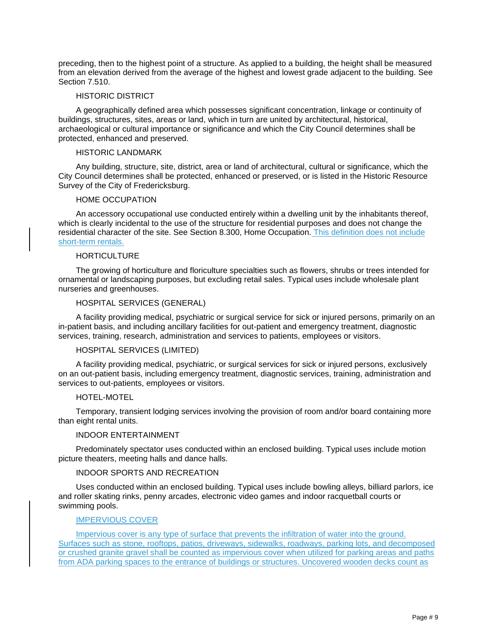preceding, then to the highest point of a structure. As applied to a building, the height shall be measured from an elevation derived from the average of the highest and lowest grade adjacent to the building. See Section 7.510.

## HISTORIC DISTRICT

A geographically defined area which possesses significant concentration, linkage or continuity of buildings, structures, sites, areas or land, which in turn are united by architectural, historical, archaeological or cultural importance or significance and which the City Council determines shall be protected, enhanced and preserved.

#### HISTORIC LANDMARK

Any building, structure, site, district, area or land of architectural, cultural or significance, which the City Council determines shall be protected, enhanced or preserved, or is listed in the Historic Resource Survey of the City of Fredericksburg.

#### HOME OCCUPATION

An accessory occupational use conducted entirely within a dwelling unit by the inhabitants thereof, which is clearly incidental to the use of the structure for residential purposes and does not change the residential character of the site. See Section 8.300, Home Occupation. This definition does not include short-term rentals.

#### **HORTICULTURE**

The growing of horticulture and floriculture specialties such as flowers, shrubs or trees intended for ornamental or landscaping purposes, but excluding retail sales. Typical uses include wholesale plant nurseries and greenhouses.

#### HOSPITAL SERVICES (GENERAL)

A facility providing medical, psychiatric or surgical service for sick or injured persons, primarily on an in-patient basis, and including ancillary facilities for out-patient and emergency treatment, diagnostic services, training, research, administration and services to patients, employees or visitors.

## HOSPITAL SERVICES (LIMITED)

A facility providing medical, psychiatric, or surgical services for sick or injured persons, exclusively on an out-patient basis, including emergency treatment, diagnostic services, training, administration and services to out-patients, employees or visitors.

## HOTEL-MOTEL

Temporary, transient lodging services involving the provision of room and/or board containing more than eight rental units.

## INDOOR ENTERTAINMENT

Predominately spectator uses conducted within an enclosed building. Typical uses include motion picture theaters, meeting halls and dance halls.

#### INDOOR SPORTS AND RECREATION

Uses conducted within an enclosed building. Typical uses include bowling alleys, billiard parlors, ice and roller skating rinks, penny arcades, electronic video games and indoor racquetball courts or swimming pools.

## IMPERVIOUS COVER

Impervious cover is any type of surface that prevents the infiltration of water into the ground. Surfaces such as stone, rooftops, patios, driveways, sidewalks, roadways, parking lots, and decomposed or crushed granite gravel shall be counted as impervious cover when utilized for parking areas and paths from ADA parking spaces to the entrance of buildings or structures. Uncovered wooden decks count as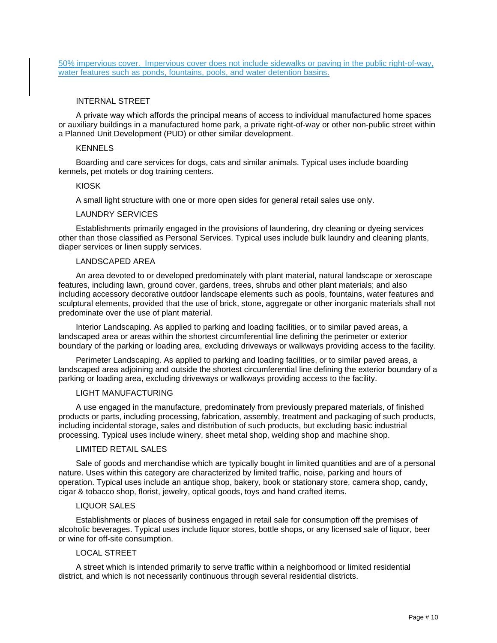50% impervious cover. Impervious cover does not include sidewalks or paving in the public right-of-way, water features such as ponds, fountains, pools, and water detention basins.

#### INTERNAL STREET

A private way which affords the principal means of access to individual manufactured home spaces or auxiliary buildings in a manufactured home park, a private right-of-way or other non-public street within a Planned Unit Development (PUD) or other similar development.

#### **KENNELS**

Boarding and care services for dogs, cats and similar animals. Typical uses include boarding kennels, pet motels or dog training centers.

#### KIOSK

A small light structure with one or more open sides for general retail sales use only.

#### LAUNDRY SERVICES

Establishments primarily engaged in the provisions of laundering, dry cleaning or dyeing services other than those classified as Personal Services. Typical uses include bulk laundry and cleaning plants, diaper services or linen supply services.

#### LANDSCAPED AREA

An area devoted to or developed predominately with plant material, natural landscape or xeroscape features, including lawn, ground cover, gardens, trees, shrubs and other plant materials; and also including accessory decorative outdoor landscape elements such as pools, fountains, water features and sculptural elements, provided that the use of brick, stone, aggregate or other inorganic materials shall not predominate over the use of plant material.

Interior Landscaping. As applied to parking and loading facilities, or to similar paved areas, a landscaped area or areas within the shortest circumferential line defining the perimeter or exterior boundary of the parking or loading area, excluding driveways or walkways providing access to the facility.

Perimeter Landscaping. As applied to parking and loading facilities, or to similar paved areas, a landscaped area adjoining and outside the shortest circumferential line defining the exterior boundary of a parking or loading area, excluding driveways or walkways providing access to the facility.

#### LIGHT MANUFACTURING

A use engaged in the manufacture, predominately from previously prepared materials, of finished products or parts, including processing, fabrication, assembly, treatment and packaging of such products, including incidental storage, sales and distribution of such products, but excluding basic industrial processing. Typical uses include winery, sheet metal shop, welding shop and machine shop.

#### LIMITED RETAIL SALES

Sale of goods and merchandise which are typically bought in limited quantities and are of a personal nature. Uses within this category are characterized by limited traffic, noise, parking and hours of operation. Typical uses include an antique shop, bakery, book or stationary store, camera shop, candy, cigar & tobacco shop, florist, jewelry, optical goods, toys and hand crafted items.

#### LIQUOR SALES

Establishments or places of business engaged in retail sale for consumption off the premises of alcoholic beverages. Typical uses include liquor stores, bottle shops, or any licensed sale of liquor, beer or wine for off-site consumption.

#### LOCAL STREET

A street which is intended primarily to serve traffic within a neighborhood or limited residential district, and which is not necessarily continuous through several residential districts.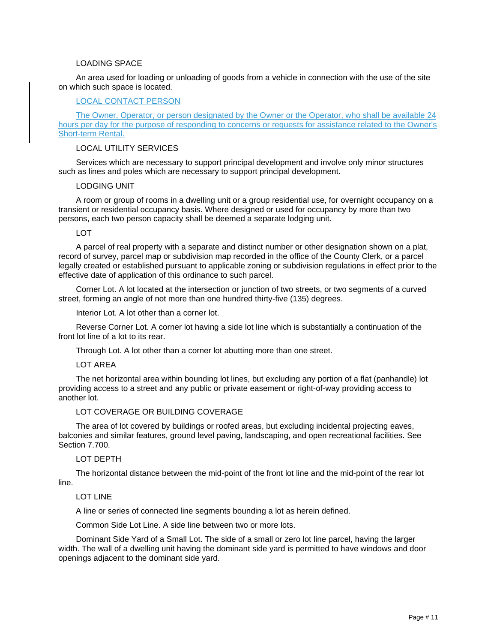## LOADING SPACE

An area used for loading or unloading of goods from a vehicle in connection with the use of the site on which such space is located.

## LOCAL CONTACT PERSON

The Owner, Operator, or person designated by the Owner or the Operator, who shall be available 24 hours per day for the purpose of responding to concerns or requests for assistance related to the Owner's Short-term Rental.

## LOCAL UTILITY SERVICES

Services which are necessary to support principal development and involve only minor structures such as lines and poles which are necessary to support principal development.

#### LODGING UNIT

A room or group of rooms in a dwelling unit or a group residential use, for overnight occupancy on a transient or residential occupancy basis. Where designed or used for occupancy by more than two persons, each two person capacity shall be deemed a separate lodging unit.

#### **LOT**

A parcel of real property with a separate and distinct number or other designation shown on a plat, record of survey, parcel map or subdivision map recorded in the office of the County Clerk, or a parcel legally created or established pursuant to applicable zoning or subdivision regulations in effect prior to the effective date of application of this ordinance to such parcel.

Corner Lot. A lot located at the intersection or junction of two streets, or two segments of a curved street, forming an angle of not more than one hundred thirty-five (135) degrees.

Interior Lot. A lot other than a corner lot.

Reverse Corner Lot. A corner lot having a side lot line which is substantially a continuation of the front lot line of a lot to its rear.

Through Lot. A lot other than a corner lot abutting more than one street.

#### LOT AREA

The net horizontal area within bounding lot lines, but excluding any portion of a flat (panhandle) lot providing access to a street and any public or private easement or right-of-way providing access to another lot.

#### LOT COVERAGE OR BUILDING COVERAGE

The area of lot covered by buildings or roofed areas, but excluding incidental projecting eaves, balconies and similar features, ground level paving, landscaping, and open recreational facilities. See Section 7.700.

#### LOT DEPTH

The horizontal distance between the mid-point of the front lot line and the mid-point of the rear lot line.

#### LOT LINE

A line or series of connected line segments bounding a lot as herein defined.

Common Side Lot Line. A side line between two or more lots.

Dominant Side Yard of a Small Lot. The side of a small or zero lot line parcel, having the larger width. The wall of a dwelling unit having the dominant side yard is permitted to have windows and door openings adjacent to the dominant side yard.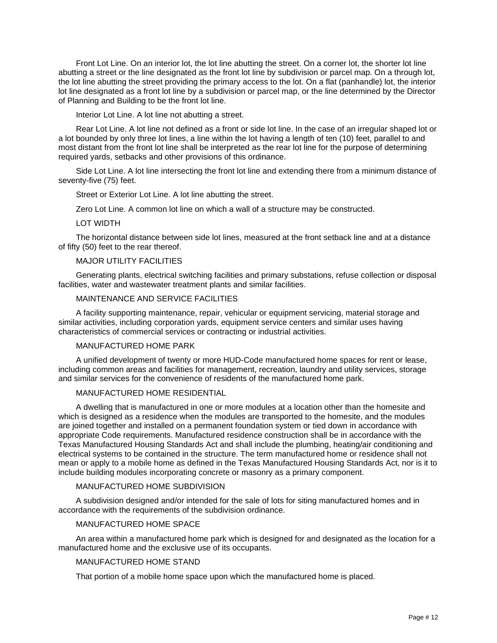Front Lot Line. On an interior lot, the lot line abutting the street. On a corner lot, the shorter lot line abutting a street or the line designated as the front lot line by subdivision or parcel map. On a through lot, the lot line abutting the street providing the primary access to the lot. On a flat (panhandle) lot, the interior lot line designated as a front lot line by a subdivision or parcel map, or the line determined by the Director of Planning and Building to be the front lot line.

Interior Lot Line. A lot line not abutting a street.

Rear Lot Line. A lot line not defined as a front or side lot line. In the case of an irregular shaped lot or a lot bounded by only three lot lines, a line within the lot having a length of ten (10) feet, parallel to and most distant from the front lot line shall be interpreted as the rear lot line for the purpose of determining required yards, setbacks and other provisions of this ordinance.

Side Lot Line. A lot line intersecting the front lot line and extending there from a minimum distance of seventy-five (75) feet.

Street or Exterior Lot Line. A lot line abutting the street.

Zero Lot Line. A common lot line on which a wall of a structure may be constructed.

LOT WIDTH

The horizontal distance between side lot lines, measured at the front setback line and at a distance of fifty (50) feet to the rear thereof.

#### MAJOR UTILITY FACILITIES

Generating plants, electrical switching facilities and primary substations, refuse collection or disposal facilities, water and wastewater treatment plants and similar facilities.

## MAINTENANCE AND SERVICE FACILITIES

A facility supporting maintenance, repair, vehicular or equipment servicing, material storage and similar activities, including corporation yards, equipment service centers and similar uses having characteristics of commercial services or contracting or industrial activities.

#### MANUFACTURED HOME PARK

A unified development of twenty or more HUD-Code manufactured home spaces for rent or lease, including common areas and facilities for management, recreation, laundry and utility services, storage and similar services for the convenience of residents of the manufactured home park.

# MANUFACTURED HOME RESIDENTIAL

A dwelling that is manufactured in one or more modules at a location other than the homesite and which is designed as a residence when the modules are transported to the homesite, and the modules are joined together and installed on a permanent foundation system or tied down in accordance with appropriate Code requirements. Manufactured residence construction shall be in accordance with the Texas Manufactured Housing Standards Act and shall include the plumbing, heating/air conditioning and electrical systems to be contained in the structure. The term manufactured home or residence shall not mean or apply to a mobile home as defined in the Texas Manufactured Housing Standards Act, nor is it to include building modules incorporating concrete or masonry as a primary component.

## MANUFACTURED HOME SUBDIVISION

A subdivision designed and/or intended for the sale of lots for siting manufactured homes and in accordance with the requirements of the subdivision ordinance.

## MANUFACTURED HOME SPACE

An area within a manufactured home park which is designed for and designated as the location for a manufactured home and the exclusive use of its occupants.

# MANUFACTURED HOME STAND

That portion of a mobile home space upon which the manufactured home is placed.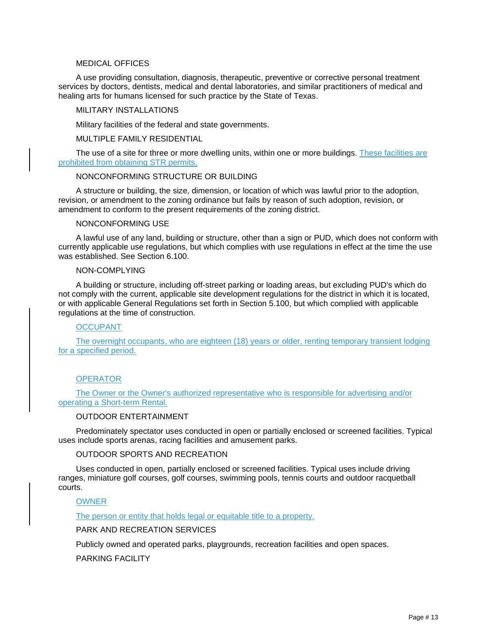## MEDICAL OFFICES

A use providing consultation, diagnosis, therapeutic, preventive or corrective personal treatment services by doctors, dentists, medical and dental laboratories, and similar practitioners of medical and healing arts for humans licensed for such practice by the State of Texas.

#### MILITARY INSTALLATIONS

Military facilities of the federal and state governments.

## MULTIPLE FAMILY RESIDENTIAL

The use of a site for three or more dwelling units, within one or more buildings. These facilities are prohibited from obtaining STR permits.

#### NONCONFORMING STRUCTURE OR BUILDING

A structure or building, the size, dimension, or location of which was lawful prior to the adoption, revision, or amendment to the zoning ordinance but fails by reason of such adoption, revision, or amendment to conform to the present requirements of the zoning district.

## NONCONFORMING USE

A lawful use of any land, building or structure, other than a sign or PUD, which does not conform with currently applicable use regulations, but which complies with use regulations in effect at the time the use was established. See Section 6.100.

## NON-COMPLYING

A building or structure, including off-street parking or loading areas, but excluding PUD's which do not comply with the current, applicable site development regulations for the district in which it is located, or with applicable General Regulations set forth in Section 5.100, but which complied with applicable regulations at the time of construction.

#### **OCCUPANT**

The overnight occupants, who are eighteen (18) years or older, renting temporary transient lodging for a specified period.

## **OPERATOR**

The Owner or the Owner's authorized representative who is responsible for advertising and/or operating a Short-term Rental.

## OUTDOOR ENTERTAINMENT

Predominately spectator uses conducted in open or partially enclosed or screened facilities. Typical uses include sports arenas, racing facilities and amusement parks.

#### OUTDOOR SPORTS AND RECREATION

Uses conducted in open, partially enclosed or screened facilities. Typical uses include driving ranges, miniature golf courses, golf courses, swimming pools, tennis courts and outdoor racquetball courts.

#### OWNER

The person or entity that holds legal or equitable title to a property.

#### PARK AND RECREATION SERVICES

Publicly owned and operated parks, playgrounds, recreation facilities and open spaces.

PARKING FACILITY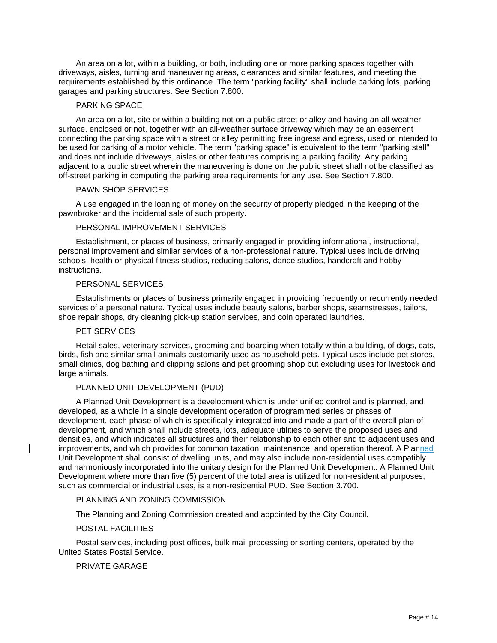An area on a lot, within a building, or both, including one or more parking spaces together with driveways, aisles, turning and maneuvering areas, clearances and similar features, and meeting the requirements established by this ordinance. The term "parking facility" shall include parking lots, parking garages and parking structures. See Section 7.800.

#### PARKING SPACE

An area on a lot, site or within a building not on a public street or alley and having an all-weather surface, enclosed or not, together with an all-weather surface driveway which may be an easement connecting the parking space with a street or alley permitting free ingress and egress, used or intended to be used for parking of a motor vehicle. The term "parking space" is equivalent to the term "parking stall" and does not include driveways, aisles or other features comprising a parking facility. Any parking adjacent to a public street wherein the maneuvering is done on the public street shall not be classified as off-street parking in computing the parking area requirements for any use. See Section 7.800.

## PAWN SHOP SERVICES

A use engaged in the loaning of money on the security of property pledged in the keeping of the pawnbroker and the incidental sale of such property.

## PERSONAL IMPROVEMENT SERVICES

Establishment, or places of business, primarily engaged in providing informational, instructional, personal improvement and similar services of a non-professional nature. Typical uses include driving schools, health or physical fitness studios, reducing salons, dance studios, handcraft and hobby instructions.

#### PERSONAL SERVICES

Establishments or places of business primarily engaged in providing frequently or recurrently needed services of a personal nature. Typical uses include beauty salons, barber shops, seamstresses, tailors, shoe repair shops, dry cleaning pick-up station services, and coin operated laundries.

## PET SERVICES

Retail sales, veterinary services, grooming and boarding when totally within a building, of dogs, cats, birds, fish and similar small animals customarily used as household pets. Typical uses include pet stores, small clinics, dog bathing and clipping salons and pet grooming shop but excluding uses for livestock and large animals.

#### PLANNED UNIT DEVELOPMENT (PUD)

A Planned Unit Development is a development which is under unified control and is planned, and developed, as a whole in a single development operation of programmed series or phases of development, each phase of which is specifically integrated into and made a part of the overall plan of development, and which shall include streets, lots, adequate utilities to serve the proposed uses and densities, and which indicates all structures and their relationship to each other and to adjacent uses and improvements, and which provides for common taxation, maintenance, and operation thereof. A Planned Unit Development shall consist of dwelling units, and may also include non-residential uses compatibly and harmoniously incorporated into the unitary design for the Planned Unit Development. A Planned Unit Development where more than five (5) percent of the total area is utilized for non-residential purposes, such as commercial or industrial uses, is a non-residential PUD. See Section 3.700.

# PLANNING AND ZONING COMMISSION

The Planning and Zoning Commission created and appointed by the City Council.

#### POSTAL FACILITIES

Postal services, including post offices, bulk mail processing or sorting centers, operated by the United States Postal Service.

#### PRIVATE GARAGE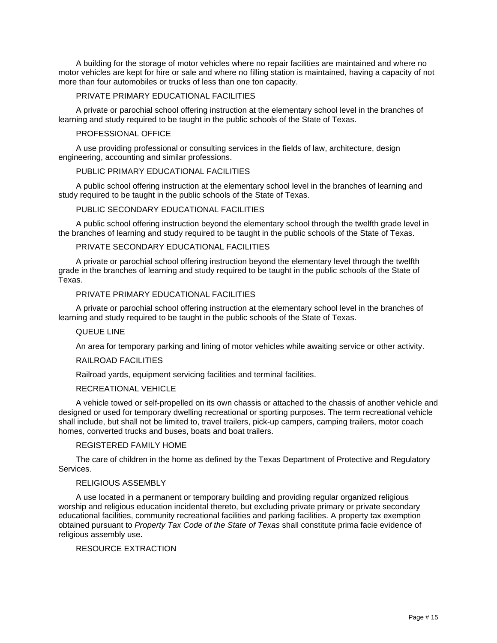A building for the storage of motor vehicles where no repair facilities are maintained and where no motor vehicles are kept for hire or sale and where no filling station is maintained, having a capacity of not more than four automobiles or trucks of less than one ton capacity.

## PRIVATE PRIMARY EDUCATIONAL FACILITIES

A private or parochial school offering instruction at the elementary school level in the branches of learning and study required to be taught in the public schools of the State of Texas.

## PROFESSIONAL OFFICE

A use providing professional or consulting services in the fields of law, architecture, design engineering, accounting and similar professions.

#### PUBLIC PRIMARY EDUCATIONAL FACILITIES

A public school offering instruction at the elementary school level in the branches of learning and study required to be taught in the public schools of the State of Texas.

## PUBLIC SECONDARY EDUCATIONAL FACILITIES

A public school offering instruction beyond the elementary school through the twelfth grade level in the branches of learning and study required to be taught in the public schools of the State of Texas.

#### PRIVATE SECONDARY EDUCATIONAL FACILITIES

A private or parochial school offering instruction beyond the elementary level through the twelfth grade in the branches of learning and study required to be taught in the public schools of the State of Texas.

# PRIVATE PRIMARY EDUCATIONAL FACILITIES

A private or parochial school offering instruction at the elementary school level in the branches of learning and study required to be taught in the public schools of the State of Texas.

## QUEUE LINE

An area for temporary parking and lining of motor vehicles while awaiting service or other activity.

#### RAILROAD FACILITIES

Railroad yards, equipment servicing facilities and terminal facilities.

## RECREATIONAL VEHICLE

A vehicle towed or self-propelled on its own chassis or attached to the chassis of another vehicle and designed or used for temporary dwelling recreational or sporting purposes. The term recreational vehicle shall include, but shall not be limited to, travel trailers, pick-up campers, camping trailers, motor coach homes, converted trucks and buses, boats and boat trailers.

#### REGISTERED FAMILY HOME

The care of children in the home as defined by the Texas Department of Protective and Regulatory Services.

## RELIGIOUS ASSEMBLY

A use located in a permanent or temporary building and providing regular organized religious worship and religious education incidental thereto, but excluding private primary or private secondary educational facilities, community recreational facilities and parking facilities. A property tax exemption obtained pursuant to *Property Tax Code of the State of Texas* shall constitute prima facie evidence of religious assembly use.

## RESOURCE EXTRACTION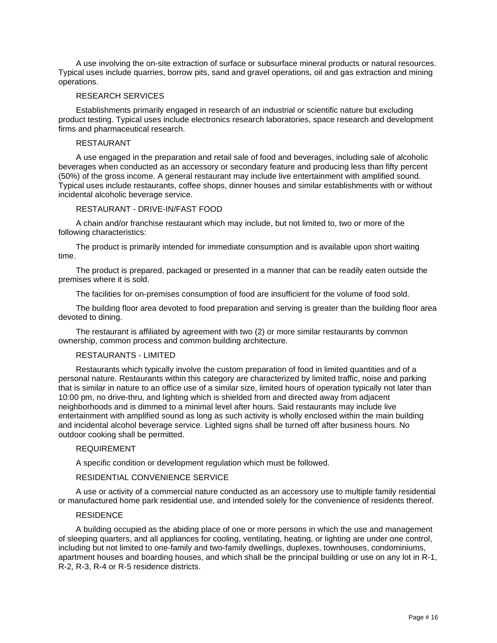A use involving the on-site extraction of surface or subsurface mineral products or natural resources. Typical uses include quarries, borrow pits, sand and gravel operations, oil and gas extraction and mining operations.

## RESEARCH SERVICES

Establishments primarily engaged in research of an industrial or scientific nature but excluding product testing. Typical uses include electronics research laboratories, space research and development firms and pharmaceutical research.

## RESTAURANT

A use engaged in the preparation and retail sale of food and beverages, including sale of alcoholic beverages when conducted as an accessory or secondary feature and producing less than fifty percent (50%) of the gross income. A general restaurant may include live entertainment with amplified sound. Typical uses include restaurants, coffee shops, dinner houses and similar establishments with or without incidental alcoholic beverage service.

#### RESTAURANT - DRIVE-IN/FAST FOOD

A chain and/or franchise restaurant which may include, but not limited to, two or more of the following characteristics:

The product is primarily intended for immediate consumption and is available upon short waiting time.

The product is prepared, packaged or presented in a manner that can be readily eaten outside the premises where it is sold.

The facilities for on-premises consumption of food are insufficient for the volume of food sold.

The building floor area devoted to food preparation and serving is greater than the building floor area devoted to dining.

The restaurant is affiliated by agreement with two (2) or more similar restaurants by common ownership, common process and common building architecture.

#### RESTAURANTS - LIMITED

Restaurants which typically involve the custom preparation of food in limited quantities and of a personal nature. Restaurants within this category are characterized by limited traffic, noise and parking that is similar in nature to an office use of a similar size, limited hours of operation typically not later than 10:00 pm, no drive-thru, and lighting which is shielded from and directed away from adjacent neighborhoods and is dimmed to a minimal level after hours. Said restaurants may include live entertainment with amplified sound as long as such activity is wholly enclosed within the main building and incidental alcohol beverage service. Lighted signs shall be turned off after business hours. No outdoor cooking shall be permitted.

#### REQUIREMENT

A specific condition or development regulation which must be followed.

## RESIDENTIAL CONVENIENCE SERVICE

A use or activity of a commercial nature conducted as an accessory use to multiple family residential or manufactured home park residential use, and intended solely for the convenience of residents thereof.

# **RESIDENCE**

A building occupied as the abiding place of one or more persons in which the use and management of sleeping quarters, and all appliances for cooling, ventilating, heating, or lighting are under one control, including but not limited to one-family and two-family dwellings, duplexes, townhouses, condominiums, apartment houses and boarding houses, and which shall be the principal building or use on any lot in R-1, R-2, R-3, R-4 or R-5 residence districts.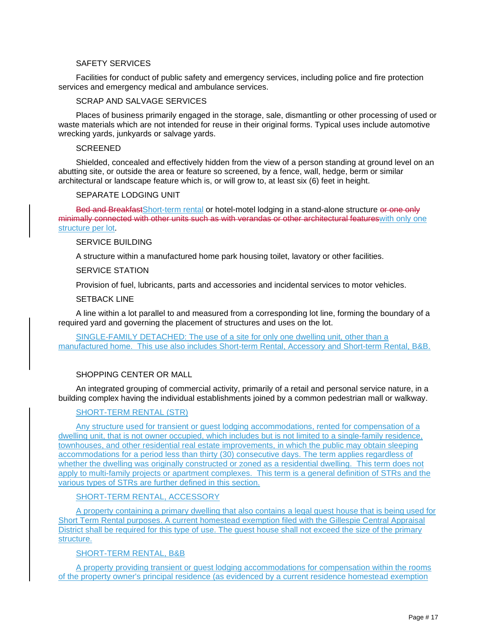## SAFETY SERVICES

Facilities for conduct of public safety and emergency services, including police and fire protection services and emergency medical and ambulance services.

## SCRAP AND SALVAGE SERVICES

Places of business primarily engaged in the storage, sale, dismantling or other processing of used or waste materials which are not intended for reuse in their original forms. Typical uses include automotive wrecking yards, junkyards or salvage yards.

#### **SCREENED**

Shielded, concealed and effectively hidden from the view of a person standing at ground level on an abutting site, or outside the area or feature so screened, by a fence, wall, hedge, berm or similar architectural or landscape feature which is, or will grow to, at least six (6) feet in height.

## SEPARATE LODGING UNIT

Bed and BreakfastShort-term rental or hotel-motel lodging in a stand-alone structure or one only minimally connected with other units such as with verandas or other architectural features with only one structure per lot.

## SERVICE BUILDING

A structure within a manufactured home park housing toilet, lavatory or other facilities.

## SERVICE STATION

Provision of fuel, lubricants, parts and accessories and incidental services to motor vehicles.

#### SETBACK LINE

A line within a lot parallel to and measured from a corresponding lot line, forming the boundary of a required yard and governing the placement of structures and uses on the lot.

SINGLE-FAMILY DETACHED: The use of a site for only one dwelling unit, other than a manufactured home. This use also includes Short-term Rental, Accessory and Short-term Rental, B&B.

## SHOPPING CENTER OR MALL

An integrated grouping of commercial activity, primarily of a retail and personal service nature, in a building complex having the individual establishments joined by a common pedestrian mall or walkway.

## SHORT-TERM RENTAL (STR)

Any structure used for transient or guest lodging accommodations, rented for compensation of a dwelling unit, that is not owner occupied, which includes but is not limited to a single-family residence, townhouses, and other residential real estate improvements, in which the public may obtain sleeping accommodations for a period less than thirty (30) consecutive days. The term applies regardless of whether the dwelling was originally constructed or zoned as a residential dwelling. This term does not apply to multi-family projects or apartment complexes. This term is a general definition of STRs and the various types of STRs are further defined in this section.

## SHORT-TERM RENTAL, ACCESSORY

A property containing a primary dwelling that also contains a legal guest house that is being used for Short Term Rental purposes. A current homestead exemption filed with the Gillespie Central Appraisal District shall be required for this type of use. The guest house shall not exceed the size of the primary structure.

## SHORT-TERM RENTAL, B&B

A property providing transient or guest lodging accommodations for compensation within the rooms of the property owner's principal residence (as evidenced by a current residence homestead exemption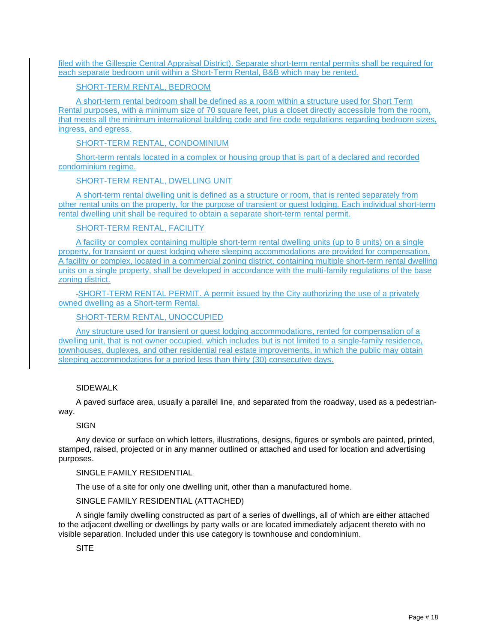filed with the Gillespie Central Appraisal District). Separate short-term rental permits shall be required for each separate bedroom unit within a Short-Term Rental, B&B which may be rented.

# SHORT-TERM RENTAL, BEDROOM

A short-term rental bedroom shall be defined as a room within a structure used for Short Term Rental purposes, with a minimum size of 70 square feet, plus a closet directly accessible from the room, that meets all the minimum international building code and fire code regulations regarding bedroom sizes, ingress, and egress.

# SHORT-TERM RENTAL, CONDOMINIUM

Short-term rentals located in a complex or housing group that is part of a declared and recorded condominium regime.

## SHORT-TERM RENTAL, DWELLING UNIT

A short-term rental dwelling unit is defined as a structure or room, that is rented separately from other rental units on the property, for the purpose of transient or guest lodging. Each individual short-term rental dwelling unit shall be required to obtain a separate short-term rental permit.

# SHORT-TERM RENTAL, FACILITY

A facility or complex containing multiple short-term rental dwelling units (up to 8 units) on a single property, for transient or guest lodging where sleeping accommodations are provided for compensation. A facility or complex, located in a commercial zoning district, containing multiple short-term rental dwelling units on a single property, shall be developed in accordance with the multi-family regulations of the base zoning district.

SHORT-TERM RENTAL PERMIT. A permit issued by the City authorizing the use of a privately owned dwelling as a Short-term Rental.

# SHORT-TERM RENTAL, UNOCCUPIED

Any structure used for transient or guest lodging accommodations, rented for compensation of a dwelling unit, that is not owner occupied, which includes but is not limited to a single-family residence, townhouses, duplexes, and other residential real estate improvements, in which the public may obtain sleeping accommodations for a period less than thirty (30) consecutive days.

# SIDEWALK

A paved surface area, usually a parallel line, and separated from the roadway, used as a pedestrianway.

# **SIGN**

Any device or surface on which letters, illustrations, designs, figures or symbols are painted, printed, stamped, raised, projected or in any manner outlined or attached and used for location and advertising purposes.

## SINGLE FAMILY RESIDENTIAL

The use of a site for only one dwelling unit, other than a manufactured home.

## SINGLE FAMILY RESIDENTIAL (ATTACHED)

A single family dwelling constructed as part of a series of dwellings, all of which are either attached to the adjacent dwelling or dwellings by party walls or are located immediately adjacent thereto with no visible separation. Included under this use category is townhouse and condominium.

**SITE**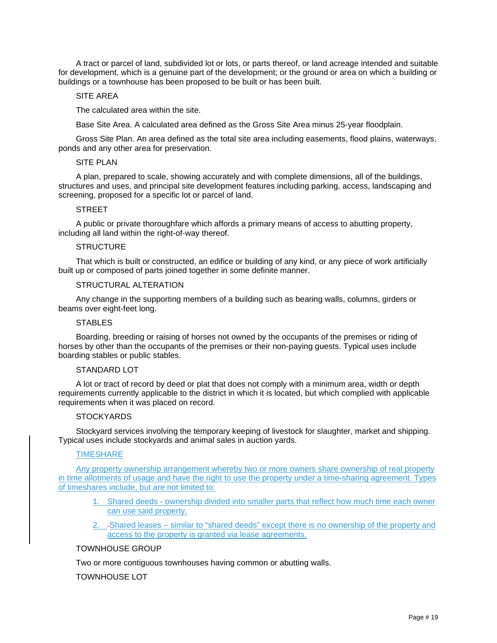A tract or parcel of land, subdivided lot or lots, or parts thereof, or land acreage intended and suitable for development, which is a genuine part of the development; or the ground or area on which a building or buildings or a townhouse has been proposed to be built or has been built.

## SITE AREA

The calculated area within the site.

Base Site Area. A calculated area defined as the Gross Site Area minus 25-year floodplain.

Gross Site Plan. An area defined as the total site area including easements, flood plains, waterways, ponds and any other area for preservation.

## SITE PLAN

A plan, prepared to scale, showing accurately and with complete dimensions, all of the buildings, structures and uses, and principal site development features including parking, access, landscaping and screening, proposed for a specific lot or parcel of land.

## **STREET**

A public or private thoroughfare which affords a primary means of access to abutting property, including all land within the right-of-way thereof.

## **STRUCTURE**

That which is built or constructed, an edifice or building of any kind, or any piece of work artificially built up or composed of parts joined together in some definite manner.

## STRUCTURAL ALTERATION

Any change in the supporting members of a building such as bearing walls, columns, girders or beams over eight-feet long.

# STABLES

Boarding, breeding or raising of horses not owned by the occupants of the premises or riding of horses by other than the occupants of the premises or their non-paying guests. Typical uses include boarding stables or public stables.

## STANDARD LOT

A lot or tract of record by deed or plat that does not comply with a minimum area, width or depth requirements currently applicable to the district in which it is located, but which complied with applicable requirements when it was placed on record.

## **STOCKYARDS**

Stockyard services involving the temporary keeping of livestock for slaughter, market and shipping. Typical uses include stockyards and animal sales in auction yards.

# **TIMESHARE**

Any property ownership arrangement whereby two or more owners share ownership of real property in time allotments of usage and have the right to use the property under a time-sharing agreement. Types of timeshares include, but are not limited to:

- 1. Shared deeds ownership divided into smaller parts that reflect how much time each owner can use said property.
- 2. Shared leases similar to "shared deeds" except there is no ownership of the property and access to the property is granted via lease agreements.

## TOWNHOUSE GROUP

Two or more contiguous townhouses having common or abutting walls.

## TOWNHOUSE LOT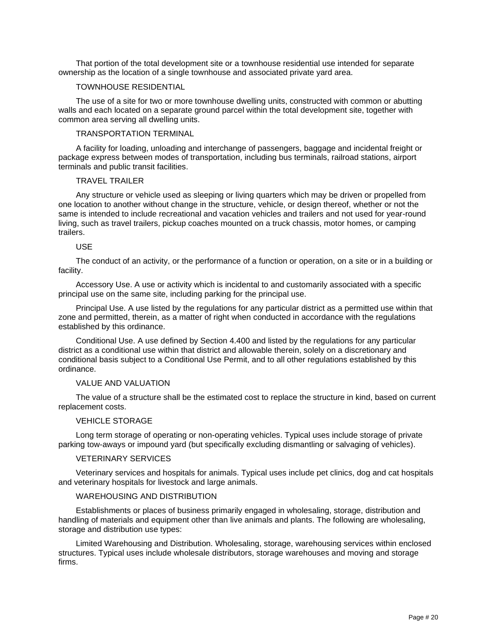That portion of the total development site or a townhouse residential use intended for separate ownership as the location of a single townhouse and associated private yard area.

#### TOWNHOUSE RESIDENTIAL

The use of a site for two or more townhouse dwelling units, constructed with common or abutting walls and each located on a separate ground parcel within the total development site, together with common area serving all dwelling units.

## TRANSPORTATION TERMINAL

A facility for loading, unloading and interchange of passengers, baggage and incidental freight or package express between modes of transportation, including bus terminals, railroad stations, airport terminals and public transit facilities.

#### TRAVEL TRAILER

Any structure or vehicle used as sleeping or living quarters which may be driven or propelled from one location to another without change in the structure, vehicle, or design thereof, whether or not the same is intended to include recreational and vacation vehicles and trailers and not used for year-round living, such as travel trailers, pickup coaches mounted on a truck chassis, motor homes, or camping trailers.

#### USE

The conduct of an activity, or the performance of a function or operation, on a site or in a building or facility.

Accessory Use. A use or activity which is incidental to and customarily associated with a specific principal use on the same site, including parking for the principal use.

Principal Use. A use listed by the regulations for any particular district as a permitted use within that zone and permitted, therein, as a matter of right when conducted in accordance with the regulations established by this ordinance.

Conditional Use. A use defined by Section 4.400 and listed by the regulations for any particular district as a conditional use within that district and allowable therein, solely on a discretionary and conditional basis subject to a Conditional Use Permit, and to all other regulations established by this ordinance.

## VALUE AND VALUATION

The value of a structure shall be the estimated cost to replace the structure in kind, based on current replacement costs.

## VEHICLE STORAGE

Long term storage of operating or non-operating vehicles. Typical uses include storage of private parking tow-aways or impound yard (but specifically excluding dismantling or salvaging of vehicles).

## VETERINARY SERVICES

Veterinary services and hospitals for animals. Typical uses include pet clinics, dog and cat hospitals and veterinary hospitals for livestock and large animals.

## WAREHOUSING AND DISTRIBUTION

Establishments or places of business primarily engaged in wholesaling, storage, distribution and handling of materials and equipment other than live animals and plants. The following are wholesaling, storage and distribution use types:

Limited Warehousing and Distribution. Wholesaling, storage, warehousing services within enclosed structures. Typical uses include wholesale distributors, storage warehouses and moving and storage firms.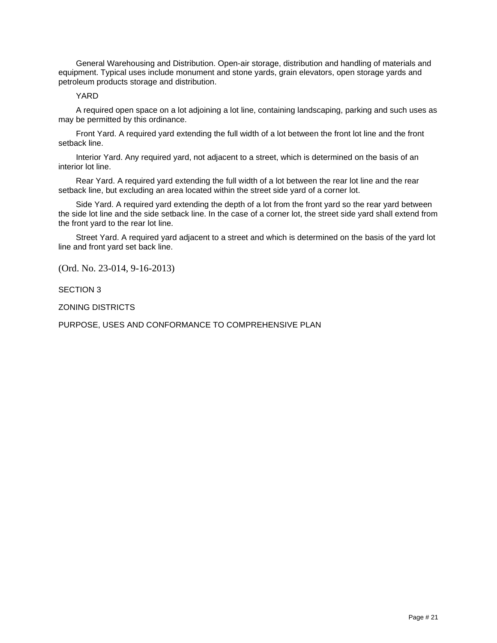General Warehousing and Distribution. Open-air storage, distribution and handling of materials and equipment. Typical uses include monument and stone yards, grain elevators, open storage yards and petroleum products storage and distribution.

## YARD

A required open space on a lot adjoining a lot line, containing landscaping, parking and such uses as may be permitted by this ordinance.

Front Yard. A required yard extending the full width of a lot between the front lot line and the front setback line.

Interior Yard. Any required yard, not adjacent to a street, which is determined on the basis of an interior lot line.

Rear Yard. A required yard extending the full width of a lot between the rear lot line and the rear setback line, but excluding an area located within the street side yard of a corner lot.

Side Yard. A required yard extending the depth of a lot from the front yard so the rear yard between the side lot line and the side setback line. In the case of a corner lot, the street side yard shall extend from the front yard to the rear lot line.

Street Yard. A required yard adjacent to a street and which is determined on the basis of the yard lot line and front yard set back line.

(Ord. No. 23-014, 9-16-2013)

## SECTION 3

ZONING DISTRICTS

PURPOSE, USES AND CONFORMANCE TO COMPREHENSIVE PLAN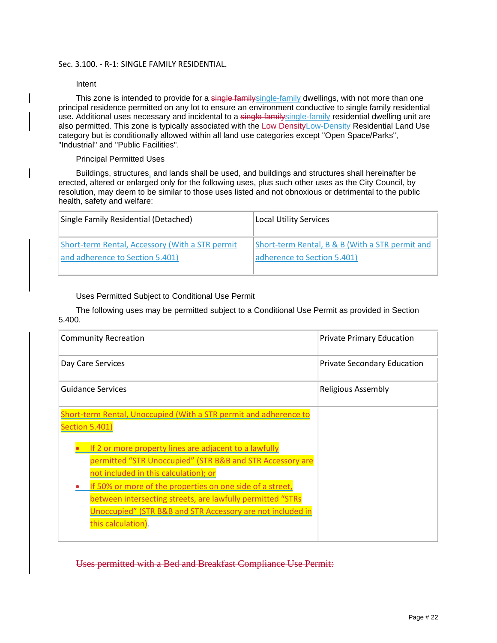#### Sec. 3.100. - R-1: SINGLE FAMILY RESIDENTIAL.

#### Intent

This zone is intended to provide for a single family single-family dwellings, with not more than one principal residence permitted on any lot to ensure an environment conductive to single family residential use. Additional uses necessary and incidental to a single family single-family residential dwelling unit are also permitted. This zone is typically associated with the Low DensityLow-Density Residential Land Use category but is conditionally allowed within all land use categories except "Open Space/Parks", "Industrial" and "Public Facilities".

## Principal Permitted Uses

Buildings, structures, and lands shall be used, and buildings and structures shall hereinafter be erected, altered or enlarged only for the following uses, plus such other uses as the City Council, by resolution, may deem to be similar to those uses listed and not obnoxious or detrimental to the public health, safety and welfare:

| Single Family Residential (Detached)            | Local Utility Services                          |
|-------------------------------------------------|-------------------------------------------------|
| Short-term Rental, Accessory (With a STR permit | Short-term Rental, B & B (With a STR permit and |
| and adherence to Section 5.401)                 | adherence to Section 5.401)                     |

## Uses Permitted Subject to Conditional Use Permit

The following uses may be permitted subject to a Conditional Use Permit as provided in Section 5.400.

| <b>Community Recreation</b>                                       | <b>Private Primary Education</b>   |
|-------------------------------------------------------------------|------------------------------------|
| Day Care Services                                                 | <b>Private Secondary Education</b> |
| <b>Guidance Services</b>                                          | <b>Religious Assembly</b>          |
| Short-term Rental, Unoccupied (With a STR permit and adherence to |                                    |
| <b>Section 5.401)</b>                                             |                                    |
| If 2 or more property lines are adjacent to a lawfully            |                                    |
| permitted "STR Unoccupied" (STR B&B and STR Accessory are         |                                    |
| not included in this calculation); or                             |                                    |
| If 50% or more of the properties on one side of a street,         |                                    |
| between intersecting streets, are lawfully permitted "STRs        |                                    |
| Unoccupied" (STR B&B and STR Accessory are not included in        |                                    |
| this calculation).                                                |                                    |
|                                                                   |                                    |

Uses permitted with a Bed and Breakfast Compliance Use Permit: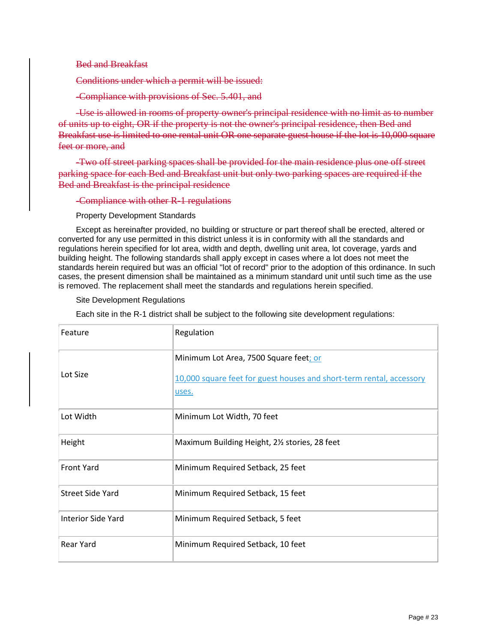Bed and Breakfast

Conditions under which a permit will be issued:

-Compliance with provisions of Sec. 5.401, and

-Use is allowed in rooms of property owner's principal residence with no limit as to number of units up to eight, OR if the property is not the owner's principal residence, then Bed and Breakfast use is limited to one rental unit OR one separate guest house if the lot is 10,000 square feet or more, and

-Two off street parking spaces shall be provided for the main residence plus one off street parking space for each Bed and Breakfast unit but only two parking spaces are required if the Bed and Breakfast is the principal residence

# -Compliance with other R-1 regulations

Property Development Standards

Except as hereinafter provided, no building or structure or part thereof shall be erected, altered or converted for any use permitted in this district unless it is in conformity with all the standards and regulations herein specified for lot area, width and depth, dwelling unit area, lot coverage, yards and building height. The following standards shall apply except in cases where a lot does not meet the standards herein required but was an official "lot of record" prior to the adoption of this ordinance. In such cases, the present dimension shall be maintained as a minimum standard unit until such time as the use is removed. The replacement shall meet the standards and regulations herein specified.

## Site Development Regulations

Each site in the R-1 district shall be subject to the following site development regulations:

| Feature                   | Regulation                                                                                                              |
|---------------------------|-------------------------------------------------------------------------------------------------------------------------|
| Lot Size                  | Minimum Lot Area, 7500 Square feet; or<br>10,000 square feet for guest houses and short-term rental, accessory<br>uses. |
| Lot Width                 | Minimum Lot Width, 70 feet                                                                                              |
| Height                    | Maximum Building Height, 21/ <sub>2</sub> stories, 28 feet                                                              |
| <b>Front Yard</b>         | Minimum Required Setback, 25 feet                                                                                       |
| <b>Street Side Yard</b>   | Minimum Required Setback, 15 feet                                                                                       |
| <b>Interior Side Yard</b> | Minimum Required Setback, 5 feet                                                                                        |
| <b>Rear Yard</b>          | Minimum Required Setback, 10 feet                                                                                       |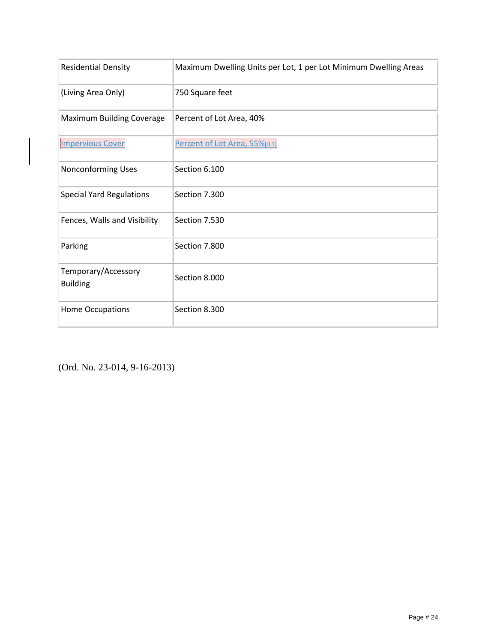| <b>Residential Density</b>             | Maximum Dwelling Units per Lot, 1 per Lot Minimum Dwelling Areas |
|----------------------------------------|------------------------------------------------------------------|
| (Living Area Only)                     | 750 Square feet                                                  |
| <b>Maximum Building Coverage</b>       | Percent of Lot Area, 40%                                         |
| <b>Impervious Cover</b>                | Percent of Lot Area, 55%[JL1]                                    |
| Nonconforming Uses                     | Section 6.100                                                    |
| <b>Special Yard Regulations</b>        | Section 7.300                                                    |
| Fences, Walls and Visibility           | Section 7.530                                                    |
| Parking                                | Section 7.800                                                    |
| Temporary/Accessory<br><b>Building</b> | Section 8.000                                                    |
| <b>Home Occupations</b>                | Section 8.300                                                    |

(Ord. No. 23-014, 9-16-2013)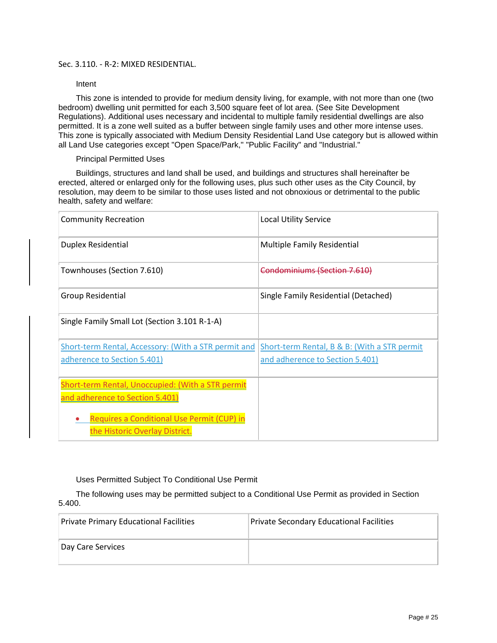## Sec. 3.110. - R-2: MIXED RESIDENTIAL.

#### Intent

This zone is intended to provide for medium density living, for example, with not more than one (two bedroom) dwelling unit permitted for each 3,500 square feet of lot area. (See Site Development Regulations). Additional uses necessary and incidental to multiple family residential dwellings are also permitted. It is a zone well suited as a buffer between single family uses and other more intense uses. This zone is typically associated with Medium Density Residential Land Use category but is allowed within all Land Use categories except "Open Space/Park," "Public Facility" and "Industrial."

## Principal Permitted Uses

Buildings, structures and land shall be used, and buildings and structures shall hereinafter be erected, altered or enlarged only for the following uses, plus such other uses as the City Council, by resolution, may deem to be similar to those uses listed and not obnoxious or detrimental to the public health, safety and welfare:

| <b>Community Recreation</b>                                                          | <b>Local Utility Service</b>                                                    |
|--------------------------------------------------------------------------------------|---------------------------------------------------------------------------------|
| Duplex Residential                                                                   | <b>Multiple Family Residential</b>                                              |
| Townhouses (Section 7.610)                                                           | Condominiums (Section 7.610)                                                    |
| Group Residential                                                                    | Single Family Residential (Detached)                                            |
| Single Family Small Lot (Section 3.101 R-1-A)                                        |                                                                                 |
| Short-term Rental, Accessory: (With a STR permit and<br>adherence to Section 5.401)  | Short-term Rental, B & B: (With a STR permit<br>and adherence to Section 5.401) |
| Short-term Rental, Unoccupied: (With a STR permit<br>and adherence to Section 5.401) |                                                                                 |
| Requires a Conditional Use Permit (CUP) in<br>the Historic Overlay District.         |                                                                                 |

# Uses Permitted Subject To Conditional Use Permit

The following uses may be permitted subject to a Conditional Use Permit as provided in Section 5.400.

| <b>Private Primary Educational Facilities</b> | Private Secondary Educational Facilities |
|-----------------------------------------------|------------------------------------------|
| Day Care Services                             |                                          |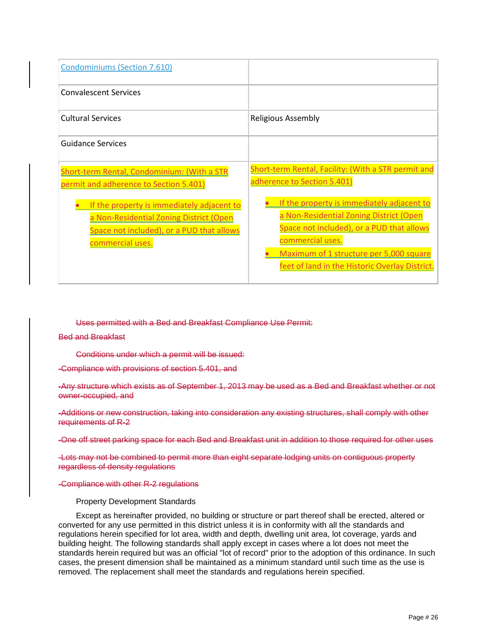| <b>Condominiums (Section 7.610)</b>                                                                                                                    |                                                                                                                                                                                                                                                     |
|--------------------------------------------------------------------------------------------------------------------------------------------------------|-----------------------------------------------------------------------------------------------------------------------------------------------------------------------------------------------------------------------------------------------------|
| <b>Convalescent Services</b>                                                                                                                           |                                                                                                                                                                                                                                                     |
| <b>Cultural Services</b>                                                                                                                               | <b>Religious Assembly</b>                                                                                                                                                                                                                           |
| <b>Guidance Services</b>                                                                                                                               |                                                                                                                                                                                                                                                     |
| Short-term Rental, Condominium: (With a STR<br>permit and adherence to Section 5.401)                                                                  | Short-term Rental, Facility: (With a STR permit and<br>adherence to Section 5.401)                                                                                                                                                                  |
| If the property is immediately adjacent to<br>a Non-Residential Zoning District (Open<br>Space not included), or a PUD that allows<br>commercial uses. | If the property is immediately adjacent to<br>a Non-Residential Zoning District (Open<br>Space not included), or a PUD that allows<br>commercial uses.<br>Maximum of 1 structure per 5,000 square<br>feet of land in the Historic Overlay District. |

Uses permitted with a Bed and Breakfast Compliance Use Permit:

Bed and Breakfast

Conditions under which a permit will be issued:

-Compliance with provisions of section 5.401, and

-Any structure which exists as of September 1, 2013 may be used as a Bed and Breakfast whether or not owner-occupied, and

-Additions or new construction, taking into consideration any existing structures, shall comply with other requirements of R-2

-One off street parking space for each Bed and Breakfast unit in addition to those required for other uses

-Lots may not be combined to permit more than eight separate lodging units on contiguous property regardless of density regulations

-Compliance with other R-2 regulations

Property Development Standards

Except as hereinafter provided, no building or structure or part thereof shall be erected, altered or converted for any use permitted in this district unless it is in conformity with all the standards and regulations herein specified for lot area, width and depth, dwelling unit area, lot coverage, yards and building height. The following standards shall apply except in cases where a lot does not meet the standards herein required but was an official "lot of record" prior to the adoption of this ordinance. In such cases, the present dimension shall be maintained as a minimum standard until such time as the use is removed. The replacement shall meet the standards and regulations herein specified.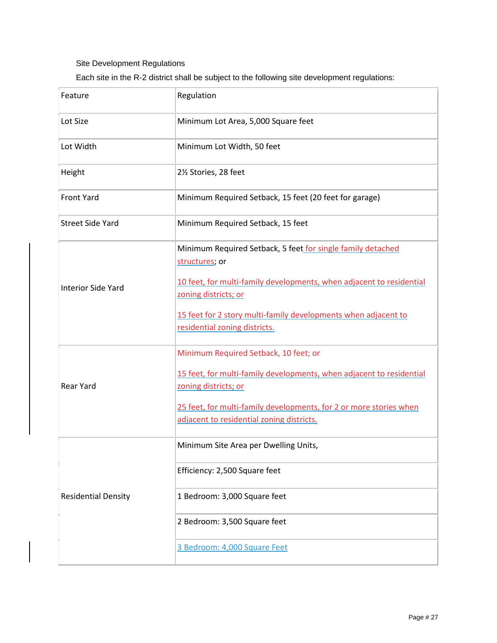Site Development Regulations

Each site in the R-2 district shall be subject to the following site development regulations:

| Feature                    | Regulation                                                                    |
|----------------------------|-------------------------------------------------------------------------------|
| Lot Size                   | Minimum Lot Area, 5,000 Square feet                                           |
| Lot Width                  | Minimum Lot Width, 50 feet                                                    |
| Height                     | 21/ <sub>2</sub> Stories, 28 feet                                             |
| Front Yard                 | Minimum Required Setback, 15 feet (20 feet for garage)                        |
| <b>Street Side Yard</b>    | Minimum Required Setback, 15 feet                                             |
|                            | Minimum Required Setback, 5 feet for single family detached<br>structures; or |
|                            | 10 feet, for multi-family developments, when adjacent to residential          |
| <b>Interior Side Yard</b>  | zoning districts; or                                                          |
|                            | 15 feet for 2 story multi-family developments when adjacent to                |
|                            | residential zoning districts.                                                 |
|                            | Minimum Required Setback, 10 feet; or                                         |
|                            | 15 feet, for multi-family developments, when adjacent to residential          |
| <b>Rear Yard</b>           | zoning districts; or                                                          |
|                            | 25 feet, for multi-family developments, for 2 or more stories when            |
|                            | adjacent to residential zoning districts.                                     |
|                            | Minimum Site Area per Dwelling Units,                                         |
| <b>Residential Density</b> | Efficiency: 2,500 Square feet                                                 |
|                            | 1 Bedroom: 3,000 Square feet                                                  |
|                            | 2 Bedroom: 3,500 Square feet                                                  |
|                            | 3 Bedroom: 4,000 Square Feet                                                  |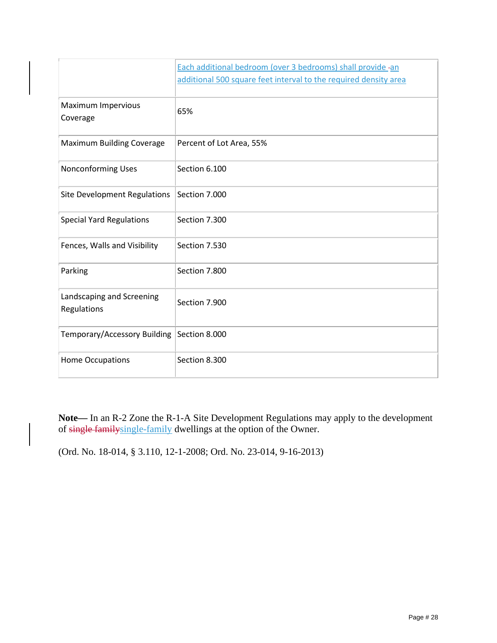|                                          | Each additional bedroom (over 3 bedrooms) shall provide -an<br>additional 500 square feet interval to the required density area |
|------------------------------------------|---------------------------------------------------------------------------------------------------------------------------------|
| Maximum Impervious<br>Coverage           | 65%                                                                                                                             |
| Maximum Building Coverage                | Percent of Lot Area, 55%                                                                                                        |
| Nonconforming Uses                       | Section 6.100                                                                                                                   |
| <b>Site Development Regulations</b>      | Section 7.000                                                                                                                   |
| <b>Special Yard Regulations</b>          | Section 7.300                                                                                                                   |
| Fences, Walls and Visibility             | Section 7.530                                                                                                                   |
| Parking                                  | Section 7.800                                                                                                                   |
| Landscaping and Screening<br>Regulations | Section 7.900                                                                                                                   |
| Temporary/Accessory Building             | Section 8.000                                                                                                                   |
| <b>Home Occupations</b>                  | Section 8.300                                                                                                                   |

**Note—** In an R-2 Zone the R-1-A Site Development Regulations may apply to the development of single familysingle-family dwellings at the option of the Owner.

(Ord. No. 18-014, § 3.110, 12-1-2008; Ord. No. 23-014, 9-16-2013)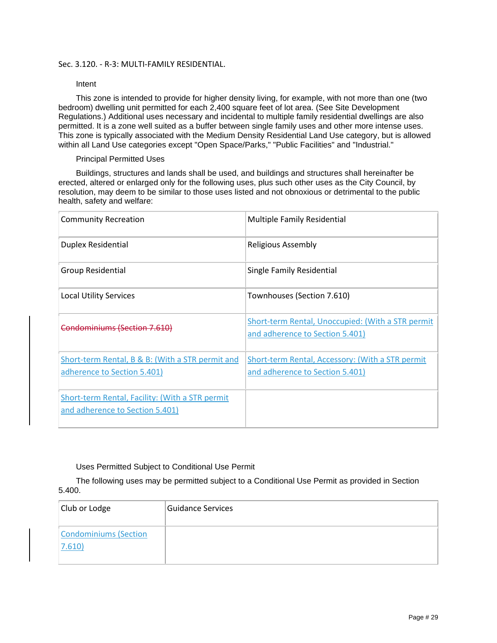## Sec. 3.120. - R-3: MULTI-FAMILY RESIDENTIAL.

#### Intent

This zone is intended to provide for higher density living, for example, with not more than one (two bedroom) dwelling unit permitted for each 2,400 square feet of lot area. (See Site Development Regulations.) Additional uses necessary and incidental to multiple family residential dwellings are also permitted. It is a zone well suited as a buffer between single family uses and other more intense uses. This zone is typically associated with the Medium Density Residential Land Use category, but is allowed within all Land Use categories except "Open Space/Parks," "Public Facilities" and "Industrial."

## Principal Permitted Uses

Buildings, structures and lands shall be used, and buildings and structures shall hereinafter be erected, altered or enlarged only for the following uses, plus such other uses as the City Council, by resolution, may deem to be similar to those uses listed and not obnoxious or detrimental to the public health, safety and welfare:

| <b>Community Recreation</b>                                                        | <b>Multiple Family Residential</b>                                                   |
|------------------------------------------------------------------------------------|--------------------------------------------------------------------------------------|
| <b>Duplex Residential</b>                                                          | <b>Religious Assembly</b>                                                            |
| Group Residential                                                                  | Single Family Residential                                                            |
| <b>Local Utility Services</b>                                                      | Townhouses (Section 7.610)                                                           |
| Condominiums (Section 7.610)                                                       | Short-term Rental, Unoccupied: (With a STR permit<br>and adherence to Section 5.401) |
| Short-term Rental, B & B: (With a STR permit and<br>adherence to Section 5.401)    | Short-term Rental, Accessory: (With a STR permit<br>and adherence to Section 5.401)  |
| Short-term Rental, Facility: (With a STR permit<br>and adherence to Section 5.401) |                                                                                      |

# Uses Permitted Subject to Conditional Use Permit

The following uses may be permitted subject to a Conditional Use Permit as provided in Section 5.400.

| Club or Lodge                          | Guidance Services |
|----------------------------------------|-------------------|
| <b>Condominiums (Section</b><br>7.610) |                   |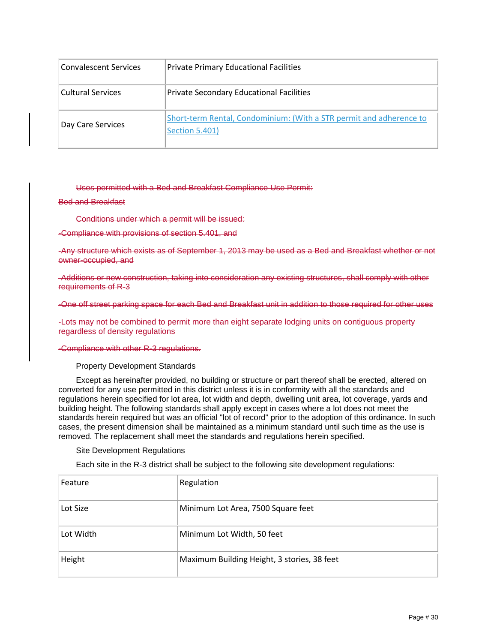| <b>Convalescent Services</b> | <b>Private Primary Educational Facilities</b>                                                |
|------------------------------|----------------------------------------------------------------------------------------------|
| <b>Cultural Services</b>     | <b>Private Secondary Educational Facilities</b>                                              |
| Day Care Services            | Short-term Rental, Condominium: (With a STR permit and adherence to<br><b>Section 5.401)</b> |

## Uses permitted with a Bed and Breakfast Compliance Use Permit:

#### Bed and Breakfast

Conditions under which a permit will be issued:

-Compliance with provisions of section 5.401, and

-Any structure which exists as of September 1, 2013 may be used as a Bed and Breakfast whether or not owner-occupied, and

-Additions or new construction, taking into consideration any existing structures, shall comply with other requirements of R-3

-One off street parking space for each Bed and Breakfast unit in addition to those required for other uses

-Lots may not be combined to permit more than eight separate lodging units on contiguous property regardless of density regulations

-Compliance with other R-3 regulations.

#### Property Development Standards

Except as hereinafter provided, no building or structure or part thereof shall be erected, altered on converted for any use permitted in this district unless it is in conformity with all the standards and regulations herein specified for lot area, lot width and depth, dwelling unit area, lot coverage, yards and building height. The following standards shall apply except in cases where a lot does not meet the standards herein required but was an official "lot of record" prior to the adoption of this ordinance. In such cases, the present dimension shall be maintained as a minimum standard until such time as the use is removed. The replacement shall meet the standards and regulations herein specified.

# Site Development Regulations

Each site in the R-3 district shall be subject to the following site development regulations:

| Feature   | Regulation                                  |
|-----------|---------------------------------------------|
| Lot Size  | Minimum Lot Area, 7500 Square feet          |
| Lot Width | Minimum Lot Width, 50 feet                  |
| Height    | Maximum Building Height, 3 stories, 38 feet |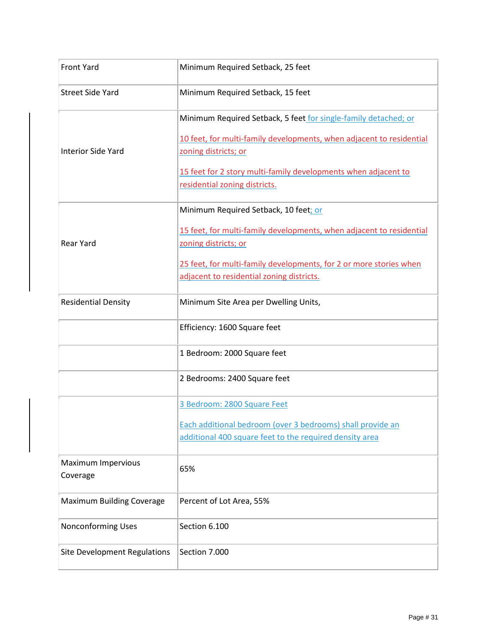| Front Yard                     | Minimum Required Setback, 25 feet                                                                               |
|--------------------------------|-----------------------------------------------------------------------------------------------------------------|
| <b>Street Side Yard</b>        | Minimum Required Setback, 15 feet                                                                               |
|                                | Minimum Required Setback, 5 feet for single-family detached; or                                                 |
| <b>Interior Side Yard</b>      | 10 feet, for multi-family developments, when adjacent to residential<br>zoning districts; or                    |
|                                | 15 feet for 2 story multi-family developments when adjacent to<br>residential zoning districts.                 |
|                                | Minimum Required Setback, 10 feet; or                                                                           |
| <b>Rear Yard</b>               | 15 feet, for multi-family developments, when adjacent to residential<br>zoning districts; or                    |
|                                | 25 feet, for multi-family developments, for 2 or more stories when<br>adjacent to residential zoning districts. |
| <b>Residential Density</b>     | Minimum Site Area per Dwelling Units,                                                                           |
|                                | Efficiency: 1600 Square feet                                                                                    |
|                                | 1 Bedroom: 2000 Square feet                                                                                     |
|                                | 2 Bedrooms: 2400 Square feet                                                                                    |
|                                | 3 Bedroom: 2800 Square Feet                                                                                     |
|                                | Each additional bedroom (over 3 bedrooms) shall provide an                                                      |
|                                | additional 400 square feet to the required density area                                                         |
| Maximum Impervious<br>Coverage | 65%                                                                                                             |
| Maximum Building Coverage      | Percent of Lot Area, 55%                                                                                        |
| Nonconforming Uses             | Section 6.100                                                                                                   |
| Site Development Regulations   | Section 7.000                                                                                                   |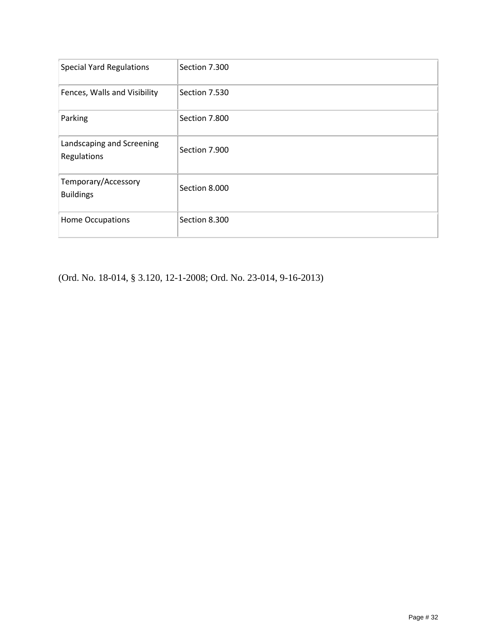| <b>Special Yard Regulations</b>          | Section 7.300 |
|------------------------------------------|---------------|
| Fences, Walls and Visibility             | Section 7.530 |
| Parking                                  | Section 7.800 |
| Landscaping and Screening<br>Regulations | Section 7.900 |
| Temporary/Accessory<br><b>Buildings</b>  | Section 8.000 |
| Home Occupations                         | Section 8.300 |

(Ord. No. 18-014, § 3.120, 12-1-2008; Ord. No. 23-014, 9-16-2013)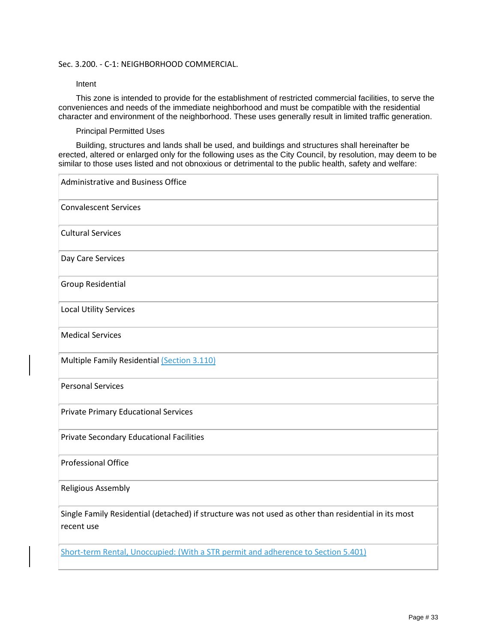# Sec. 3.200. - C-1: NEIGHBORHOOD COMMERCIAL.

#### Intent

This zone is intended to provide for the establishment of restricted commercial facilities, to serve the conveniences and needs of the immediate neighborhood and must be compatible with the residential character and environment of the neighborhood. These uses generally result in limited traffic generation.

#### Principal Permitted Uses

Building, structures and lands shall be used, and buildings and structures shall hereinafter be erected, altered or enlarged only for the following uses as the City Council, by resolution, may deem to be similar to those uses listed and not obnoxious or detrimental to the public health, safety and welfare:

| <b>Administrative and Business Office</b>                                                                          |
|--------------------------------------------------------------------------------------------------------------------|
| <b>Convalescent Services</b>                                                                                       |
| <b>Cultural Services</b>                                                                                           |
| Day Care Services                                                                                                  |
| <b>Group Residential</b>                                                                                           |
| <b>Local Utility Services</b>                                                                                      |
| <b>Medical Services</b>                                                                                            |
| Multiple Family Residential (Section 3.110)                                                                        |
| <b>Personal Services</b>                                                                                           |
| <b>Private Primary Educational Services</b>                                                                        |
| <b>Private Secondary Educational Facilities</b>                                                                    |
| <b>Professional Office</b>                                                                                         |
| Religious Assembly                                                                                                 |
| Single Family Residential (detached) if structure was not used as other than residential in its most<br>recent use |
| Short-term Rental, Unoccupied: (With a STR permit and adherence to Section 5.401)                                  |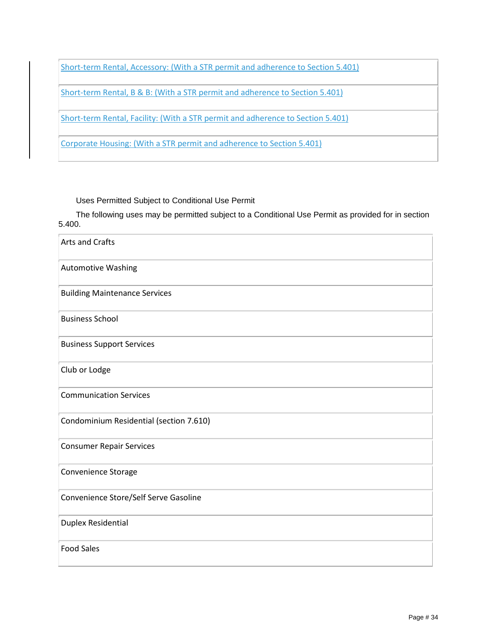Short-term Rental, Accessory: (With a STR permit and adherence to Section 5.401)

Short-term Rental, B & B: (With a STR permit and adherence to Section 5.401)

Short-term Rental, Facility: (With a STR permit and adherence to Section 5.401)

Corporate Housing: (With a STR permit and adherence to Section 5.401)

# Uses Permitted Subject to Conditional Use Permit

The following uses may be permitted subject to a Conditional Use Permit as provided for in section 5.400.

| <b>Arts and Crafts</b>                  |
|-----------------------------------------|
| <b>Automotive Washing</b>               |
| <b>Building Maintenance Services</b>    |
| <b>Business School</b>                  |
| <b>Business Support Services</b>        |
| Club or Lodge                           |
| <b>Communication Services</b>           |
| Condominium Residential (section 7.610) |
| <b>Consumer Repair Services</b>         |
| Convenience Storage                     |
| Convenience Store/Self Serve Gasoline   |
| <b>Duplex Residential</b>               |
| <b>Food Sales</b>                       |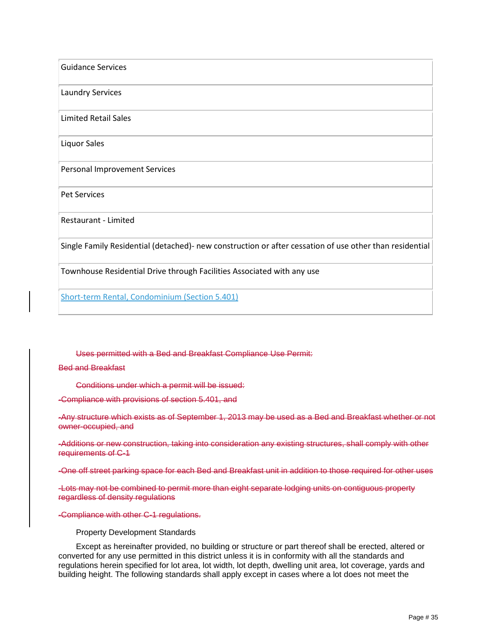| <b>Guidance Services</b>                                                                                |
|---------------------------------------------------------------------------------------------------------|
| <b>Laundry Services</b>                                                                                 |
| <b>Limited Retail Sales</b>                                                                             |
| Liquor Sales                                                                                            |
| Personal Improvement Services                                                                           |
| <b>Pet Services</b>                                                                                     |
| Restaurant - Limited                                                                                    |
| Single Family Residential (detached)- new construction or after cessation of use other than residential |
| Townhouse Residential Drive through Facilities Associated with any use                                  |
| Short-term Rental, Condominium (Section 5.401)                                                          |

Uses permitted with a Bed and Breakfast Compliance Use Permit:

Bed and Breakfast

Conditions under which a permit will be issued:

-Compliance with provisions of section 5.401, and

-Any structure which exists as of September 1, 2013 may be used as a Bed and Breakfast whether or not owner-occupied, and

-Additions or new construction, taking into consideration any existing structures, shall comply with other requirements of C-1

-One off street parking space for each Bed and Breakfast unit in addition to those required for other uses

-Lots may not be combined to permit more than eight separate lodging units on contiguous property regardless of density regulations

-Compliance with other C-1 regulations.

Property Development Standards

Except as hereinafter provided, no building or structure or part thereof shall be erected, altered or converted for any use permitted in this district unless it is in conformity with all the standards and regulations herein specified for lot area, lot width, lot depth, dwelling unit area, lot coverage, yards and building height. The following standards shall apply except in cases where a lot does not meet the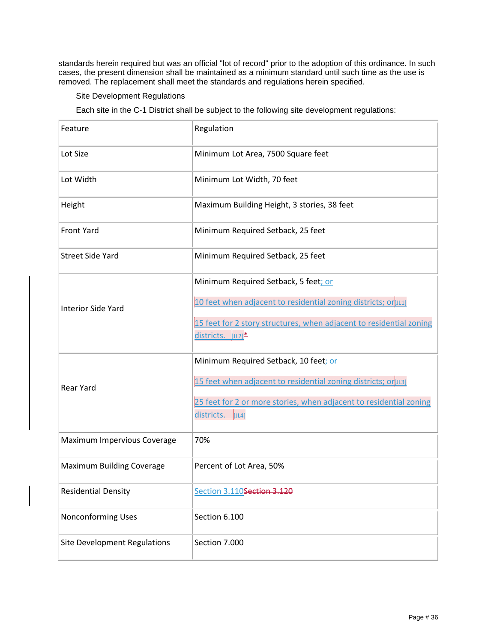standards herein required but was an official "lot of record" prior to the adoption of this ordinance. In such cases, the present dimension shall be maintained as a minimum standard until such time as the use is removed. The replacement shall meet the standards and regulations herein specified.

# Site Development Regulations

Each site in the C-1 District shall be subject to the following site development regulations:

| Feature                             | Regulation                                                          |
|-------------------------------------|---------------------------------------------------------------------|
| Lot Size                            | Minimum Lot Area, 7500 Square feet                                  |
| Lot Width                           | Minimum Lot Width, 70 feet                                          |
| Height                              | Maximum Building Height, 3 stories, 38 feet                         |
| <b>Front Yard</b>                   | Minimum Required Setback, 25 feet                                   |
| <b>Street Side Yard</b>             | Minimum Required Setback, 25 feet                                   |
|                                     | Minimum Required Setback, 5 feet; or                                |
| <b>Interior Side Yard</b>           | 10 feet when adjacent to residential zoning districts; or [111]     |
|                                     | 15 feet for 2 story structures, when adjacent to residential zoning |
|                                     | districts. $[JL2]$ *                                                |
|                                     | Minimum Required Setback, 10 feet; or                               |
| <b>Rear Yard</b>                    | 15 feet when adjacent to residential zoning districts; or 113]      |
|                                     | 25 feet for 2 or more stories, when adjacent to residential zoning  |
|                                     | districts.<br>[JL4]                                                 |
| Maximum Impervious Coverage         | 70%                                                                 |
| Maximum Building Coverage           | Percent of Lot Area, 50%                                            |
| <b>Residential Density</b>          | Section 3.110Section 3.120                                          |
| Nonconforming Uses                  | Section 6.100                                                       |
| <b>Site Development Regulations</b> | Section 7.000                                                       |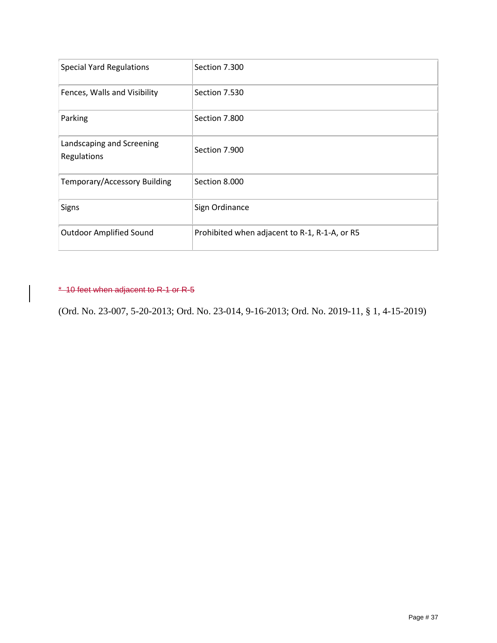| <b>Special Yard Regulations</b>          | Section 7.300                                 |
|------------------------------------------|-----------------------------------------------|
| Fences, Walls and Visibility             | Section 7.530                                 |
| Parking                                  | Section 7.800                                 |
| Landscaping and Screening<br>Regulations | Section 7.900                                 |
| Temporary/Accessory Building             | Section 8.000                                 |
| Signs                                    | Sign Ordinance                                |
| <b>Outdoor Amplified Sound</b>           | Prohibited when adjacent to R-1, R-1-A, or R5 |

# \* 10 feet when adjacent to R-1 or R-5

(Ord. No. 23-007, 5-20-2013; Ord. No. 23-014, 9-16-2013; Ord. No. 2019-11, § 1, 4-15-2019)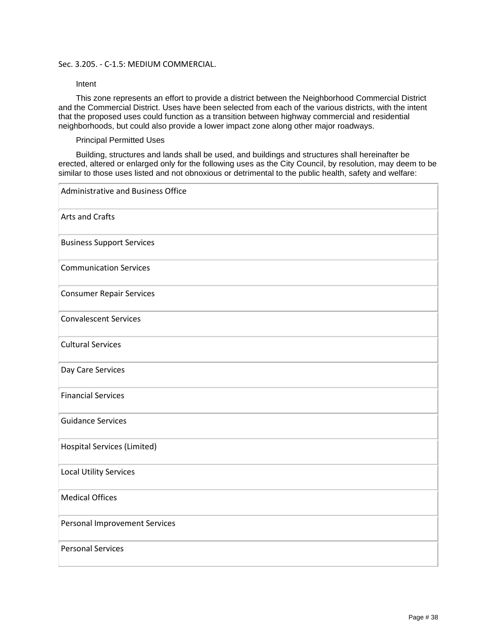# Sec. 3.205. - C-1.5: MEDIUM COMMERCIAL.

#### Intent

This zone represents an effort to provide a district between the Neighborhood Commercial District and the Commercial District. Uses have been selected from each of the various districts, with the intent that the proposed uses could function as a transition between highway commercial and residential neighborhoods, but could also provide a lower impact zone along other major roadways.

# Principal Permitted Uses

Building, structures and lands shall be used, and buildings and structures shall hereinafter be erected, altered or enlarged only for the following uses as the City Council, by resolution, may deem to be similar to those uses listed and not obnoxious or detrimental to the public health, safety and welfare:

| Administrative and Business Office   |
|--------------------------------------|
| <b>Arts and Crafts</b>               |
| <b>Business Support Services</b>     |
| <b>Communication Services</b>        |
| <b>Consumer Repair Services</b>      |
| <b>Convalescent Services</b>         |
| <b>Cultural Services</b>             |
| Day Care Services                    |
| <b>Financial Services</b>            |
| <b>Guidance Services</b>             |
| <b>Hospital Services (Limited)</b>   |
| <b>Local Utility Services</b>        |
| <b>Medical Offices</b>               |
| <b>Personal Improvement Services</b> |
| <b>Personal Services</b>             |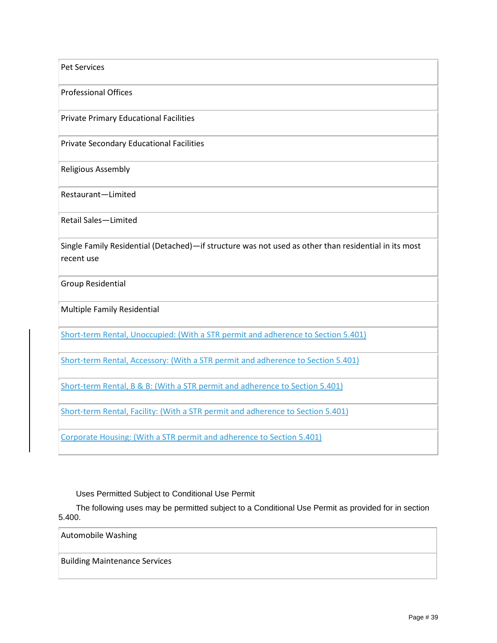| <b>Pet Services</b>                                                                                                |
|--------------------------------------------------------------------------------------------------------------------|
| <b>Professional Offices</b>                                                                                        |
| <b>Private Primary Educational Facilities</b>                                                                      |
| <b>Private Secondary Educational Facilities</b>                                                                    |
| <b>Religious Assembly</b>                                                                                          |
| Restaurant-Limited                                                                                                 |
| <b>Retail Sales-Limited</b>                                                                                        |
| Single Family Residential (Detached)-if structure was not used as other than residential in its most<br>recent use |
| <b>Group Residential</b>                                                                                           |
| Multiple Family Residential                                                                                        |
| Short-term Rental, Unoccupied: (With a STR permit and adherence to Section 5.401)                                  |
|                                                                                                                    |
| Short-term Rental, Accessory: (With a STR permit and adherence to Section 5.401)                                   |
| Short-term Rental, B & B: (With a STR permit and adherence to Section 5.401)                                       |
| Short-term Rental, Facility: (With a STR permit and adherence to Section 5.401)                                    |

Uses Permitted Subject to Conditional Use Permit

The following uses may be permitted subject to a Conditional Use Permit as provided for in section 5.400.

Automobile Washing

Building Maintenance Services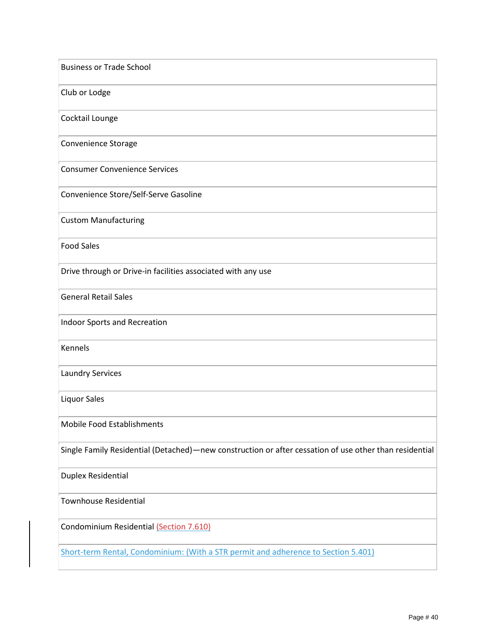| <b>Business or Trade School</b>                                                                        |
|--------------------------------------------------------------------------------------------------------|
| Club or Lodge                                                                                          |
| Cocktail Lounge                                                                                        |
| Convenience Storage                                                                                    |
| <b>Consumer Convenience Services</b>                                                                   |
| Convenience Store/Self-Serve Gasoline                                                                  |
| <b>Custom Manufacturing</b>                                                                            |
| <b>Food Sales</b>                                                                                      |
| Drive through or Drive-in facilities associated with any use                                           |
| <b>General Retail Sales</b>                                                                            |
| <b>Indoor Sports and Recreation</b>                                                                    |
| Kennels                                                                                                |
| <b>Laundry Services</b>                                                                                |
| <b>Liquor Sales</b>                                                                                    |
| Mobile Food Establishments                                                                             |
| Single Family Residential (Detached)-new construction or after cessation of use other than residential |
| <b>Duplex Residential</b>                                                                              |
| <b>Townhouse Residential</b>                                                                           |
| Condominium Residential (Section 7.610)                                                                |
| Short-term Rental, Condominium: (With a STR permit and adherence to Section 5.401)                     |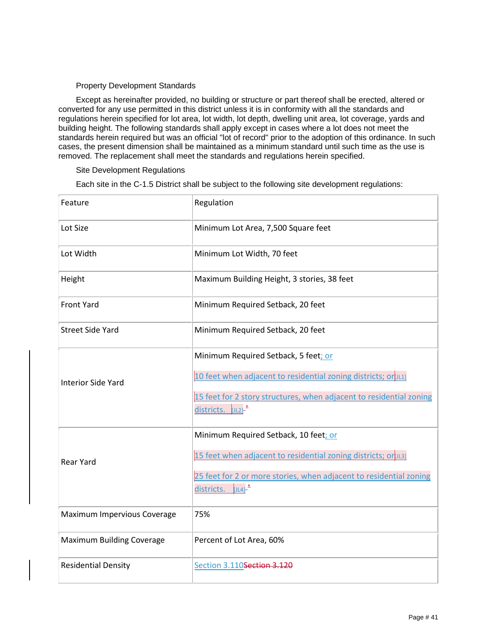# Property Development Standards

Except as hereinafter provided, no building or structure or part thereof shall be erected, altered or converted for any use permitted in this district unless it is in conformity with all the standards and regulations herein specified for lot area, lot width, lot depth, dwelling unit area, lot coverage, yards and building height. The following standards shall apply except in cases where a lot does not meet the standards herein required but was an official "lot of record" prior to the adoption of this ordinance. In such cases, the present dimension shall be maintained as a minimum standard until such time as the use is removed. The replacement shall meet the standards and regulations herein specified.

# Site Development Regulations

Each site in the C-1.5 District shall be subject to the following site development regulations:

| Feature                          | Regulation                                                                                               |
|----------------------------------|----------------------------------------------------------------------------------------------------------|
| Lot Size                         | Minimum Lot Area, 7,500 Square feet                                                                      |
| Lot Width                        | Minimum Lot Width, 70 feet                                                                               |
| Height                           | Maximum Building Height, 3 stories, 38 feet                                                              |
| <b>Front Yard</b>                | Minimum Required Setback, 20 feet                                                                        |
| <b>Street Side Yard</b>          | Minimum Required Setback, 20 feet                                                                        |
|                                  | Minimum Required Setback, 5 feet; or                                                                     |
| <b>Interior Side Yard</b>        | 10 feet when adjacent to residential zoning districts; or [JL1]                                          |
|                                  | 15 feet for 2 story structures, when adjacent to residential zoning<br>districts. $[JL2]$ <sup>*</sup>   |
|                                  | Minimum Required Setback, 10 feet; or                                                                    |
| <b>Rear Yard</b>                 | 15 feet when adjacent to residential zoning districts; or [JL3]                                          |
|                                  | 25 feet for 2 or more stories, when adjacent to residential zoning<br>$[JL4]$ <sup>*</sup><br>districts. |
| Maximum Impervious Coverage      | 75%                                                                                                      |
| <b>Maximum Building Coverage</b> | Percent of Lot Area, 60%                                                                                 |
| <b>Residential Density</b>       | Section 3.110Section 3.120                                                                               |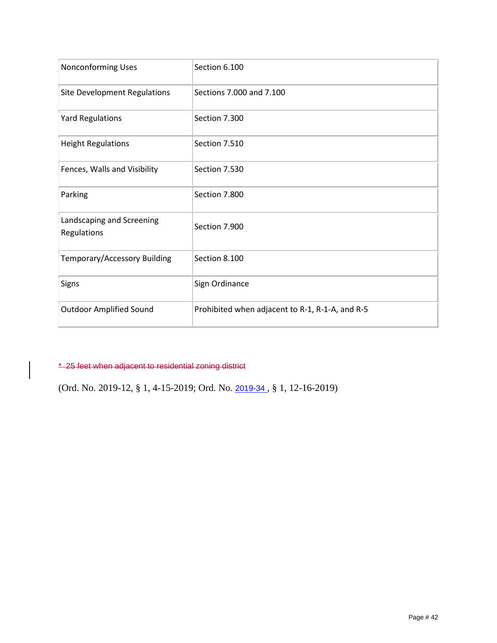| <b>Nonconforming Uses</b>                | Section 6.100                                   |
|------------------------------------------|-------------------------------------------------|
| <b>Site Development Regulations</b>      | Sections 7.000 and 7.100                        |
| <b>Yard Regulations</b>                  | Section 7.300                                   |
| <b>Height Regulations</b>                | Section 7.510                                   |
| Fences, Walls and Visibility             | Section 7.530                                   |
| Parking                                  | Section 7.800                                   |
| Landscaping and Screening<br>Regulations | Section 7.900                                   |
| Temporary/Accessory Building             | Section 8.100                                   |
| Signs                                    | Sign Ordinance                                  |
| <b>Outdoor Amplified Sound</b>           | Prohibited when adjacent to R-1, R-1-A, and R-5 |

\* 25 feet when adjacent to residential zoning district

(Ord. No. 2019-12, § 1, 4-15-2019; Ord. No. [2019-34](http://newords.municode.com/readordinance.aspx?ordinanceid=1057984&datasource=ordbank) , § 1, 12-16-2019)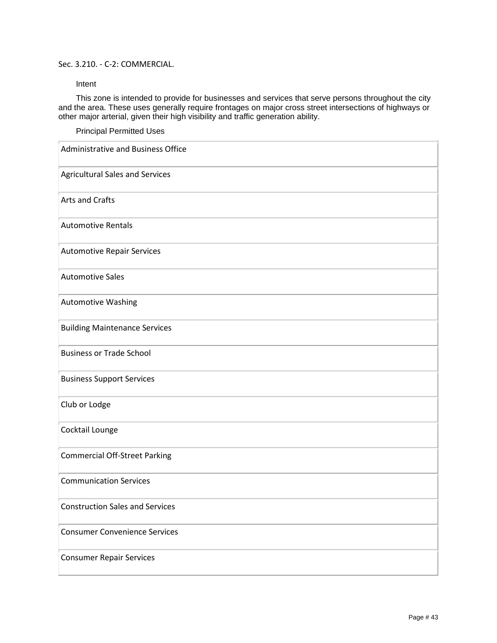# Sec. 3.210. - C-2: COMMERCIAL.

#### Intent

This zone is intended to provide for businesses and services that serve persons throughout the city and the area. These uses generally require frontages on major cross street intersections of highways or other major arterial, given their high visibility and traffic generation ability.

Principal Permitted Uses

| Administrative and Business Office     |
|----------------------------------------|
| <b>Agricultural Sales and Services</b> |
| Arts and Crafts                        |
| <b>Automotive Rentals</b>              |
| <b>Automotive Repair Services</b>      |
| <b>Automotive Sales</b>                |
| <b>Automotive Washing</b>              |
| <b>Building Maintenance Services</b>   |
| <b>Business or Trade School</b>        |
| <b>Business Support Services</b>       |
| Club or Lodge                          |
| Cocktail Lounge                        |
| <b>Commercial Off-Street Parking</b>   |
| <b>Communication Services</b>          |
| <b>Construction Sales and Services</b> |
| <b>Consumer Convenience Services</b>   |
| <b>Consumer Repair Services</b>        |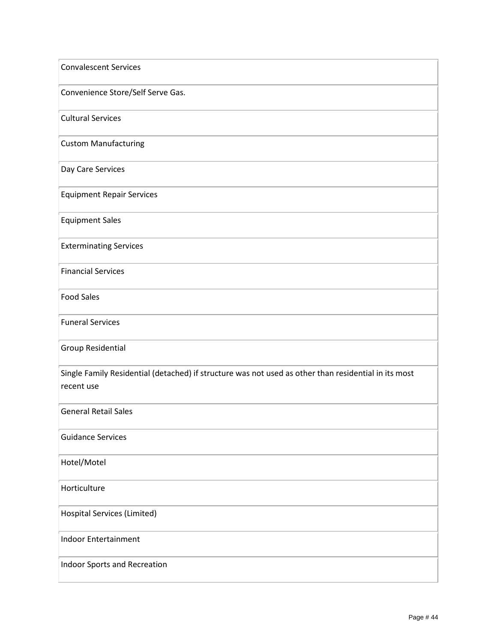| <b>Convalescent Services</b>                                                                                       |
|--------------------------------------------------------------------------------------------------------------------|
| Convenience Store/Self Serve Gas.                                                                                  |
| <b>Cultural Services</b>                                                                                           |
| <b>Custom Manufacturing</b>                                                                                        |
| Day Care Services                                                                                                  |
| <b>Equipment Repair Services</b>                                                                                   |
| <b>Equipment Sales</b>                                                                                             |
| <b>Exterminating Services</b>                                                                                      |
| <b>Financial Services</b>                                                                                          |
| <b>Food Sales</b>                                                                                                  |
| <b>Funeral Services</b>                                                                                            |
| Group Residential                                                                                                  |
| Single Family Residential (detached) if structure was not used as other than residential in its most<br>recent use |
| <b>General Retail Sales</b>                                                                                        |
| <b>Guidance Services</b>                                                                                           |
| Hotel/Motel                                                                                                        |
| Horticulture                                                                                                       |
| <b>Hospital Services (Limited)</b>                                                                                 |
| <b>Indoor Entertainment</b>                                                                                        |
| <b>Indoor Sports and Recreation</b>                                                                                |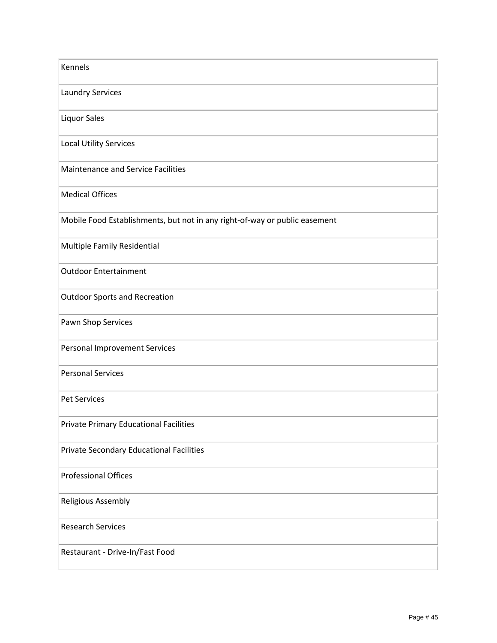| Kennels                                                                    |
|----------------------------------------------------------------------------|
| Laundry Services                                                           |
| <b>Liquor Sales</b>                                                        |
| <b>Local Utility Services</b>                                              |
| Maintenance and Service Facilities                                         |
| <b>Medical Offices</b>                                                     |
| Mobile Food Establishments, but not in any right-of-way or public easement |
| Multiple Family Residential                                                |
| <b>Outdoor Entertainment</b>                                               |
| <b>Outdoor Sports and Recreation</b>                                       |
| Pawn Shop Services                                                         |
| Personal Improvement Services                                              |
| <b>Personal Services</b>                                                   |
| <b>Pet Services</b>                                                        |
| <b>Private Primary Educational Facilities</b>                              |
| Private Secondary Educational Facilities                                   |
| <b>Professional Offices</b>                                                |
| Religious Assembly                                                         |
| <b>Research Services</b>                                                   |
| Restaurant - Drive-In/Fast Food                                            |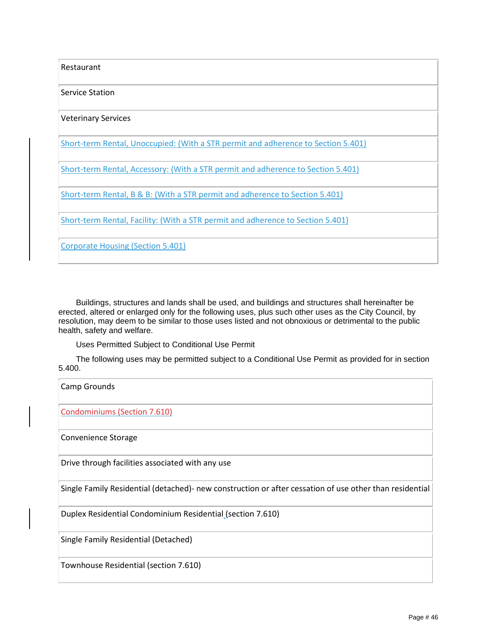| Restaurant                                                                        |
|-----------------------------------------------------------------------------------|
| Service Station                                                                   |
| <b>Veterinary Services</b>                                                        |
| Short-term Rental, Unoccupied: (With a STR permit and adherence to Section 5.401) |
| Short-term Rental, Accessory: (With a STR permit and adherence to Section 5.401)  |
| Short-term Rental, B & B: (With a STR permit and adherence to Section 5.401)      |
| Short-term Rental, Facility: (With a STR permit and adherence to Section 5.401)   |
| <b>Corporate Housing (Section 5.401)</b>                                          |

Buildings, structures and lands shall be used, and buildings and structures shall hereinafter be erected, altered or enlarged only for the following uses, plus such other uses as the City Council, by resolution, may deem to be similar to those uses listed and not obnoxious or detrimental to the public health, safety and welfare.

Uses Permitted Subject to Conditional Use Permit

The following uses may be permitted subject to a Conditional Use Permit as provided for in section 5.400.

| Camp Grounds                                                                                            |
|---------------------------------------------------------------------------------------------------------|
| <b>Condominiums (Section 7.610)</b>                                                                     |
| Convenience Storage                                                                                     |
| Drive through facilities associated with any use                                                        |
| Single Family Residential (detached)- new construction or after cessation of use other than residential |
| Duplex Residential Condominium Residential (section 7.610)                                              |
| Single Family Residential (Detached)                                                                    |
| Townhouse Residential (section 7.610)                                                                   |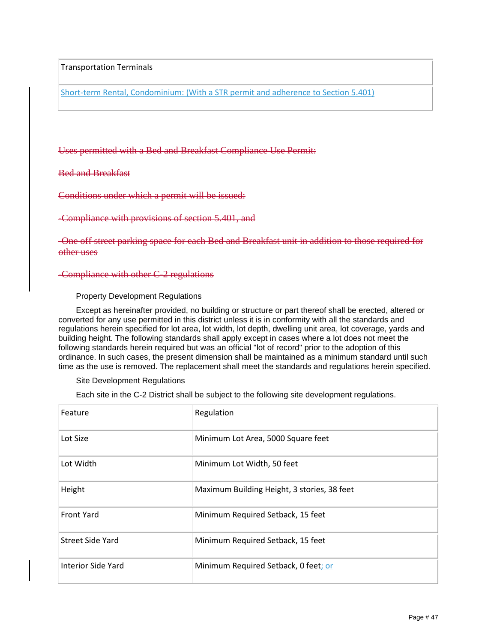Transportation Terminals

Short-term Rental, Condominium: (With a STR permit and adherence to Section 5.401)

Uses permitted with a Bed and Breakfast Compliance Use Permit:

Bed and Breakfast

Conditions under which a permit will be issued:

-Compliance with provisions of section 5.401, and

-One off street parking space for each Bed and Breakfast unit in addition to those required for other uses

-Compliance with other C-2 regulations

Property Development Regulations

Except as hereinafter provided, no building or structure or part thereof shall be erected, altered or converted for any use permitted in this district unless it is in conformity with all the standards and regulations herein specified for lot area, lot width, lot depth, dwelling unit area, lot coverage, yards and building height. The following standards shall apply except in cases where a lot does not meet the following standards herein required but was an official "lot of record" prior to the adoption of this ordinance. In such cases, the present dimension shall be maintained as a minimum standard until such time as the use is removed. The replacement shall meet the standards and regulations herein specified.

Site Development Regulations

Each site in the C-2 District shall be subject to the following site development regulations.

| Feature            | Regulation                                  |
|--------------------|---------------------------------------------|
| Lot Size           | Minimum Lot Area, 5000 Square feet          |
| Lot Width          | Minimum Lot Width, 50 feet                  |
| Height             | Maximum Building Height, 3 stories, 38 feet |
| <b>Front Yard</b>  | Minimum Required Setback, 15 feet           |
| Street Side Yard   | Minimum Required Setback, 15 feet           |
| Interior Side Yard | Minimum Required Setback, 0 feet; or        |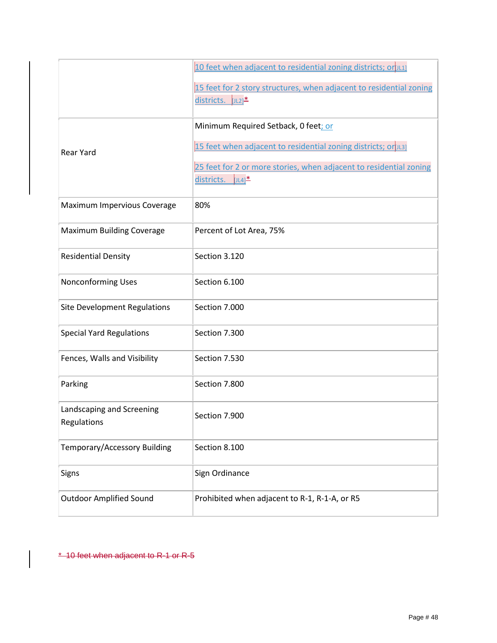|                                          | 10 feet when adjacent to residential zoning districts; or [11]                                           |
|------------------------------------------|----------------------------------------------------------------------------------------------------------|
|                                          | 15 feet for 2 story structures, when adjacent to residential zoning<br>districts. [JL2]*                 |
|                                          | Minimum Required Setback, 0 feet; or                                                                     |
| <b>Rear Yard</b>                         | 15 feet when adjacent to residential zoning districts; or [JL3]                                          |
|                                          | 25 feet for 2 or more stories, when adjacent to residential zoning<br>districts.<br>$[JL4]$ <sup>*</sup> |
| Maximum Impervious Coverage              | 80%                                                                                                      |
| <b>Maximum Building Coverage</b>         | Percent of Lot Area, 75%                                                                                 |
| <b>Residential Density</b>               | Section 3.120                                                                                            |
| Nonconforming Uses                       | Section 6.100                                                                                            |
| <b>Site Development Regulations</b>      | Section 7.000                                                                                            |
| <b>Special Yard Regulations</b>          | Section 7.300                                                                                            |
| Fences, Walls and Visibility             | Section 7.530                                                                                            |
| Parking                                  | Section 7.800                                                                                            |
| Landscaping and Screening<br>Regulations | Section 7.900                                                                                            |
| Temporary/Accessory Building             | Section 8.100                                                                                            |
| Signs                                    | Sign Ordinance                                                                                           |
| <b>Outdoor Amplified Sound</b>           | Prohibited when adjacent to R-1, R-1-A, or R5                                                            |

\* 10 feet when adjacent to R-1 or R-5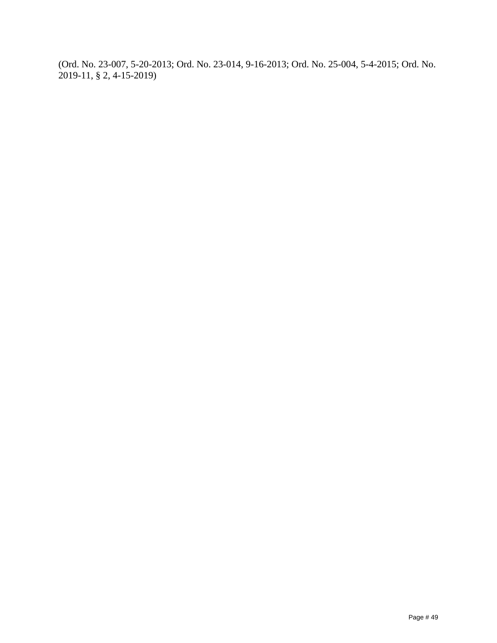(Ord. No. 23-007, 5-20-2013; Ord. No. 23-014, 9-16-2013; Ord. No. 25-004, 5-4-2015; Ord. No. 2019-11, § 2, 4-15-2019)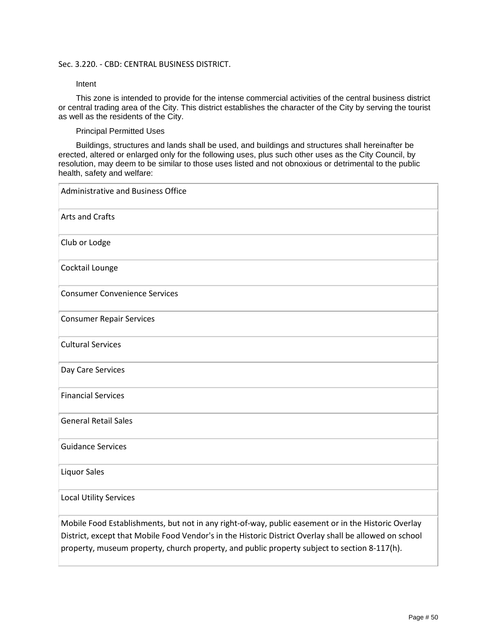# Sec. 3.220. - CBD: CENTRAL BUSINESS DISTRICT.

#### Intent

This zone is intended to provide for the intense commercial activities of the central business district or central trading area of the City. This district establishes the character of the City by serving the tourist as well as the residents of the City.

## Principal Permitted Uses

Buildings, structures and lands shall be used, and buildings and structures shall hereinafter be erected, altered or enlarged only for the following uses, plus such other uses as the City Council, by resolution, may deem to be similar to those uses listed and not obnoxious or detrimental to the public health, safety and welfare:

| <b>Administrative and Business Office</b>                                                                                                                                                                                                                                                                     |
|---------------------------------------------------------------------------------------------------------------------------------------------------------------------------------------------------------------------------------------------------------------------------------------------------------------|
| Arts and Crafts                                                                                                                                                                                                                                                                                               |
| Club or Lodge                                                                                                                                                                                                                                                                                                 |
| Cocktail Lounge                                                                                                                                                                                                                                                                                               |
| <b>Consumer Convenience Services</b>                                                                                                                                                                                                                                                                          |
| <b>Consumer Repair Services</b>                                                                                                                                                                                                                                                                               |
| <b>Cultural Services</b>                                                                                                                                                                                                                                                                                      |
| Day Care Services                                                                                                                                                                                                                                                                                             |
| <b>Financial Services</b>                                                                                                                                                                                                                                                                                     |
| <b>General Retail Sales</b>                                                                                                                                                                                                                                                                                   |
| <b>Guidance Services</b>                                                                                                                                                                                                                                                                                      |
| <b>Liquor Sales</b>                                                                                                                                                                                                                                                                                           |
| <b>Local Utility Services</b>                                                                                                                                                                                                                                                                                 |
| Mobile Food Establishments, but not in any right-of-way, public easement or in the Historic Overlay<br>District, except that Mobile Food Vendor's in the Historic District Overlay shall be allowed on school<br>property, museum property, church property, and public property subject to section 8-117(h). |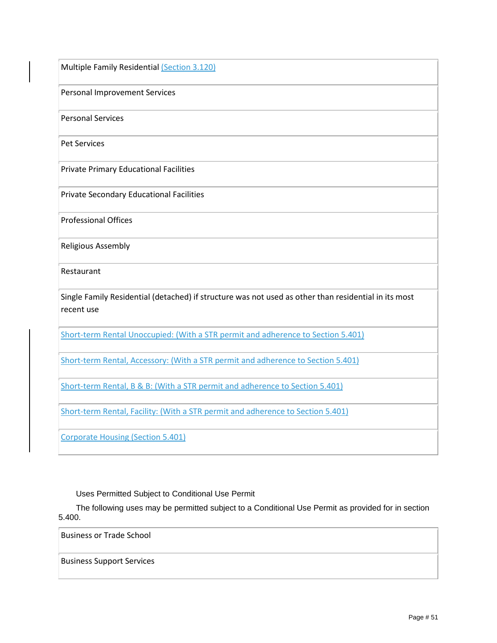Multiple Family Residential (Section 3.120)

Personal Improvement Services

Personal Services

Pet Services

Private Primary Educational Facilities

Private Secondary Educational Facilities

Professional Offices

Religious Assembly

Restaurant

Single Family Residential (detached) if structure was not used as other than residential in its most recent use

Short-term Rental Unoccupied: (With a STR permit and adherence to Section 5.401)

Short-term Rental, Accessory: (With a STR permit and adherence to Section 5.401)

Short-term Rental, B & B: (With a STR permit and adherence to Section 5.401)

Short-term Rental, Facility: (With a STR permit and adherence to Section 5.401)

Corporate Housing (Section 5.401)

Uses Permitted Subject to Conditional Use Permit

The following uses may be permitted subject to a Conditional Use Permit as provided for in section 5.400.

Business or Trade School

Business Support Services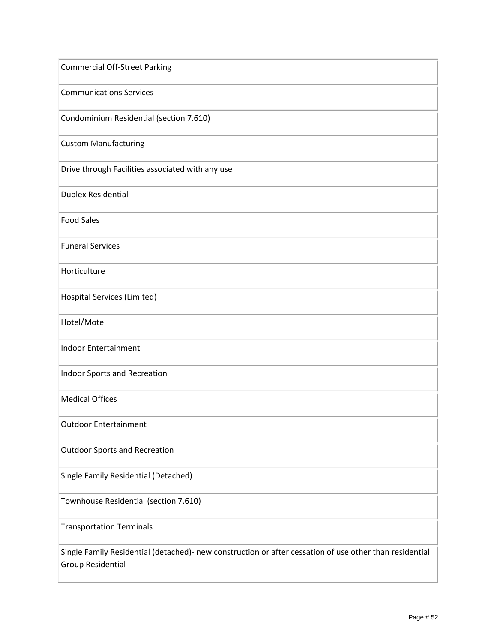| <b>Commercial Off-Street Parking</b>                                                                                                |
|-------------------------------------------------------------------------------------------------------------------------------------|
| <b>Communications Services</b>                                                                                                      |
| Condominium Residential (section 7.610)                                                                                             |
| <b>Custom Manufacturing</b>                                                                                                         |
| Drive through Facilities associated with any use                                                                                    |
| <b>Duplex Residential</b>                                                                                                           |
| <b>Food Sales</b>                                                                                                                   |
| <b>Funeral Services</b>                                                                                                             |
| Horticulture                                                                                                                        |
| Hospital Services (Limited)                                                                                                         |
| Hotel/Motel                                                                                                                         |
| <b>Indoor Entertainment</b>                                                                                                         |
| <b>Indoor Sports and Recreation</b>                                                                                                 |
| <b>Medical Offices</b>                                                                                                              |
| <b>Outdoor Entertainment</b>                                                                                                        |
| <b>Outdoor Sports and Recreation</b>                                                                                                |
| Single Family Residential (Detached)                                                                                                |
| Townhouse Residential (section 7.610)                                                                                               |
| <b>Transportation Terminals</b>                                                                                                     |
| Single Family Residential (detached)- new construction or after cessation of use other than residential<br><b>Group Residential</b> |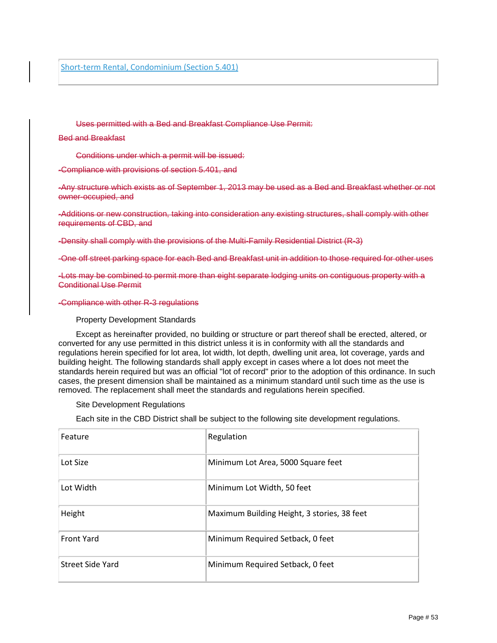#### Uses permitted with a Bed and Breakfast Compliance Use Permit:

#### Bed and Breakfast

Conditions under which a permit will be issued:

-Compliance with provisions of section 5.401, and

-Any structure which exists as of September 1, 2013 may be used as a Bed and Breakfast whether or not owner-occupied, and

-Additions or new construction, taking into consideration any existing structures, shall comply with other requirements of CBD, and

-Density shall comply with the provisions of the Multi-Family Residential District (R-3)

-One off street parking space for each Bed and Breakfast unit in addition to those required for other uses

-Lots may be combined to permit more than eight separate lodging units on contiguous property with a Conditional Use Permit

-Compliance with other R-3 regulations

Property Development Standards

Except as hereinafter provided, no building or structure or part thereof shall be erected, altered, or converted for any use permitted in this district unless it is in conformity with all the standards and regulations herein specified for lot area, lot width, lot depth, dwelling unit area, lot coverage, yards and building height. The following standards shall apply except in cases where a lot does not meet the standards herein required but was an official "lot of record" prior to the adoption of this ordinance. In such cases, the present dimension shall be maintained as a minimum standard until such time as the use is removed. The replacement shall meet the standards and regulations herein specified.

Site Development Regulations

Each site in the CBD District shall be subject to the following site development regulations.

| Feature           | Regulation                                  |
|-------------------|---------------------------------------------|
| Lot Size          | Minimum Lot Area, 5000 Square feet          |
| Lot Width         | Minimum Lot Width, 50 feet                  |
| Height            | Maximum Building Height, 3 stories, 38 feet |
| <b>Front Yard</b> | Minimum Required Setback, 0 feet            |
| Street Side Yard  | Minimum Required Setback, 0 feet            |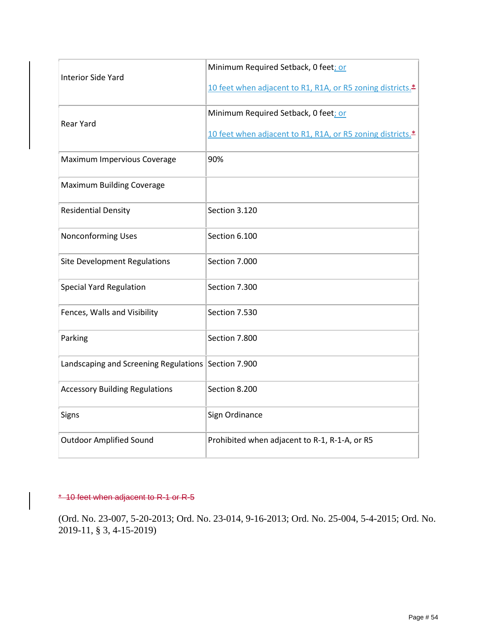| <b>Interior Side Yard</b>                           | Minimum Required Setback, 0 feet; or                       |  |
|-----------------------------------------------------|------------------------------------------------------------|--|
|                                                     | 10 feet when adjacent to R1, R1A, or R5 zoning districts.* |  |
| <b>Rear Yard</b>                                    | Minimum Required Setback, 0 feet; or                       |  |
|                                                     | 10 feet when adjacent to R1, R1A, or R5 zoning districts.* |  |
| Maximum Impervious Coverage                         | 90%                                                        |  |
| <b>Maximum Building Coverage</b>                    |                                                            |  |
| <b>Residential Density</b>                          | Section 3.120                                              |  |
| <b>Nonconforming Uses</b>                           | Section 6.100                                              |  |
| <b>Site Development Regulations</b>                 | Section 7.000                                              |  |
| <b>Special Yard Regulation</b>                      | Section 7.300                                              |  |
| Fences, Walls and Visibility                        | Section 7.530                                              |  |
| Parking                                             | Section 7.800                                              |  |
| Landscaping and Screening Regulations Section 7.900 |                                                            |  |
| <b>Accessory Building Regulations</b>               | Section 8.200                                              |  |
| Signs                                               | Sign Ordinance                                             |  |
| <b>Outdoor Amplified Sound</b>                      | Prohibited when adjacent to R-1, R-1-A, or R5              |  |

# \* 10 feet when adjacent to R-1 or R-5

(Ord. No. 23-007, 5-20-2013; Ord. No. 23-014, 9-16-2013; Ord. No. 25-004, 5-4-2015; Ord. No. 2019-11, § 3, 4-15-2019)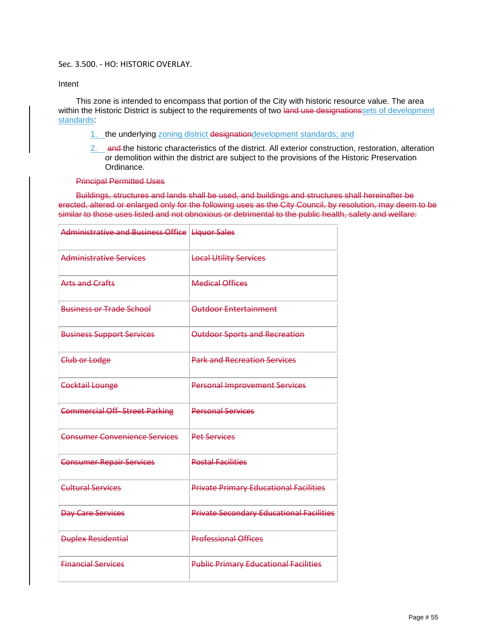# Sec. 3.500. - HO: HISTORIC OVERLAY.

#### Intent

This zone is intended to encompass that portion of the City with historic resource value. The area within the Historic District is subject to the requirements of two land use designationssets of development standards:

- 1. the underlying zoning district designationdevelopment standards; and
- 2. and the historic characteristics of the district. All exterior construction, restoration, alteration or demolition within the district are subject to the provisions of the Historic Preservation Ordinance.

# Principal Permitted Uses

Buildings, structures and lands shall be used, and buildings and structures shall hereinafter be erected, altered or enlarged only for the following uses as the City Council, by resolution, may deem to be similar to those uses listed and not obnoxious or detrimental to the public health, safety and welfare:

| Administrative and Business Office Liquor Sales |                                                 |
|-------------------------------------------------|-------------------------------------------------|
| <b>Administrative Services</b>                  | <b>Local Utility Services</b>                   |
| Arts and Crafts                                 | <b>Medical Offices</b>                          |
| <b>Business or Trade School</b>                 | <b>Outdoor Entertainment</b>                    |
| <b>Business Support Services</b>                | <b>Outdoor Sports and Recreation</b>            |
| Club or Lodge                                   | <b>Park and Recreation Services</b>             |
| Cocktail Lounge                                 | <b>Personal Improvement Services</b>            |
| <b>Commercial Off-Street Parking</b>            | <b>Personal Services</b>                        |
| <b>Consumer Convenience Services</b>            | <b>Pet Services</b>                             |
| <b>Consumer Repair Services</b>                 | <b>Postal Facilities</b>                        |
| <b>Cultural Services</b>                        | <b>Private Primary Educational Facilities</b>   |
| <b>Day Care Services</b>                        | <b>Private Secondary Educational Facilities</b> |
| <b>Duplex Residential</b>                       | <b>Professional Offices</b>                     |
| <b>Financial Services</b>                       | <b>Public Primary Educational Facilities</b>    |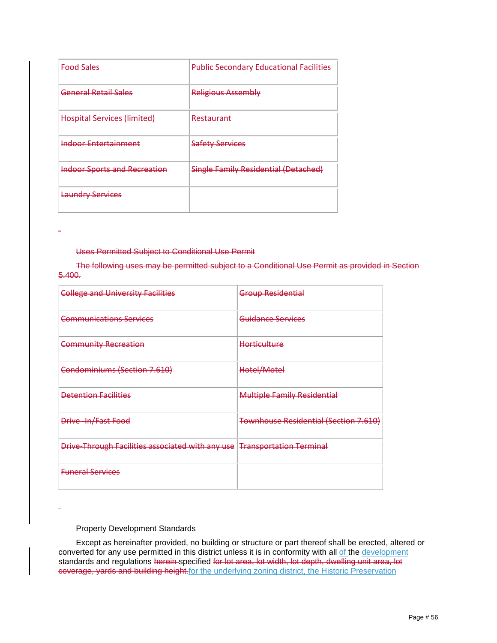| <b>Food Sales</b>                   | <b>Public Secondary Educational Facilities</b> |
|-------------------------------------|------------------------------------------------|
| <b>General Retail Sales</b>         | <b>Religious Assembly</b>                      |
| <b>Hospital Services (limited)</b>  | Restaurant                                     |
| <b>Indoor Entertainment</b>         | <b>Safety Services</b>                         |
| <b>Indoor Sports and Recreation</b> | Single Family Residential (Detached)           |
| <b>Laundry Services</b>             |                                                |

## Uses Permitted Subject to Conditional Use Permit

The following uses may be permitted subject to a Conditional Use Permit as provided in Section 5.400.

| <b>College and University Facilities</b>         | Group Residential                            |
|--------------------------------------------------|----------------------------------------------|
| <b>Communications Services</b>                   | Guidance Services                            |
| <b>Community Recreation</b>                      | <b>Horticulture</b>                          |
| Condominiums (Section 7.610)                     | Hotel/Motel                                  |
| <b>Detention Facilities</b>                      | <b>Multiple Family Residential</b>           |
| Drive-In/Fast Food                               | <b>Townhouse Residential (Section 7.610)</b> |
| Drive-Through Facilities associated with any use | <b>Transportation Terminal</b>               |
| <b>Funeral Services</b>                          |                                              |

 $\overline{a}$ 

 $\overline{a}$ 

#### Property Development Standards

Except as hereinafter provided, no building or structure or part thereof shall be erected, altered or converted for any use permitted in this district unless it is in conformity with all of the development standards and regulations herein specified for lot area, lot width, lot depth, dwelling unit area, lot coverage, yards and building height for the underlying zoning district, the Historic Preservation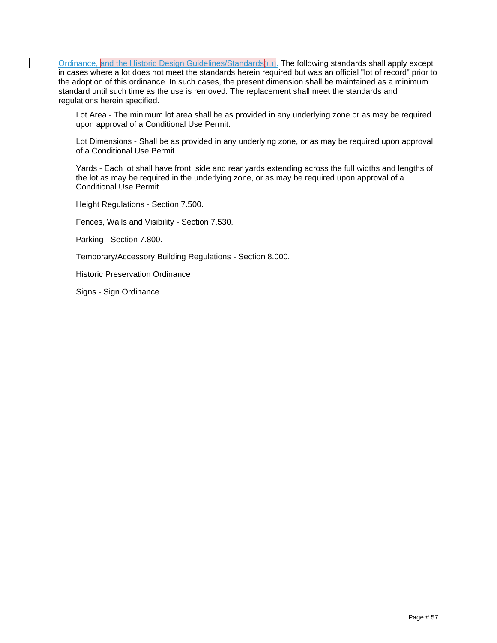Ordinance, and the Historic Design Guidelines/Standards[JL1]. The following standards shall apply except in cases where a lot does not meet the standards herein required but was an official "lot of record" prior to the adoption of this ordinance. In such cases, the present dimension shall be maintained as a minimum standard until such time as the use is removed. The replacement shall meet the standards and regulations herein specified.

Lot Area - The minimum lot area shall be as provided in any underlying zone or as may be required upon approval of a Conditional Use Permit.

Lot Dimensions - Shall be as provided in any underlying zone, or as may be required upon approval of a Conditional Use Permit.

Yards - Each lot shall have front, side and rear yards extending across the full widths and lengths of the lot as may be required in the underlying zone, or as may be required upon approval of a Conditional Use Permit.

Height Regulations - Section 7.500.

Fences, Walls and Visibility - Section 7.530.

Parking - Section 7.800.

Temporary/Accessory Building Regulations - Section 8.000.

Historic Preservation Ordinance

Signs - Sign Ordinance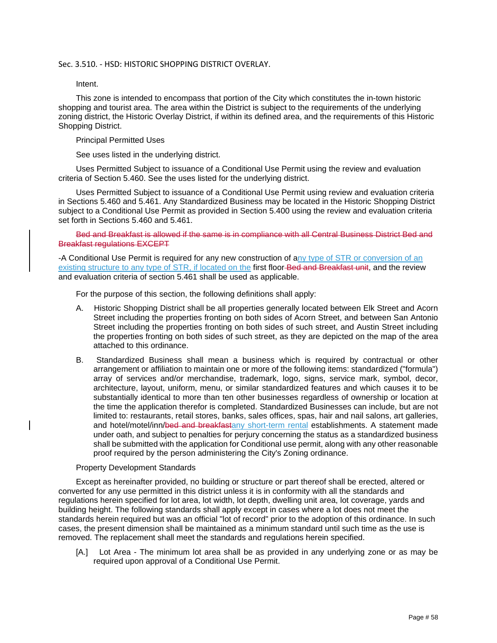#### Sec. 3.510. - HSD: HISTORIC SHOPPING DISTRICT OVERLAY.

#### Intent.

This zone is intended to encompass that portion of the City which constitutes the in-town historic shopping and tourist area. The area within the District is subject to the requirements of the underlying zoning district, the Historic Overlay District, if within its defined area, and the requirements of this Historic Shopping District.

## Principal Permitted Uses

See uses listed in the underlying district.

Uses Permitted Subject to issuance of a Conditional Use Permit using the review and evaluation criteria of Section 5.460. See the uses listed for the underlying district.

Uses Permitted Subject to issuance of a Conditional Use Permit using review and evaluation criteria in Sections 5.460 and 5.461. Any Standardized Business may be located in the Historic Shopping District subject to a Conditional Use Permit as provided in Section 5.400 using the review and evaluation criteria set forth in Sections 5.460 and 5.461.

Bed and Breakfast is allowed if the same is in compliance with all Central Business District Bed and Breakfast regulations EXCEPT

-A Conditional Use Permit is required for any new construction of any type of STR or conversion of an existing structure to any type of STR, if located on the first floor Bed and Breakfast unit, and the review and evaluation criteria of section 5.461 shall be used as applicable.

For the purpose of this section, the following definitions shall apply:

- A. Historic Shopping District shall be all properties generally located between Elk Street and Acorn Street including the properties fronting on both sides of Acorn Street, and between San Antonio Street including the properties fronting on both sides of such street, and Austin Street including the properties fronting on both sides of such street, as they are depicted on the map of the area attached to this ordinance.
- B. Standardized Business shall mean a business which is required by contractual or other arrangement or affiliation to maintain one or more of the following items: standardized ("formula") array of services and/or merchandise, trademark, logo, signs, service mark, symbol, decor, architecture, layout, uniform, menu, or similar standardized features and which causes it to be substantially identical to more than ten other businesses regardless of ownership or location at the time the application therefor is completed. Standardized Businesses can include, but are not limited to: restaurants, retail stores, banks, sales offices, spas, hair and nail salons, art galleries, and hotel/motel/inn/bed and breakfastany short-term rental establishments. A statement made under oath, and subject to penalties for perjury concerning the status as a standardized business shall be submitted with the application for Conditional use permit, along with any other reasonable proof required by the person administering the City's Zoning ordinance.

# Property Development Standards

Except as hereinafter provided, no building or structure or part thereof shall be erected, altered or converted for any use permitted in this district unless it is in conformity with all the standards and regulations herein specified for lot area, lot width, lot depth, dwelling unit area, lot coverage, yards and building height. The following standards shall apply except in cases where a lot does not meet the standards herein required but was an official "lot of record" prior to the adoption of this ordinance. In such cases, the present dimension shall be maintained as a minimum standard until such time as the use is removed. The replacement shall meet the standards and regulations herein specified.

[A.] Lot Area - The minimum lot area shall be as provided in any underlying zone or as may be required upon approval of a Conditional Use Permit.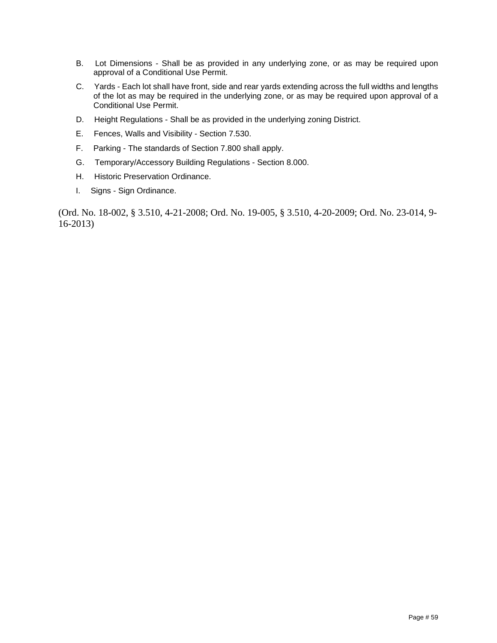- B. Lot Dimensions Shall be as provided in any underlying zone, or as may be required upon approval of a Conditional Use Permit.
- C. Yards Each lot shall have front, side and rear yards extending across the full widths and lengths of the lot as may be required in the underlying zone, or as may be required upon approval of a Conditional Use Permit.
- D. Height Regulations Shall be as provided in the underlying zoning District.
- E. Fences, Walls and Visibility Section 7.530.
- F. Parking The standards of Section 7.800 shall apply.
- G. Temporary/Accessory Building Regulations Section 8.000.
- H. Historic Preservation Ordinance.
- I. Signs Sign Ordinance.

(Ord. No. 18-002, § 3.510, 4-21-2008; Ord. No. 19-005, § 3.510, 4-20-2009; Ord. No. 23-014, 9- 16-2013)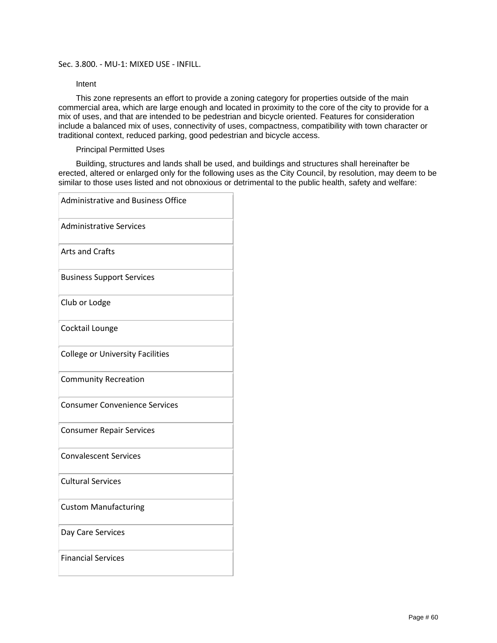### Sec. 3.800. - MU-1: MIXED USE - INFILL.

### Intent

This zone represents an effort to provide a zoning category for properties outside of the main commercial area, which are large enough and located in proximity to the core of the city to provide for a mix of uses, and that are intended to be pedestrian and bicycle oriented. Features for consideration include a balanced mix of uses, connectivity of uses, compactness, compatibility with town character or traditional context, reduced parking, good pedestrian and bicycle access.

## Principal Permitted Uses

Building, structures and lands shall be used, and buildings and structures shall hereinafter be erected, altered or enlarged only for the following uses as the City Council, by resolution, may deem to be similar to those uses listed and not obnoxious or detrimental to the public health, safety and welfare:

| <b>Administrative and Business Office</b> |
|-------------------------------------------|
| <b>Administrative Services</b>            |
| <b>Arts and Crafts</b>                    |
| <b>Business Support Services</b>          |
| Club or Lodge                             |
| Cocktail Lounge                           |
| <b>College or University Facilities</b>   |
| <b>Community Recreation</b>               |
| <b>Consumer Convenience Services</b>      |
| <b>Consumer Repair Services</b>           |
| <b>Convalescent Services</b>              |
| <b>Cultural Services</b>                  |
| <b>Custom Manufacturing</b>               |
| Day Care Services                         |
| <b>Financial Services</b>                 |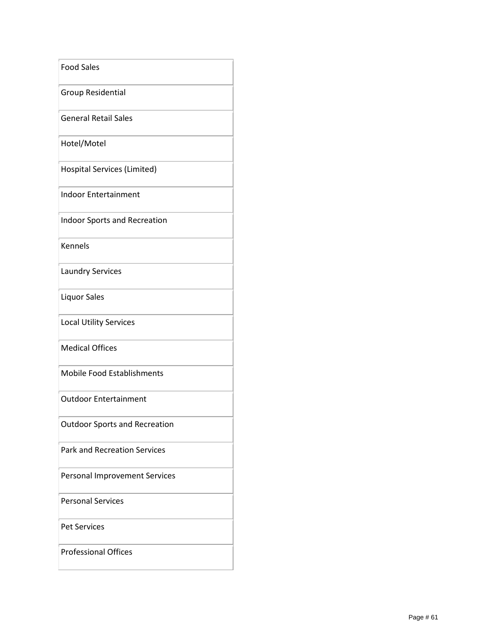| <b>Food Sales</b>                    |
|--------------------------------------|
| <b>Group Residential</b>             |
| <b>General Retail Sales</b>          |
| Hotel/Motel                          |
| Hospital Services (Limited)          |
| <b>Indoor Entertainment</b>          |
| <b>Indoor Sports and Recreation</b>  |
| Kennels                              |
| <b>Laundry Services</b>              |
| Liquor Sales                         |
| <b>Local Utility Services</b>        |
| <b>Medical Offices</b>               |
| <b>Mobile Food Establishments</b>    |
| <b>Outdoor Entertainment</b>         |
| <b>Outdoor Sports and Recreation</b> |
| <b>Park and Recreation Services</b>  |
| <b>Personal Improvement Services</b> |
| <b>Personal Services</b>             |
| <b>Pet Services</b>                  |
| <b>Professional Offices</b>          |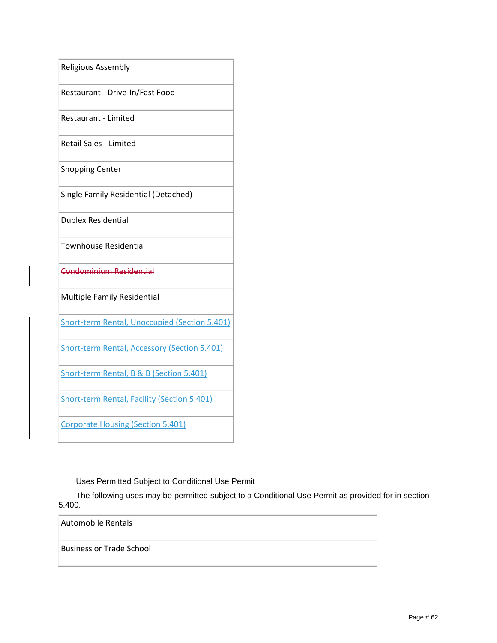| Religious Assembly                                  |
|-----------------------------------------------------|
| Restaurant - Drive-In/Fast Food                     |
| <b>Restaurant - Limited</b>                         |
| <b>Retail Sales - Limited</b>                       |
| <b>Shopping Center</b>                              |
| Single Family Residential (Detached)                |
| <b>Duplex Residential</b>                           |
| <b>Townhouse Residential</b>                        |
| Condominium Residential                             |
| Multiple Family Residential                         |
| Short-term Rental, Unoccupied (Section 5.401)       |
| <b>Short-term Rental, Accessory (Section 5.401)</b> |
| Short-term Rental, B & B (Section 5.401)            |
| Short-term Rental, Facility (Section 5.401)         |
| <b>Corporate Housing (Section 5.401)</b>            |

Uses Permitted Subject to Conditional Use Permit

The following uses may be permitted subject to a Conditional Use Permit as provided for in section 5.400.

Automobile Rentals

Business or Trade School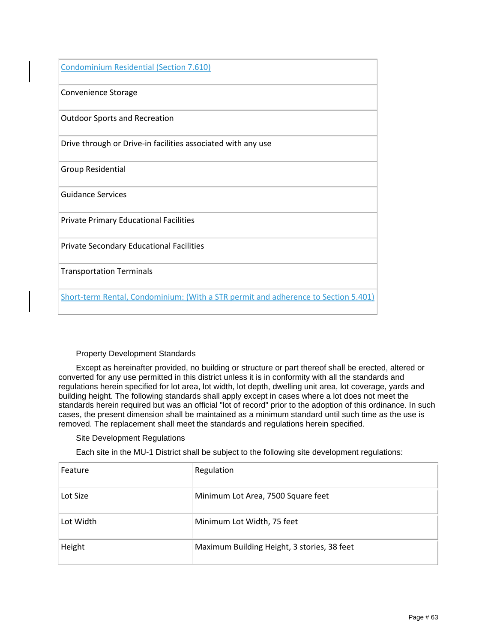| <b>Condominium Residential (Section 7.610)</b>                                     |
|------------------------------------------------------------------------------------|
| Convenience Storage                                                                |
| <b>Outdoor Sports and Recreation</b>                                               |
| Drive through or Drive-in facilities associated with any use                       |
| <b>Group Residential</b>                                                           |
| <b>Guidance Services</b>                                                           |
| <b>Private Primary Educational Facilities</b>                                      |
| <b>Private Secondary Educational Facilities</b>                                    |
| <b>Transportation Terminals</b>                                                    |
| Short-term Rental, Condominium: (With a STR permit and adherence to Section 5.401) |

# Property Development Standards

Except as hereinafter provided, no building or structure or part thereof shall be erected, altered or converted for any use permitted in this district unless it is in conformity with all the standards and regulations herein specified for lot area, lot width, lot depth, dwelling unit area, lot coverage, yards and building height. The following standards shall apply except in cases where a lot does not meet the standards herein required but was an official "lot of record" prior to the adoption of this ordinance. In such cases, the present dimension shall be maintained as a minimum standard until such time as the use is removed. The replacement shall meet the standards and regulations herein specified.

# Site Development Regulations

Each site in the MU-1 District shall be subject to the following site development regulations:

| Feature   | Regulation                                  |
|-----------|---------------------------------------------|
| Lot Size  | Minimum Lot Area, 7500 Square feet          |
| Lot Width | Minimum Lot Width, 75 feet                  |
| Height    | Maximum Building Height, 3 stories, 38 feet |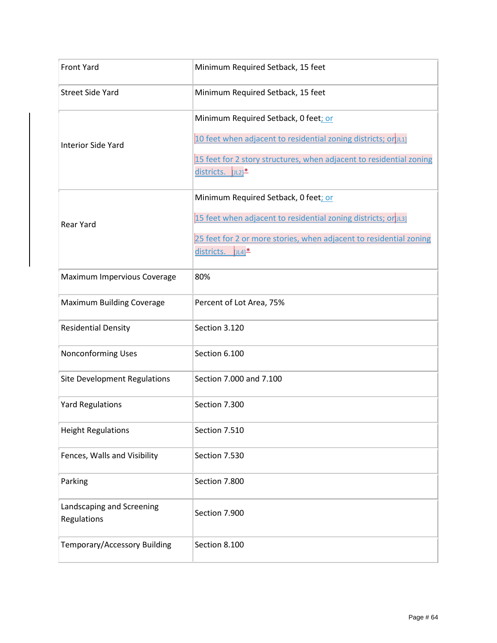| <b>Front Yard</b>                        | Minimum Required Setback, 15 feet                                                              |
|------------------------------------------|------------------------------------------------------------------------------------------------|
| <b>Street Side Yard</b>                  | Minimum Required Setback, 15 feet                                                              |
| <b>Interior Side Yard</b>                | Minimum Required Setback, 0 feet; or                                                           |
|                                          | 10 feet when adjacent to residential zoning districts; or [11]                                 |
|                                          | 15 feet for 2 story structures, when adjacent to residential zoning<br>$[JL2]$ *<br>districts. |
|                                          | Minimum Required Setback, 0 feet; or                                                           |
| <b>Rear Yard</b>                         | 15 feet when adjacent to residential zoning districts; or [JL3]                                |
|                                          | 25 feet for 2 or more stories, when adjacent to residential zoning<br>districts.<br>$[JL4]$ *  |
| Maximum Impervious Coverage              | 80%                                                                                            |
| <b>Maximum Building Coverage</b>         | Percent of Lot Area, 75%                                                                       |
| <b>Residential Density</b>               | Section 3.120                                                                                  |
| Nonconforming Uses                       | Section 6.100                                                                                  |
| <b>Site Development Regulations</b>      | Section 7.000 and 7.100                                                                        |
| <b>Yard Regulations</b>                  | Section 7.300                                                                                  |
| <b>Height Regulations</b>                | Section 7.510                                                                                  |
| Fences, Walls and Visibility             | Section 7.530                                                                                  |
| Parking                                  | Section 7.800                                                                                  |
| Landscaping and Screening<br>Regulations | Section 7.900                                                                                  |
| Temporary/Accessory Building             | Section 8.100                                                                                  |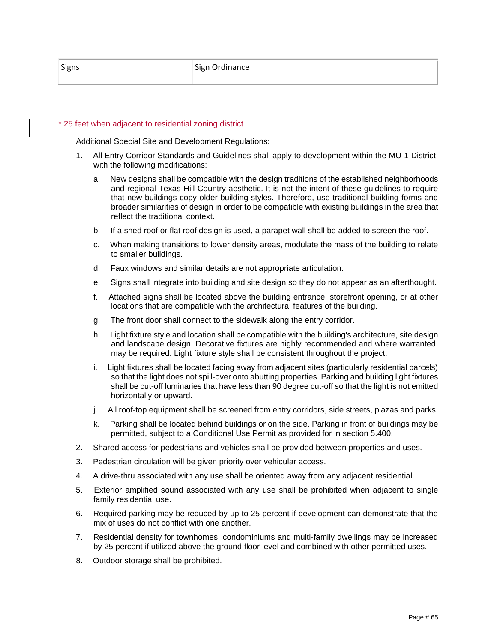| Signs | <sup>I</sup> Sign Ordinance |
|-------|-----------------------------|
|       |                             |

#### \* 25 feet when adjacent to residential zoning district

Additional Special Site and Development Regulations:

- 1. All Entry Corridor Standards and Guidelines shall apply to development within the MU-1 District, with the following modifications:
	- a. New designs shall be compatible with the design traditions of the established neighborhoods and regional Texas Hill Country aesthetic. It is not the intent of these guidelines to require that new buildings copy older building styles. Therefore, use traditional building forms and broader similarities of design in order to be compatible with existing buildings in the area that reflect the traditional context.
	- b. If a shed roof or flat roof design is used, a parapet wall shall be added to screen the roof.
	- c. When making transitions to lower density areas, modulate the mass of the building to relate to smaller buildings.
	- d. Faux windows and similar details are not appropriate articulation.
	- e. Signs shall integrate into building and site design so they do not appear as an afterthought.
	- f. Attached signs shall be located above the building entrance, storefront opening, or at other locations that are compatible with the architectural features of the building.
	- g. The front door shall connect to the sidewalk along the entry corridor.
	- h. Light fixture style and location shall be compatible with the building's architecture, site design and landscape design. Decorative fixtures are highly recommended and where warranted, may be required. Light fixture style shall be consistent throughout the project.
	- i. Light fixtures shall be located facing away from adjacent sites (particularly residential parcels) so that the light does not spill-over onto abutting properties. Parking and building light fixtures shall be cut-off luminaries that have less than 90 degree cut-off so that the light is not emitted horizontally or upward.
	- j. All roof-top equipment shall be screened from entry corridors, side streets, plazas and parks.
	- k. Parking shall be located behind buildings or on the side. Parking in front of buildings may be permitted, subject to a Conditional Use Permit as provided for in section 5.400.
- 2. Shared access for pedestrians and vehicles shall be provided between properties and uses.
- 3. Pedestrian circulation will be given priority over vehicular access.
- 4. A drive-thru associated with any use shall be oriented away from any adjacent residential.
- 5. Exterior amplified sound associated with any use shall be prohibited when adjacent to single family residential use.
- 6. Required parking may be reduced by up to 25 percent if development can demonstrate that the mix of uses do not conflict with one another.
- 7. Residential density for townhomes, condominiums and multi-family dwellings may be increased by 25 percent if utilized above the ground floor level and combined with other permitted uses.
- 8. Outdoor storage shall be prohibited.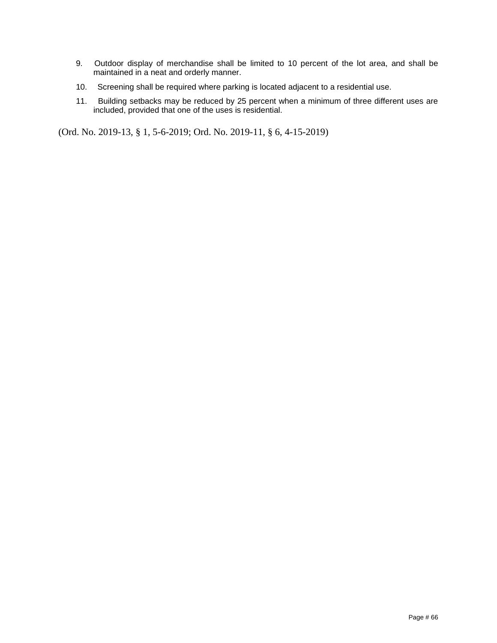- 9. Outdoor display of merchandise shall be limited to 10 percent of the lot area, and shall be maintained in a neat and orderly manner.
- 10. Screening shall be required where parking is located adjacent to a residential use.
- 11. Building setbacks may be reduced by 25 percent when a minimum of three different uses are included, provided that one of the uses is residential.

(Ord. No. 2019-13, § 1, 5-6-2019; Ord. No. 2019-11, § 6, 4-15-2019)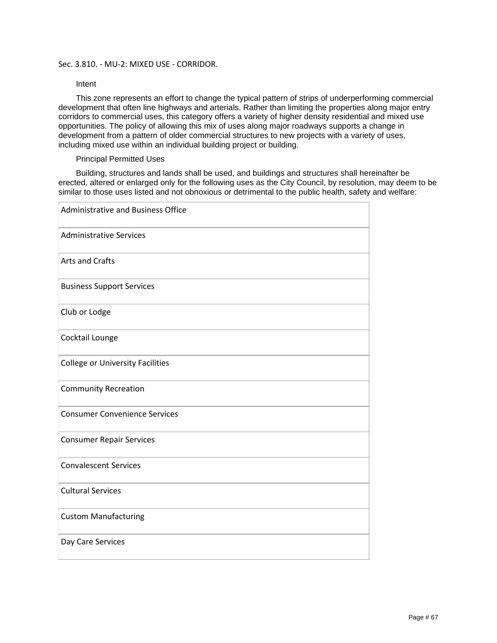### Sec. 3.810. - MU-2: MIXED USE - CORRIDOR.

### Intent

This zone represents an effort to change the typical pattern of strips of underperforming commercial development that often line highways and arterials. Rather than limiting the properties along major entry corridors to commercial uses, this category offers a variety of higher density residential and mixed use opportunities. The policy of allowing this mix of uses along major roadways supports a change in development from a pattern of older commercial structures to new projects with a variety of uses, including mixed use within an individual building project or building.

Principal Permitted Uses

Building, structures and lands shall be used, and buildings and structures shall hereinafter be erected, altered or enlarged only for the following uses as the City Council, by resolution, may deem to be similar to those uses listed and not obnoxious or detrimental to the public health, safety and welfare:

| <b>Administrative and Business Office</b> |
|-------------------------------------------|
| <b>Administrative Services</b>            |
| <b>Arts and Crafts</b>                    |
| <b>Business Support Services</b>          |
| Club or Lodge                             |
| Cocktail Lounge                           |
| <b>College or University Facilities</b>   |
| <b>Community Recreation</b>               |
| <b>Consumer Convenience Services</b>      |
| <b>Consumer Repair Services</b>           |
| <b>Convalescent Services</b>              |
| <b>Cultural Services</b>                  |
| <b>Custom Manufacturing</b>               |
| Day Care Services                         |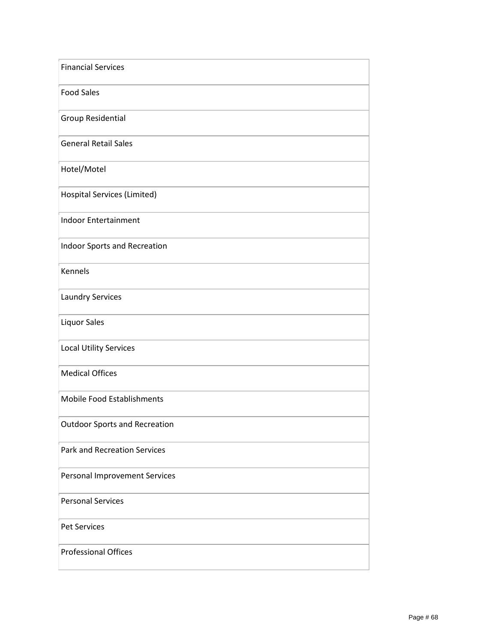| <b>Financial Services</b>            |
|--------------------------------------|
| <b>Food Sales</b>                    |
| Group Residential                    |
| <b>General Retail Sales</b>          |
| Hotel/Motel                          |
| Hospital Services (Limited)          |
| <b>Indoor Entertainment</b>          |
| <b>Indoor Sports and Recreation</b>  |
| Kennels                              |
| <b>Laundry Services</b>              |
| <b>Liquor Sales</b>                  |
| Local Utility Services               |
| <b>Medical Offices</b>               |
| <b>Mobile Food Establishments</b>    |
| <b>Outdoor Sports and Recreation</b> |
| <b>Park and Recreation Services</b>  |
| Personal Improvement Services        |
| <b>Personal Services</b>             |
| <b>Pet Services</b>                  |
| <b>Professional Offices</b>          |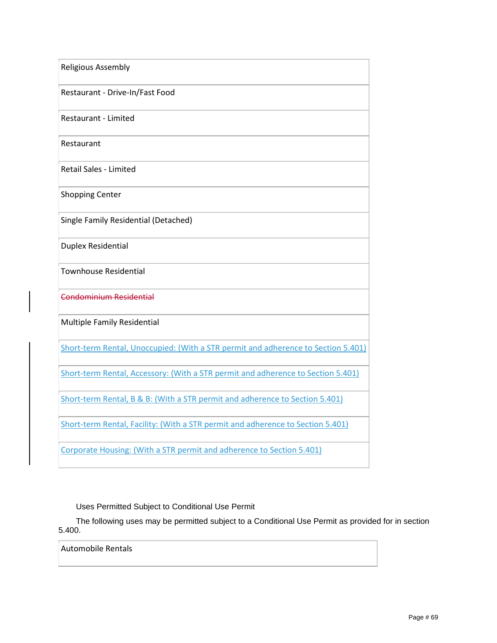| <b>Religious Assembly</b>                                                         |
|-----------------------------------------------------------------------------------|
| Restaurant - Drive-In/Fast Food                                                   |
| <b>Restaurant - Limited</b>                                                       |
| Restaurant                                                                        |
| Retail Sales - Limited                                                            |
| <b>Shopping Center</b>                                                            |
| Single Family Residential (Detached)                                              |
| <b>Duplex Residential</b>                                                         |
| <b>Townhouse Residential</b>                                                      |
| Condominium Residential                                                           |
| Multiple Family Residential                                                       |
| Short-term Rental, Unoccupied: (With a STR permit and adherence to Section 5.401) |
| Short-term Rental, Accessory: (With a STR permit and adherence to Section 5.401)  |
| Short-term Rental, B & B: (With a STR permit and adherence to Section 5.401)      |
| Short-term Rental, Facility: (With a STR permit and adherence to Section 5.401)   |
| Corporate Housing: (With a STR permit and adherence to Section 5.401)             |

Uses Permitted Subject to Conditional Use Permit

The following uses may be permitted subject to a Conditional Use Permit as provided for in section 5.400.

# Automobile Rentals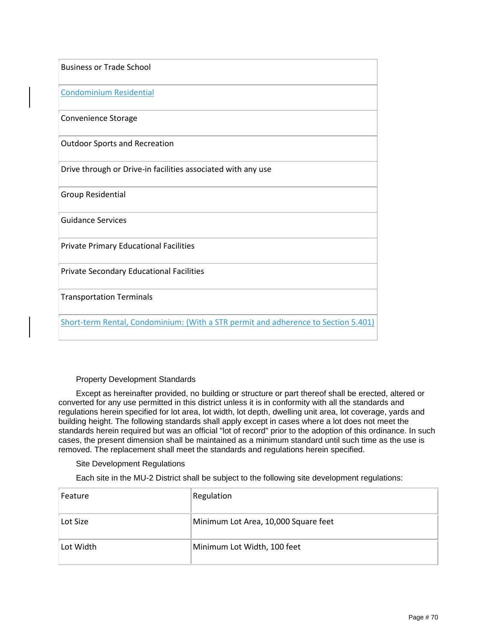| <b>Business or Trade School</b>                                                    |
|------------------------------------------------------------------------------------|
| <b>Condominium Residential</b>                                                     |
| Convenience Storage                                                                |
| <b>Outdoor Sports and Recreation</b>                                               |
| Drive through or Drive-in facilities associated with any use                       |
| Group Residential                                                                  |
| <b>Guidance Services</b>                                                           |
| <b>Private Primary Educational Facilities</b>                                      |
| <b>Private Secondary Educational Facilities</b>                                    |
| <b>Transportation Terminals</b>                                                    |
| Short-term Rental, Condominium: (With a STR permit and adherence to Section 5.401) |

# Property Development Standards

Except as hereinafter provided, no building or structure or part thereof shall be erected, altered or converted for any use permitted in this district unless it is in conformity with all the standards and regulations herein specified for lot area, lot width, lot depth, dwelling unit area, lot coverage, yards and building height. The following standards shall apply except in cases where a lot does not meet the standards herein required but was an official "lot of record" prior to the adoption of this ordinance. In such cases, the present dimension shall be maintained as a minimum standard until such time as the use is removed. The replacement shall meet the standards and regulations herein specified.

### Site Development Regulations

Each site in the MU-2 District shall be subject to the following site development regulations:

| Feature   | Regulation                           |
|-----------|--------------------------------------|
| Lot Size  | Minimum Lot Area, 10,000 Square feet |
| Lot Width | Minimum Lot Width, 100 feet          |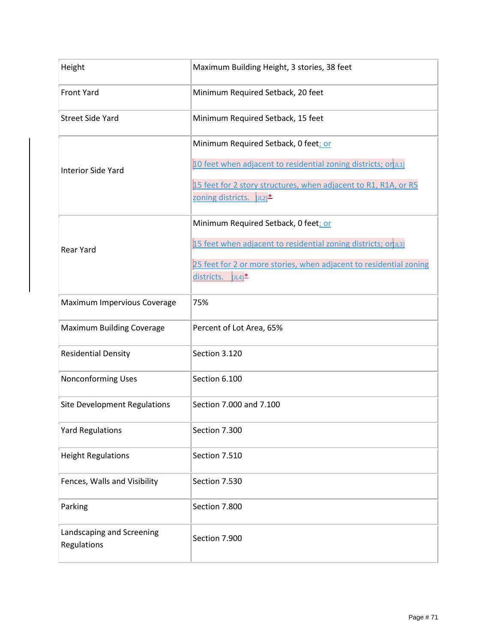| Height                                   | Maximum Building Height, 3 stories, 38 feet                                                                                                                                                                         |
|------------------------------------------|---------------------------------------------------------------------------------------------------------------------------------------------------------------------------------------------------------------------|
| <b>Front Yard</b>                        | Minimum Required Setback, 20 feet                                                                                                                                                                                   |
| <b>Street Side Yard</b>                  | Minimum Required Setback, 15 feet                                                                                                                                                                                   |
| <b>Interior Side Yard</b>                | Minimum Required Setback, 0 feet; or<br>10 feet when adjacent to residential zoning districts; or [JL1]<br>15 feet for 2 story structures, when adjacent to R1, R1A, or R5<br>zoning districts. [JL2]*              |
| <b>Rear Yard</b>                         | Minimum Required Setback, 0 feet; or<br>15 feet when adjacent to residential zoning districts; or [JL3]<br>25 feet for 2 or more stories, when adjacent to residential zoning<br>districts.<br>$[JL4]$ <sup>*</sup> |
| Maximum Impervious Coverage              | 75%                                                                                                                                                                                                                 |
| <b>Maximum Building Coverage</b>         | Percent of Lot Area, 65%                                                                                                                                                                                            |
| <b>Residential Density</b>               | Section 3.120                                                                                                                                                                                                       |
| <b>Nonconforming Uses</b>                | Section 6.100                                                                                                                                                                                                       |
| Site Development Regulations             | Section 7.000 and 7.100                                                                                                                                                                                             |
| <b>Yard Regulations</b>                  | Section 7.300                                                                                                                                                                                                       |
| <b>Height Regulations</b>                | Section 7.510                                                                                                                                                                                                       |
| Fences, Walls and Visibility             | Section 7.530                                                                                                                                                                                                       |
| Parking                                  | Section 7.800                                                                                                                                                                                                       |
| Landscaping and Screening<br>Regulations | Section 7.900                                                                                                                                                                                                       |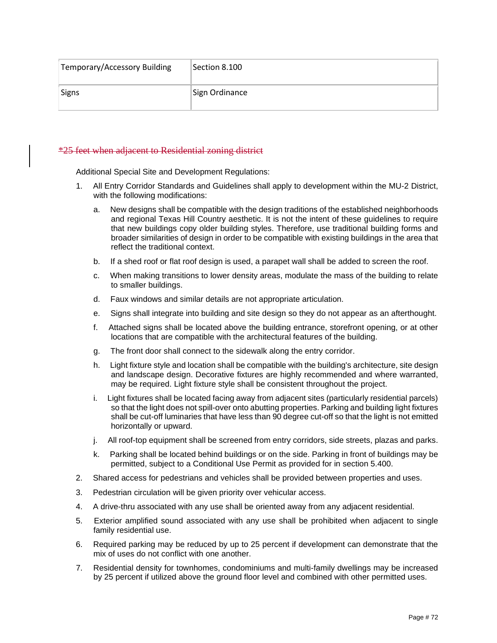| Temporary/Accessory Building | Section 8.100         |
|------------------------------|-----------------------|
| Signs                        | <b>Sign Ordinance</b> |

### \*25 feet when adjacent to Residential zoning district

Additional Special Site and Development Regulations:

- 1. All Entry Corridor Standards and Guidelines shall apply to development within the MU-2 District, with the following modifications:
	- a. New designs shall be compatible with the design traditions of the established neighborhoods and regional Texas Hill Country aesthetic. It is not the intent of these guidelines to require that new buildings copy older building styles. Therefore, use traditional building forms and broader similarities of design in order to be compatible with existing buildings in the area that reflect the traditional context.
	- b. If a shed roof or flat roof design is used, a parapet wall shall be added to screen the roof.
	- c. When making transitions to lower density areas, modulate the mass of the building to relate to smaller buildings.
	- d. Faux windows and similar details are not appropriate articulation.
	- e. Signs shall integrate into building and site design so they do not appear as an afterthought.
	- f. Attached signs shall be located above the building entrance, storefront opening, or at other locations that are compatible with the architectural features of the building.
	- g. The front door shall connect to the sidewalk along the entry corridor.
	- h. Light fixture style and location shall be compatible with the building's architecture, site design and landscape design. Decorative fixtures are highly recommended and where warranted, may be required. Light fixture style shall be consistent throughout the project.
	- i. Light fixtures shall be located facing away from adjacent sites (particularly residential parcels) so that the light does not spill-over onto abutting properties. Parking and building light fixtures shall be cut-off luminaries that have less than 90 degree cut-off so that the light is not emitted horizontally or upward.
	- j. All roof-top equipment shall be screened from entry corridors, side streets, plazas and parks.
	- k. Parking shall be located behind buildings or on the side. Parking in front of buildings may be permitted, subject to a Conditional Use Permit as provided for in section 5.400.
- 2. Shared access for pedestrians and vehicles shall be provided between properties and uses.
- 3. Pedestrian circulation will be given priority over vehicular access.
- 4. A drive-thru associated with any use shall be oriented away from any adjacent residential.
- 5. Exterior amplified sound associated with any use shall be prohibited when adjacent to single family residential use.
- 6. Required parking may be reduced by up to 25 percent if development can demonstrate that the mix of uses do not conflict with one another.
- 7. Residential density for townhomes, condominiums and multi-family dwellings may be increased by 25 percent if utilized above the ground floor level and combined with other permitted uses.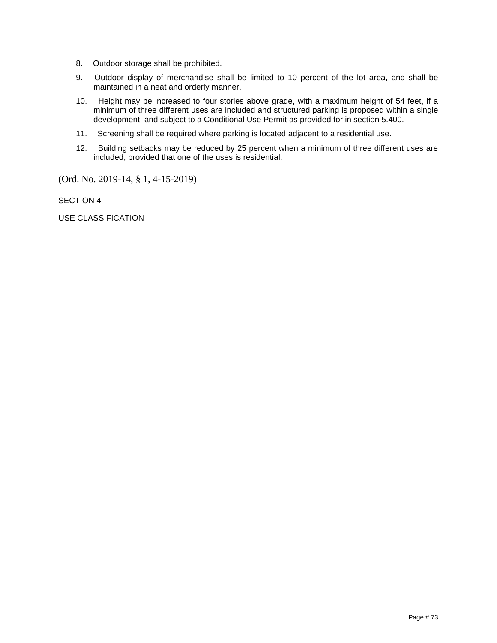- 8. Outdoor storage shall be prohibited.
- 9. Outdoor display of merchandise shall be limited to 10 percent of the lot area, and shall be maintained in a neat and orderly manner.
- 10. Height may be increased to four stories above grade, with a maximum height of 54 feet, if a minimum of three different uses are included and structured parking is proposed within a single development, and subject to a Conditional Use Permit as provided for in section 5.400.
- 11. Screening shall be required where parking is located adjacent to a residential use.
- 12. Building setbacks may be reduced by 25 percent when a minimum of three different uses are included, provided that one of the uses is residential.

(Ord. No. 2019-14, § 1, 4-15-2019)

SECTION 4

USE CLASSIFICATION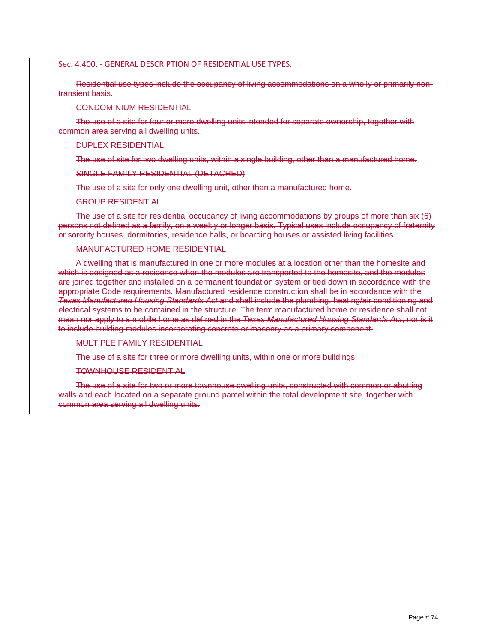#### Sec. 4.400. - GENERAL DESCRIPTION OF RESIDENTIAL USE TYPES.

Residential use types include the occupancy of living accommodations on a wholly or primarily nontransient basis.

CONDOMINIUM RESIDENTIAL

The use of a site for four or more dwelling units intended for separate ownership, together with common area serving all dwelling units.

#### DUPLEX RESIDENTIAL

The use of site for two dwelling units, within a single building, other than a manufactured home.

### SINGLE FAMILY RESIDENTIAL (DETACHED)

The use of a site for only one dwelling unit, other than a manufactured home.

### GROUP RESIDENTIAL

The use of a site for residential occupancy of living accommodations by groups of more than six (6) persons not defined as a family, on a weekly or longer basis. Typical uses include occupancy of fraternity or sorority houses, dormitories, residence halls, or boarding houses or assisted living facilities.

#### MANUFACTURED HOME RESIDENTIAL

A dwelling that is manufactured in one or more modules at a location other than the homesite and which is designed as a residence when the modules are transported to the homesite, and the modules are joined together and installed on a permanent foundation system or tied down in accordance with the appropriate Code requirements. Manufactured residence construction shall be in accordance with the *Texas Manufactured Housing Standards Act* and shall include the plumbing, heating/air conditioning and electrical systems to be contained in the structure. The term manufactured home or residence shall not mean nor apply to a mobile home as defined in the *Texas Manufactured Housing Standards Act*, nor is it to include building modules incorporating concrete or masonry as a primary component.

#### MULTIPLE FAMILY RESIDENTIAL

The use of a site for three or more dwelling units, within one or more buildings.

### TOWNHOUSE RESIDENTIAL

The use of a site for two or more townhouse dwelling units, constructed with common or abutting walls and each located on a separate ground parcel within the total development site, together with common area serving all dwelling units.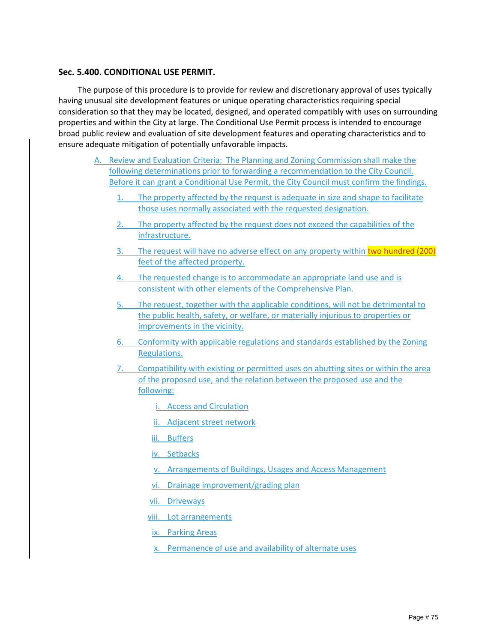## **Sec. 5.400. CONDITIONAL USE PERMIT.**

The purpose of this procedure is to provide for review and discretionary approval of uses typically having unusual site development features or unique operating characteristics requiring special consideration so that they may be located, designed, and operated compatibly with uses on surrounding properties and within the City at large. The Conditional Use Permit process is intended to encourage broad public review and evaluation of site development features and operating characteristics and to ensure adequate mitigation of potentially unfavorable impacts.

- A. Review and Evaluation Criteria: The Planning and Zoning Commission shall make the following determinations prior to forwarding a recommendation to the City Council. Before it can grant a Conditional Use Permit, the City Council must confirm the findings.
	- 1. The property affected by the request is adequate in size and shape to facilitate those uses normally associated with the requested designation.
	- 2. The property affected by the request does not exceed the capabilities of the infrastructure.
	- 3. The request will have no adverse effect on any property within two hundred (200) feet of the affected property.
	- 4. The requested change is to accommodate an appropriate land use and is consistent with other elements of the Comprehensive Plan.
	- 5. The request, together with the applicable conditions, will not be detrimental to the public health, safety, or welfare, or materially injurious to properties or improvements in the vicinity.
	- 6. Conformity with applicable regulations and standards established by the Zoning Regulations.
	- 7. Compatibility with existing or permitted uses on abutting sites or within the area of the proposed use, and the relation between the proposed use and the following:
		- i. Access and Circulation
		- ii. Adjacent street network
		- iii. Buffers
		- iv. Setbacks
		- v. Arrangements of Buildings, Usages and Access Management
		- vi. Drainage improvement/grading plan
		- vii. Driveways
		- viii. Lot arrangements
		- ix. Parking Areas
		- x. Permanence of use and availability of alternate uses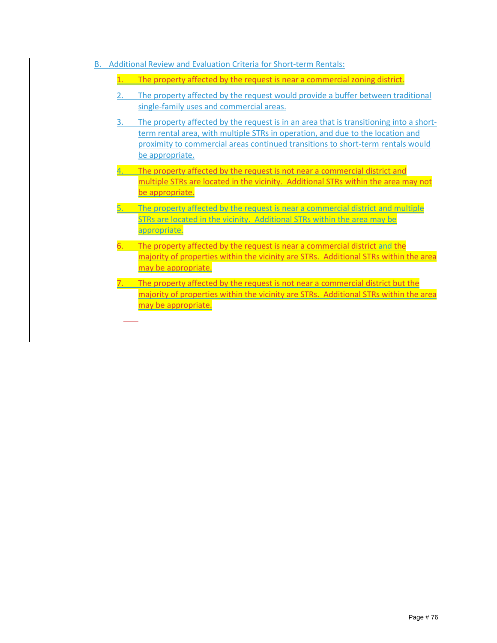- B. Additional Review and Evaluation Criteria for Short-term Rentals:
	- 1. The property affected by the request is near a commercial zoning district.
	- 2. The property affected by the request would provide a buffer between traditional single-family uses and commercial areas.
	- 3. The property affected by the request is in an area that is transitioning into a shortterm rental area, with multiple STRs in operation, and due to the location and proximity to commercial areas continued transitions to short-term rentals would be appropriate.
	- 4. The property affected by the request is not near a commercial district and multiple STRs are located in the vicinity. Additional STRs within the area may not be appropriate.
	- 5. The property affected by the request is near a commercial district and multiple STRs are located in the vicinity. Additional STRs within the area may be appropriate.
	- 6. The property affected by the request is near a commercial district and the majority of properties within the vicinity are STRs. Additional STRs within the area may be appropriate.
	- 7. The property affected by the request is not near a commercial district but the majority of properties within the vicinity are STRs. Additional STRs within the area may be appropriate.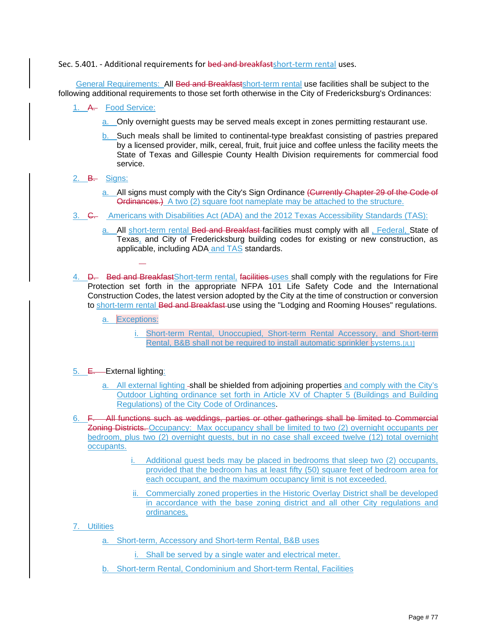Sec. 5.401. - Additional requirements for bed and breakfastshort-term rental uses.

General Requirements: All Bed and Breakfastshort-term rental use facilities shall be subject to the following additional requirements to those set forth otherwise in the City of Fredericksburg's Ordinances:

- 1. A. Food Service:
	- a. Only overnight guests may be served meals except in zones permitting restaurant use.
	- b. Such meals shall be limited to continental-type breakfast consisting of pastries prepared by a licensed provider, milk, cereal, fruit, fruit juice and coffee unless the facility meets the State of Texas and Gillespie County Health Division requirements for commercial food service.
- 2. **B.** Signs:
	- a. All signs must comply with the City's Sign Ordinance (Currently Chapter 29 of the Code of **Ordinances.)** A two (2) square foot nameplate may be attached to the structure.
- 3. C. Americans with Disabilities Act (ADA) and the 2012 Texas Accessibility Standards (TAS):
	- a. All short-term rental Bed and Breakfast-facilities must comply with all, Federal, State of Texas, and City of Fredericksburg building codes for existing or new construction, as applicable, including ADA and TAS standards.
- 4. D. Bed and Breakfast Short-term rental, facilities-uses shall comply with the regulations for Fire Protection set forth in the appropriate NFPA 101 Life Safety Code and the International Construction Codes, the latest version adopted by the City at the time of construction or conversion to short-term rental Bed and Breakfast-use using the "Lodging and Rooming Houses" regulations.
	- a. Exceptions:

 $\overline{a}$ 

- i. Short-term Rental, Unoccupied, Short-term Rental Accessory, and Short-term Rental, B&B shall not be required to install automatic sprinkler systems.[JL1]
- 5. E. External lighting:
	- a. All external lighting -shall be shielded from adioining properties and comply with the City's Outdoor Lighting ordinance set forth in Article XV of Chapter 5 (Buildings and Building Regulations) of the City Code of Ordinances.
- 6. F. All functions such as weddings, parties or other gatherings shall be limited to Commercial Zoning Districts. Occupancy: Max occupancy shall be limited to two (2) overnight occupants per bedroom, plus two (2) overnight guests, but in no case shall exceed twelve (12) total overnight occupants.
	- Additional guest beds may be placed in bedrooms that sleep two (2) occupants, provided that the bedroom has at least fifty (50) square feet of bedroom area for each occupant, and the maximum occupancy limit is not exceeded.
	- ii. Commercially zoned properties in the Historic Overlay District shall be developed in accordance with the base zoning district and all other City regulations and ordinances.

7. Utilities

- a. Short-term, Accessory and Short-term Rental, B&B uses
	- Shall be served by a single water and electrical meter.
- b. Short-term Rental, Condominium and Short-term Rental, Facilities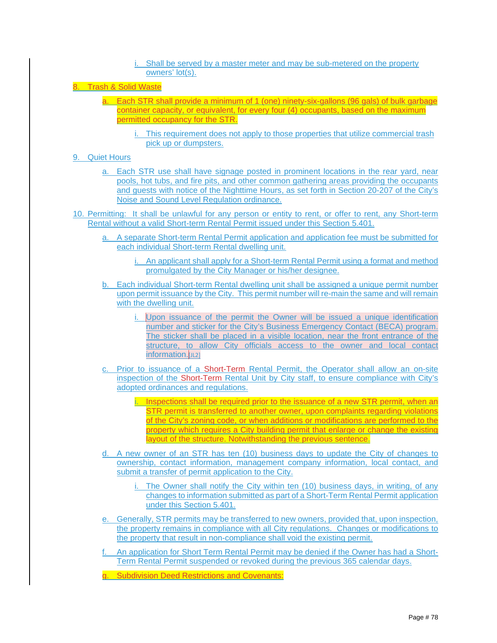- i. Shall be served by a master meter and may be sub-metered on the property owners' lot(s).
- 8. Trash & Solid Waste
	- a. Each STR shall provide a minimum of 1 (one) ninety-six-gallons (96 gals) of bulk garbage container capacity, or equivalent, for every four (4) occupants, based on the maximum permitted occupancy for the STR.
		- i. This requirement does not apply to those properties that utilize commercial trash pick up or dumpsters.

### 9. Quiet Hours

- a. Each STR use shall have signage posted in prominent locations in the rear yard, near pools, hot tubs, and fire pits, and other common gathering areas providing the occupants and guests with notice of the Nighttime Hours, as set forth in Section 20-207 of the City's Noise and Sound Level Regulation ordinance.
- 10. Permitting: It shall be unlawful for any person or entity to rent, or offer to rent, any Short-term Rental without a valid Short-term Rental Permit issued under this Section 5.401.
	- a. A separate Short-term Rental Permit application and application fee must be submitted for each individual Short-term Rental dwelling unit.
		- i. An applicant shall apply for a Short-term Rental Permit using a format and method promulgated by the City Manager or his/her designee.
	- b. Each individual Short-term Rental dwelling unit shall be assigned a unique permit number upon permit issuance by the City. This permit number will re-main the same and will remain with the dwelling unit.
		- i. Upon issuance of the permit the Owner will be issued a unique identification number and sticker for the City's Business Emergency Contact (BECA) program. The sticker shall be placed in a visible location, near the front entrance of the structure, to allow City officials access to the owner and local contact information.<sub>[JL2]</sub>
	- c. Prior to issuance of a Short-Term Rental Permit, the Operator shall allow an on-site inspection of the Short-Term Rental Unit by City staff, to ensure compliance with City's adopted ordinances and regulations.
		- Inspections shall be required prior to the issuance of a new STR permit, when an STR permit is transferred to another owner, upon complaints regarding violations of the City's zoning code, or when additions or modifications are performed to the property which requires a City building permit that enlarge or change the existing layout of the structure. Notwithstanding the previous sentence.
	- d. A new owner of an STR has ten (10) business days to update the City of changes to ownership, contact information, management company information, local contact, and submit a transfer of permit application to the City.
		- The Owner shall notify the City within ten (10) business days, in writing, of any changes to information submitted as part of a Short-Term Rental Permit application under this Section 5.401.
	- e. Generally, STR permits may be transferred to new owners, provided that, upon inspection, the property remains in compliance with all City regulations. Changes or modifications to the property that result in non-compliance shall void the existing permit.
	- f. An application for Short Term Rental Permit may be denied if the Owner has had a Short-Term Rental Permit suspended or revoked during the previous 365 calendar days.
	- **Subdivision Deed Restrictions and Covenants:**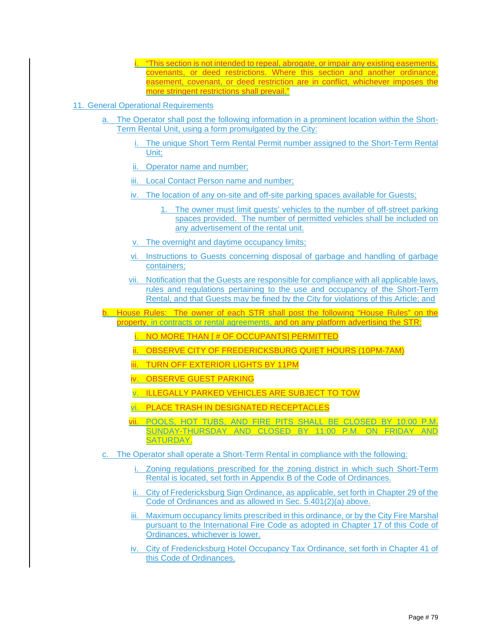- i. "This section is not intended to repeal, abrogate, or impair any existing easements, covenants, or deed restrictions. Where this section and another ordinance, easement, covenant, or deed restriction are in conflict, whichever imposes the more stringent restrictions shall prevail."
- 11. General Operational Requirements
	- a. The Operator shall post the following information in a prominent location within the Short-Term Rental Unit, using a form promulgated by the City:
		- The unique Short Term Rental Permit number assigned to the Short-Term Rental Unit;
		- ii. Operator name and number;
		- iii. Local Contact Person name and number;
		- iv. The location of any on-site and off-site parking spaces available for Guests;
			- 1. The owner must limit guests' vehicles to the number of off-street parking spaces provided. The number of permitted vehicles shall be included on any advertisement of the rental unit.
		- v. The overnight and daytime occupancy limits;
		- vi. Instructions to Guests concerning disposal of garbage and handling of garbage containers;
		- vii. Notification that the Guests are responsible for compliance with all applicable laws, rules and regulations pertaining to the use and occupancy of the Short-Term Rental, and that Guests may be fined by the City for violations of this Article; and
	- b. House Rules: The owner of each STR shall post the following "House Rules" on the property, in contracts or rental agreements, and on any platform advertising the STR:
		- NO MORE THAN [# OF OCCUPANTS] PERMITTED
		- ii. OBSERVE CITY OF FREDERICKSBURG QUIET HOURS (10PM-7AM)
		- **iii.** TURN OFF EXTERIOR LIGHTS BY 11PM
		- iv. OBSERVE GUEST PARKING
		- v. ILLEGALLY PARKED VEHICLES ARE SUBJECT TO TOW
		- vi. PLACE TRASH IN DESIGNATED RECEPTACLES
		- vii. POOLS, HOT TUBS, AND FIRE PITS SHALL BE CLOSED BY 10:00 P.M. SUNDAY-THURSDAY AND CLOSED BY 11:00 P.M. ON FRIDAY AND SATURDAY.
	- c. The Operator shall operate a Short-Term Rental in compliance with the following:
		- Zoning regulations prescribed for the zoning district in which such Short-Term Rental is located, set forth in Appendix B of the Code of Ordinances.
		- ii. City of Fredericksburg Sign Ordinance, as applicable, set forth in Chapter 29 of the Code of Ordinances and as allowed in Sec. 5.401(2)(a) above.
		- iii. Maximum occupancy limits prescribed in this ordinance, or by the City Fire Marshal pursuant to the International Fire Code as adopted in Chapter 17 of this Code of Ordinances, whichever is lower.
		- iv. City of Fredericksburg Hotel Occupancy Tax Ordinance, set forth in Chapter 41 of this Code of Ordinances.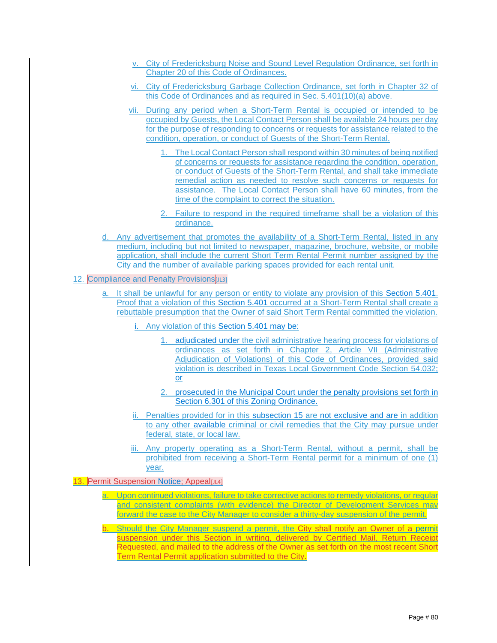- v. City of Fredericksburg Noise and Sound Level Regulation Ordinance, set forth in Chapter 20 of this Code of Ordinances.
- vi. City of Fredericksburg Garbage Collection Ordinance, set forth in Chapter 32 of this Code of Ordinances and as required in Sec. 5.401(10)(a) above.
- vii. During any period when a Short-Term Rental is occupied or intended to be occupied by Guests, the Local Contact Person shall be available 24 hours per day for the purpose of responding to concerns or requests for assistance related to the condition, operation, or conduct of Guests of the Short-Term Rental.
	- 1. The Local Contact Person shall respond within 30 minutes of being notified of concerns or requests for assistance regarding the condition, operation, or conduct of Guests of the Short-Term Rental, and shall take immediate remedial action as needed to resolve such concerns or requests for assistance. The Local Contact Person shall have 60 minutes, from the time of the complaint to correct the situation.
	- 2. Failure to respond in the required timeframe shall be a violation of this ordinance.
- d. Any advertisement that promotes the availability of a Short-Term Rental, listed in any medium, including but not limited to newspaper, magazine, brochure, website, or mobile application, shall include the current Short Term Rental Permit number assigned by the City and the number of available parking spaces provided for each rental unit.

### 12. Compliance and Penalty Provisions

- a. It shall be unlawful for any person or entity to violate any provision of this Section 5.401. Proof that a violation of this Section 5.401 occurred at a Short-Term Rental shall create a rebuttable presumption that the Owner of said Short Term Rental committed the violation.
	- i. Any violation of this Section 5.401 may be:
		- 1. adjudicated under the civil administrative hearing process for violations of ordinances as set forth in Chapter 2, Article VII (Administrative Adjudication of Violations) of this Code of Ordinances, provided said violation is described in Texas Local Government Code Section 54.032; or
		- 2. prosecuted in the Municipal Court under the penalty provisions set forth in Section 6.301 of this Zoning Ordinance.
	- ii. Penalties provided for in this subsection 15 are not exclusive and are in addition to any other available criminal or civil remedies that the City may pursue under federal, state, or local law.
	- iii. Any property operating as a Short-Term Rental, without a permit, shall be prohibited from receiving a Short-Term Rental permit for a minimum of one (1) year.

### 13. Permit Suspension Notice; Appeal [JL4]

- a. Upon continued violations, failure to take corrective actions to remedy violations, or regular and consistent complaints (with evidence) the Director of Development Services may forward the case to the City Manager to consider a thirty-day suspension of the permit.
- b. Should the City Manager suspend a permit, the City shall notify an Owner of a permit suspension under this Section in writing, delivered by Certified Mail, Return Receipt Requested, and mailed to the address of the Owner as set forth on the most recent Short Term Rental Permit application submitted to the City.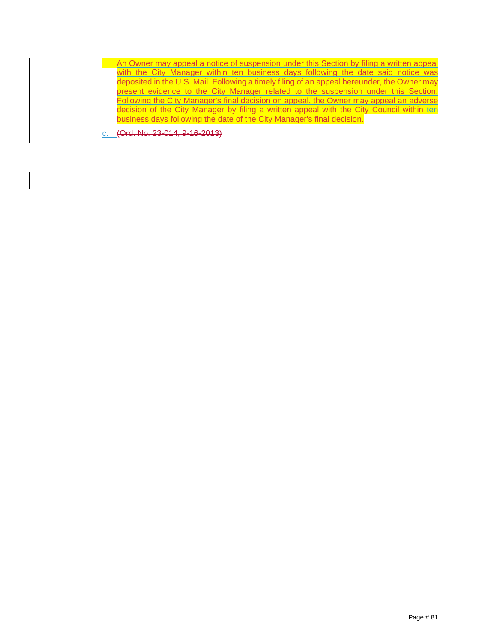**An Owner may appeal a notice of suspension under this Section by filing a written appeal** with the City Manager within ten business days following the date said notice was deposited in the U.S. Mail. Following a timely filing of an appeal hereunder, the Owner may present evidence to the City Manager related to the suspension under this Section. Following the City Manager's final decision on appeal, the Owner may appeal an adverse decision of the City Manager by filing a written appeal with the City Council within ten business days following the date of the City Manager's final decision.

c. (Ord. No. 23-014, 9-16-2013)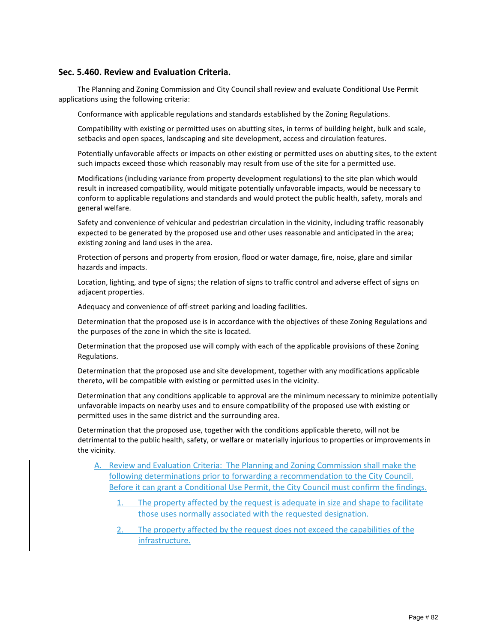## **Sec. 5.460. Review and Evaluation Criteria.**

The Planning and Zoning Commission and City Council shall review and evaluate Conditional Use Permit applications using the following criteria:

Conformance with applicable regulations and standards established by the Zoning Regulations.

Compatibility with existing or permitted uses on abutting sites, in terms of building height, bulk and scale, setbacks and open spaces, landscaping and site development, access and circulation features.

Potentially unfavorable affects or impacts on other existing or permitted uses on abutting sites, to the extent such impacts exceed those which reasonably may result from use of the site for a permitted use.

Modifications (including variance from property development regulations) to the site plan which would result in increased compatibility, would mitigate potentially unfavorable impacts, would be necessary to conform to applicable regulations and standards and would protect the public health, safety, morals and general welfare.

Safety and convenience of vehicular and pedestrian circulation in the vicinity, including traffic reasonably expected to be generated by the proposed use and other uses reasonable and anticipated in the area; existing zoning and land uses in the area.

Protection of persons and property from erosion, flood or water damage, fire, noise, glare and similar hazards and impacts.

Location, lighting, and type of signs; the relation of signs to traffic control and adverse effect of signs on adjacent properties.

Adequacy and convenience of off-street parking and loading facilities.

Determination that the proposed use is in accordance with the objectives of these Zoning Regulations and the purposes of the zone in which the site is located.

Determination that the proposed use will comply with each of the applicable provisions of these Zoning Regulations.

Determination that the proposed use and site development, together with any modifications applicable thereto, will be compatible with existing or permitted uses in the vicinity.

Determination that any conditions applicable to approval are the minimum necessary to minimize potentially unfavorable impacts on nearby uses and to ensure compatibility of the proposed use with existing or permitted uses in the same district and the surrounding area.

Determination that the proposed use, together with the conditions applicable thereto, will not be detrimental to the public health, safety, or welfare or materially injurious to properties or improvements in the vicinity.

- A. Review and Evaluation Criteria: The Planning and Zoning Commission shall make the following determinations prior to forwarding a recommendation to the City Council. Before it can grant a Conditional Use Permit, the City Council must confirm the findings.
	- The property affected by the request is adequate in size and shape to facilitate those uses normally associated with the requested designation.
	- 2. The property affected by the request does not exceed the capabilities of the infrastructure.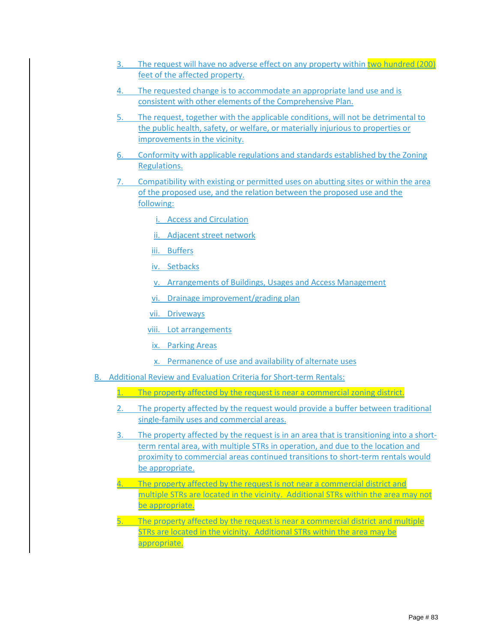- 3. The request will have no adverse effect on any property within two hundred (200) feet of the affected property.
- 4. The requested change is to accommodate an appropriate land use and is consistent with other elements of the Comprehensive Plan.
- 5. The request, together with the applicable conditions, will not be detrimental to the public health, safety, or welfare, or materially injurious to properties or improvements in the vicinity.
- 6. Conformity with applicable regulations and standards established by the Zoning Regulations.
- 7. Compatibility with existing or permitted uses on abutting sites or within the area of the proposed use, and the relation between the proposed use and the following:
	- i. Access and Circulation
	- ii. Adjacent street network
	- iii. Buffers
	- iv. Setbacks
	- v. Arrangements of Buildings, Usages and Access Management
	- vi. Drainage improvement/grading plan
	- vii. Driveways
	- viii. Lot arrangements
	- ix. Parking Areas
	- x. Permanence of use and availability of alternate uses
- B. Additional Review and Evaluation Criteria for Short-term Rentals:
	- 1. The property affected by the request is near a commercial zoning district.
	- 2. The property affected by the request would provide a buffer between traditional single-family uses and commercial areas.
	- 3. The property affected by the request is in an area that is transitioning into a shortterm rental area, with multiple STRs in operation, and due to the location and proximity to commercial areas continued transitions to short-term rentals would be appropriate.
	- The property affected by the request is not near a commercial district and multiple STRs are located in the vicinity. Additional STRs within the area may not be appropriate.
	- 5. The property affected by the request is near a commercial district and multiple STRs are located in the vicinity. Additional STRs within the area may be appropriate.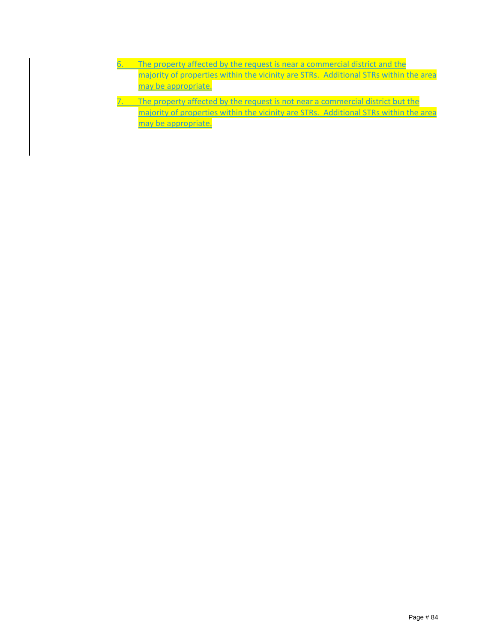- 6. The property affected by the request is near a commercial district and the majority of properties within the vicinity are STRs. Additional STRs within the area may be appropriate.
- 7. The property affected by the request is not near a commercial district but the majority of properties within the vicinity are STRs. Additional STRs within the area may be appropriate.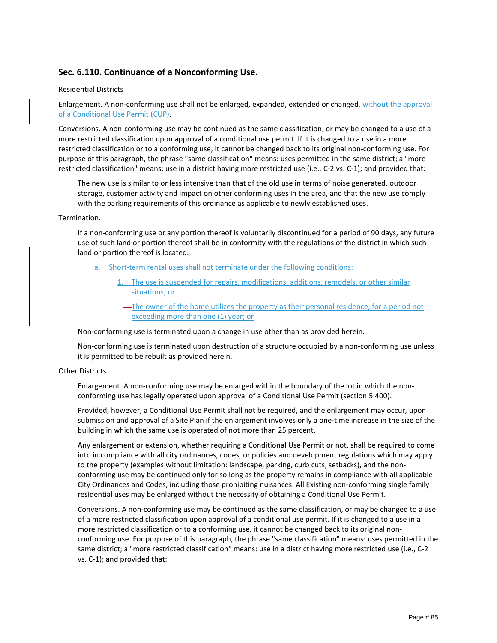# **Sec. 6.110. Continuance of a Nonconforming Use.**

### Residential Districts

Enlargement. A non-conforming use shall not be enlarged, expanded, extended or changed, without the approval of a Conditional Use Permit (CUP).

Conversions. A non-conforming use may be continued as the same classification, or may be changed to a use of a more restricted classification upon approval of a conditional use permit. If it is changed to a use in a more restricted classification or to a conforming use, it cannot be changed back to its original non-conforming use. For purpose of this paragraph, the phrase "same classification" means: uses permitted in the same district; a "more restricted classification" means: use in a district having more restricted use (i.e., C-2 vs. C-1); and provided that:

The new use is similar to or less intensive than that of the old use in terms of noise generated, outdoor storage, customer activity and impact on other conforming uses in the area, and that the new use comply with the parking requirements of this ordinance as applicable to newly established uses.

#### Termination.

If a non-conforming use or any portion thereof is voluntarily discontinued for a period of 90 days, any future use of such land or portion thereof shall be in conformity with the regulations of the district in which such land or portion thereof is located.

Short-term rental uses shall not terminate under the following conditions:

- 1. The use is suspended for repairs, modifications, additions, remodels, or other similar situations; or
	- The owner of the home utilizes the property as their personal residence, for a period not exceeding more than one (1) year; or

Non-conforming use is terminated upon a change in use other than as provided herein.

Non-conforming use is terminated upon destruction of a structure occupied by a non-conforming use unless it is permitted to be rebuilt as provided herein.

#### Other Districts

Enlargement. A non-conforming use may be enlarged within the boundary of the lot in which the nonconforming use has legally operated upon approval of a Conditional Use Permit (section 5.400).

Provided, however, a Conditional Use Permit shall not be required, and the enlargement may occur, upon submission and approval of a Site Plan if the enlargement involves only a one-time increase in the size of the building in which the same use is operated of not more than 25 percent.

Any enlargement or extension, whether requiring a Conditional Use Permit or not, shall be required to come into in compliance with all city ordinances, codes, or policies and development regulations which may apply to the property (examples without limitation: landscape, parking, curb cuts, setbacks), and the nonconforming use may be continued only for so long as the property remains in compliance with all applicable City Ordinances and Codes, including those prohibiting nuisances. All Existing non-conforming single family residential uses may be enlarged without the necessity of obtaining a Conditional Use Permit.

Conversions. A non-conforming use may be continued as the same classification, or may be changed to a use of a more restricted classification upon approval of a conditional use permit. If it is changed to a use in a more restricted classification or to a conforming use, it cannot be changed back to its original nonconforming use. For purpose of this paragraph, the phrase "same classification" means: uses permitted in the same district; a "more restricted classification" means: use in a district having more restricted use (i.e., C-2 vs. C-1); and provided that: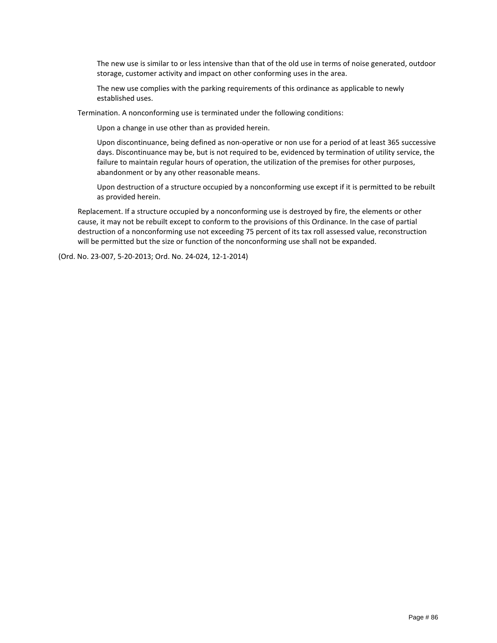The new use is similar to or less intensive than that of the old use in terms of noise generated, outdoor storage, customer activity and impact on other conforming uses in the area.

The new use complies with the parking requirements of this ordinance as applicable to newly established uses.

Termination. A nonconforming use is terminated under the following conditions:

Upon a change in use other than as provided herein.

Upon discontinuance, being defined as non-operative or non use for a period of at least 365 successive days. Discontinuance may be, but is not required to be, evidenced by termination of utility service, the failure to maintain regular hours of operation, the utilization of the premises for other purposes, abandonment or by any other reasonable means.

Upon destruction of a structure occupied by a nonconforming use except if it is permitted to be rebuilt as provided herein.

Replacement. If a structure occupied by a nonconforming use is destroyed by fire, the elements or other cause, it may not be rebuilt except to conform to the provisions of this Ordinance. In the case of partial destruction of a nonconforming use not exceeding 75 percent of its tax roll assessed value, reconstruction will be permitted but the size or function of the nonconforming use shall not be expanded.

(Ord. No. 23-007, 5-20-2013; Ord. No. 24-024, 12-1-2014)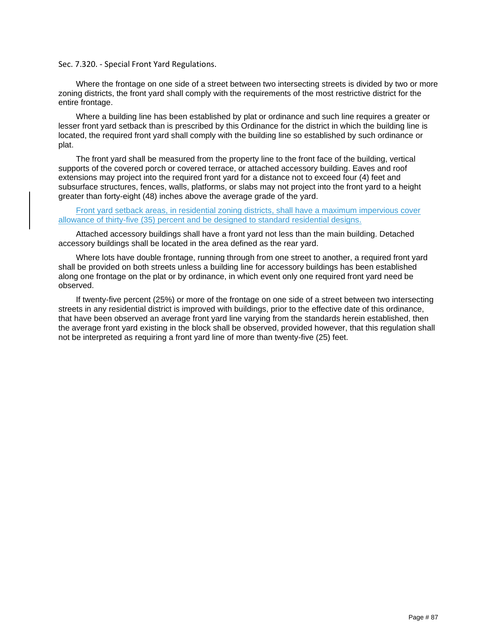Sec. 7.320. - Special Front Yard Regulations.

Where the frontage on one side of a street between two intersecting streets is divided by two or more zoning districts, the front yard shall comply with the requirements of the most restrictive district for the entire frontage.

Where a building line has been established by plat or ordinance and such line requires a greater or lesser front yard setback than is prescribed by this Ordinance for the district in which the building line is located, the required front yard shall comply with the building line so established by such ordinance or plat.

The front yard shall be measured from the property line to the front face of the building, vertical supports of the covered porch or covered terrace, or attached accessory building. Eaves and roof extensions may project into the required front yard for a distance not to exceed four (4) feet and subsurface structures, fences, walls, platforms, or slabs may not project into the front yard to a height greater than forty-eight (48) inches above the average grade of the yard.

Front yard setback areas, in residential zoning districts, shall have a maximum impervious cover allowance of thirty-five (35) percent and be designed to standard residential designs.

Attached accessory buildings shall have a front yard not less than the main building. Detached accessory buildings shall be located in the area defined as the rear yard.

Where lots have double frontage, running through from one street to another, a required front yard shall be provided on both streets unless a building line for accessory buildings has been established along one frontage on the plat or by ordinance, in which event only one required front yard need be observed.

If twenty-five percent (25%) or more of the frontage on one side of a street between two intersecting streets in any residential district is improved with buildings, prior to the effective date of this ordinance, that have been observed an average front yard line varying from the standards herein established, then the average front yard existing in the block shall be observed, provided however, that this regulation shall not be interpreted as requiring a front yard line of more than twenty-five (25) feet.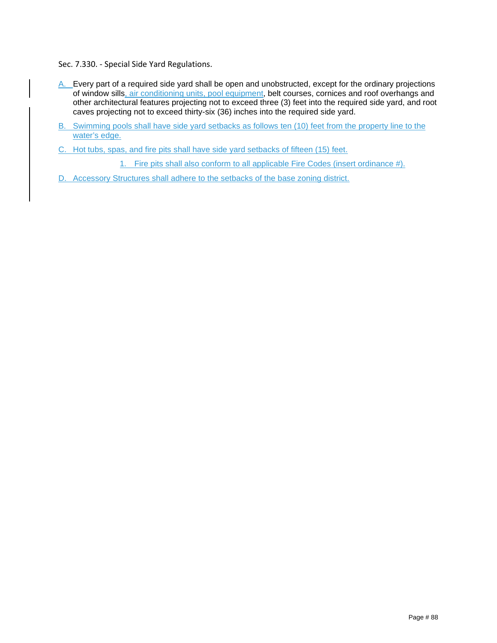- Sec. 7.330. Special Side Yard Regulations.
- A. Every part of a required side yard shall be open and unobstructed, except for the ordinary projections of window sills, air conditioning units, pool equipment, belt courses, cornices and roof overhangs and other architectural features projecting not to exceed three (3) feet into the required side yard, and root caves projecting not to exceed thirty-six (36) inches into the required side yard.
- B. Swimming pools shall have side yard setbacks as follows ten (10) feet from the property line to the water's edge.
- C. Hot tubs, spas, and fire pits shall have side yard setbacks of fifteen (15) feet.
	- 1. Fire pits shall also conform to all applicable Fire Codes (insert ordinance #).
- D. Accessory Structures shall adhere to the setbacks of the base zoning district.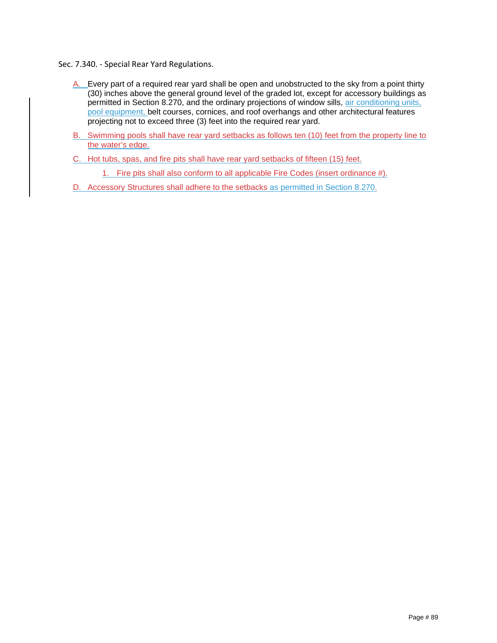- Sec. 7.340. Special Rear Yard Regulations.
	- A. Every part of a required rear yard shall be open and unobstructed to the sky from a point thirty (30) inches above the general ground level of the graded lot, except for accessory buildings as permitted in Section 8.270, and the ordinary projections of window sills, air conditioning units, pool equipment, belt courses, cornices, and roof overhangs and other architectural features projecting not to exceed three (3) feet into the required rear yard.
	- B. Swimming pools shall have rear yard setbacks as follows ten (10) feet from the property line to the water's edge.
	- C. Hot tubs, spas, and fire pits shall have rear yard setbacks of fifteen (15) feet.
		- 1. Fire pits shall also conform to all applicable Fire Codes (insert ordinance #).
	- D. Accessory Structures shall adhere to the setbacks as permitted in Section 8.270.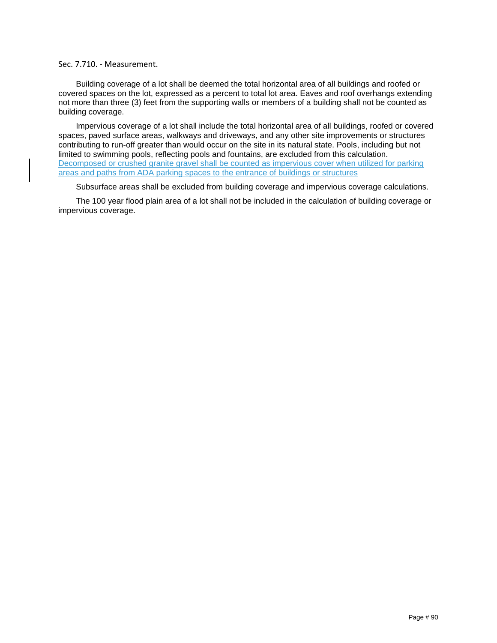### Sec. 7.710. - Measurement.

Building coverage of a lot shall be deemed the total horizontal area of all buildings and roofed or covered spaces on the lot, expressed as a percent to total lot area. Eaves and roof overhangs extending not more than three (3) feet from the supporting walls or members of a building shall not be counted as building coverage.

Impervious coverage of a lot shall include the total horizontal area of all buildings, roofed or covered spaces, paved surface areas, walkways and driveways, and any other site improvements or structures contributing to run-off greater than would occur on the site in its natural state. Pools, including but not limited to swimming pools, reflecting pools and fountains, are excluded from this calculation. Decomposed or crushed granite gravel shall be counted as impervious cover when utilized for parking areas and paths from ADA parking spaces to the entrance of buildings or structures

Subsurface areas shall be excluded from building coverage and impervious coverage calculations.

The 100 year flood plain area of a lot shall not be included in the calculation of building coverage or impervious coverage.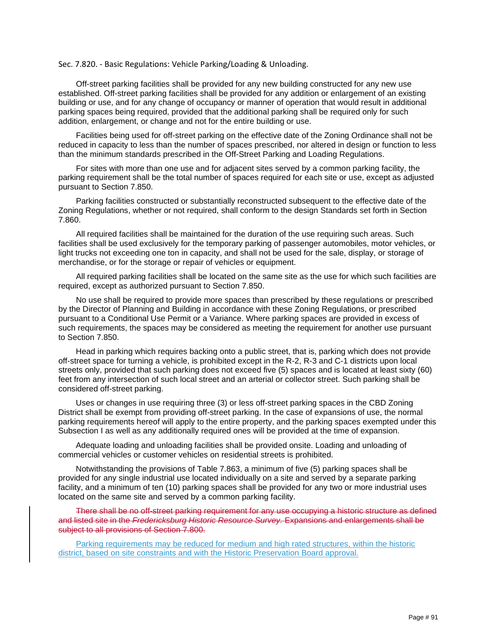Sec. 7.820. - Basic Regulations: Vehicle Parking/Loading & Unloading.

Off-street parking facilities shall be provided for any new building constructed for any new use established. Off-street parking facilities shall be provided for any addition or enlargement of an existing building or use, and for any change of occupancy or manner of operation that would result in additional parking spaces being required, provided that the additional parking shall be required only for such addition, enlargement, or change and not for the entire building or use.

Facilities being used for off-street parking on the effective date of the Zoning Ordinance shall not be reduced in capacity to less than the number of spaces prescribed, nor altered in design or function to less than the minimum standards prescribed in the Off-Street Parking and Loading Regulations.

For sites with more than one use and for adjacent sites served by a common parking facility, the parking requirement shall be the total number of spaces required for each site or use, except as adjusted pursuant to Section 7.850.

Parking facilities constructed or substantially reconstructed subsequent to the effective date of the Zoning Regulations, whether or not required, shall conform to the design Standards set forth in Section 7.860.

All required facilities shall be maintained for the duration of the use requiring such areas. Such facilities shall be used exclusively for the temporary parking of passenger automobiles, motor vehicles, or light trucks not exceeding one ton in capacity, and shall not be used for the sale, display, or storage of merchandise, or for the storage or repair of vehicles or equipment.

All required parking facilities shall be located on the same site as the use for which such facilities are required, except as authorized pursuant to Section 7.850.

No use shall be required to provide more spaces than prescribed by these regulations or prescribed by the Director of Planning and Building in accordance with these Zoning Regulations, or prescribed pursuant to a Conditional Use Permit or a Variance. Where parking spaces are provided in excess of such requirements, the spaces may be considered as meeting the requirement for another use pursuant to Section 7.850.

Head in parking which requires backing onto a public street, that is, parking which does not provide off-street space for turning a vehicle, is prohibited except in the R-2, R-3 and C-1 districts upon local streets only, provided that such parking does not exceed five (5) spaces and is located at least sixty (60) feet from any intersection of such local street and an arterial or collector street. Such parking shall be considered off-street parking.

Uses or changes in use requiring three (3) or less off-street parking spaces in the CBD Zoning District shall be exempt from providing off-street parking. In the case of expansions of use, the normal parking requirements hereof will apply to the entire property, and the parking spaces exempted under this Subsection I as well as any additionally required ones will be provided at the time of expansion.

Adequate loading and unloading facilities shall be provided onsite. Loading and unloading of commercial vehicles or customer vehicles on residential streets is prohibited.

Notwithstanding the provisions of Table 7.863, a minimum of five (5) parking spaces shall be provided for any single industrial use located individually on a site and served by a separate parking facility, and a minimum of ten (10) parking spaces shall be provided for any two or more industrial uses located on the same site and served by a common parking facility.

There shall be no off-street parking requirement for any use occupying a historic structure as defined and listed site in the *Fredericksburg Historic Resource Survey.* Expansions and enlargements shall be subject to all provisions of Section 7.800.

Parking requirements may be reduced for medium and high rated structures, within the historic district, based on site constraints and with the Historic Preservation Board approval.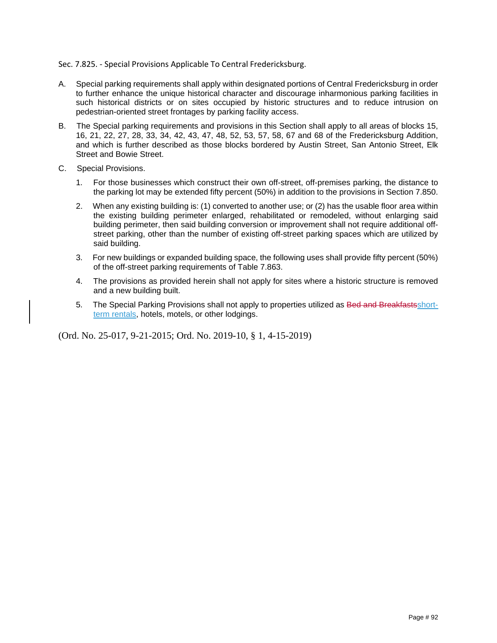Sec. 7.825. - Special Provisions Applicable To Central Fredericksburg.

- A. Special parking requirements shall apply within designated portions of Central Fredericksburg in order to further enhance the unique historical character and discourage inharmonious parking facilities in such historical districts or on sites occupied by historic structures and to reduce intrusion on pedestrian-oriented street frontages by parking facility access.
- B. The Special parking requirements and provisions in this Section shall apply to all areas of blocks 15, 16, 21, 22, 27, 28, 33, 34, 42, 43, 47, 48, 52, 53, 57, 58, 67 and 68 of the Fredericksburg Addition, and which is further described as those blocks bordered by Austin Street, San Antonio Street, Elk Street and Bowie Street.
- C. Special Provisions.
	- 1. For those businesses which construct their own off-street, off-premises parking, the distance to the parking lot may be extended fifty percent (50%) in addition to the provisions in Section 7.850.
	- 2. When any existing building is: (1) converted to another use; or (2) has the usable floor area within the existing building perimeter enlarged, rehabilitated or remodeled, without enlarging said building perimeter, then said building conversion or improvement shall not require additional offstreet parking, other than the number of existing off-street parking spaces which are utilized by said building.
	- 3. For new buildings or expanded building space, the following uses shall provide fifty percent (50%) of the off-street parking requirements of Table 7.863.
	- 4. The provisions as provided herein shall not apply for sites where a historic structure is removed and a new building built.
	- 5. The Special Parking Provisions shall not apply to properties utilized as Bed and Breakfastsshortterm rentals, hotels, motels, or other lodgings.

(Ord. No. 25-017, 9-21-2015; Ord. No. 2019-10, § 1, 4-15-2019)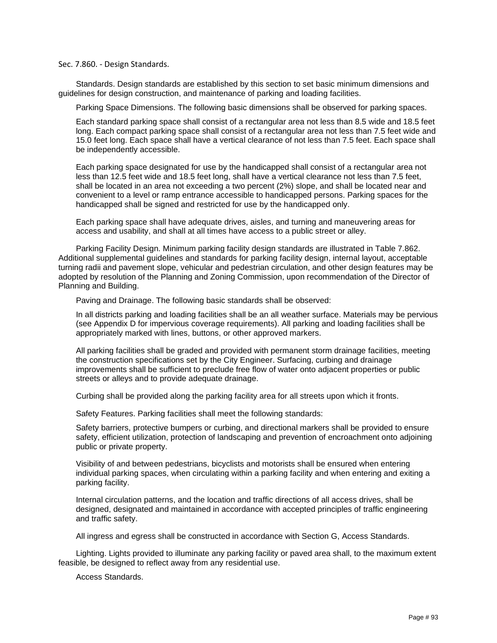Sec. 7.860. - Design Standards.

Standards. Design standards are established by this section to set basic minimum dimensions and guidelines for design construction, and maintenance of parking and loading facilities.

Parking Space Dimensions. The following basic dimensions shall be observed for parking spaces.

Each standard parking space shall consist of a rectangular area not less than 8.5 wide and 18.5 feet long. Each compact parking space shall consist of a rectangular area not less than 7.5 feet wide and 15.0 feet long. Each space shall have a vertical clearance of not less than 7.5 feet. Each space shall be independently accessible.

Each parking space designated for use by the handicapped shall consist of a rectangular area not less than 12.5 feet wide and 18.5 feet long, shall have a vertical clearance not less than 7.5 feet, shall be located in an area not exceeding a two percent (2%) slope, and shall be located near and convenient to a level or ramp entrance accessible to handicapped persons. Parking spaces for the handicapped shall be signed and restricted for use by the handicapped only.

Each parking space shall have adequate drives, aisles, and turning and maneuvering areas for access and usability, and shall at all times have access to a public street or alley.

Parking Facility Design. Minimum parking facility design standards are illustrated in Table 7.862. Additional supplemental guidelines and standards for parking facility design, internal layout, acceptable turning radii and pavement slope, vehicular and pedestrian circulation, and other design features may be adopted by resolution of the Planning and Zoning Commission, upon recommendation of the Director of Planning and Building.

Paving and Drainage. The following basic standards shall be observed:

In all districts parking and loading facilities shall be an all weather surface. Materials may be pervious (see Appendix D for impervious coverage requirements). All parking and loading facilities shall be appropriately marked with lines, buttons, or other approved markers.

All parking facilities shall be graded and provided with permanent storm drainage facilities, meeting the construction specifications set by the City Engineer. Surfacing, curbing and drainage improvements shall be sufficient to preclude free flow of water onto adjacent properties or public streets or alleys and to provide adequate drainage.

Curbing shall be provided along the parking facility area for all streets upon which it fronts.

Safety Features. Parking facilities shall meet the following standards:

Safety barriers, protective bumpers or curbing, and directional markers shall be provided to ensure safety, efficient utilization, protection of landscaping and prevention of encroachment onto adjoining public or private property.

Visibility of and between pedestrians, bicyclists and motorists shall be ensured when entering individual parking spaces, when circulating within a parking facility and when entering and exiting a parking facility.

Internal circulation patterns, and the location and traffic directions of all access drives, shall be designed, designated and maintained in accordance with accepted principles of traffic engineering and traffic safety.

All ingress and egress shall be constructed in accordance with Section G, Access Standards.

Lighting. Lights provided to illuminate any parking facility or paved area shall, to the maximum extent feasible, be designed to reflect away from any residential use.

Access Standards.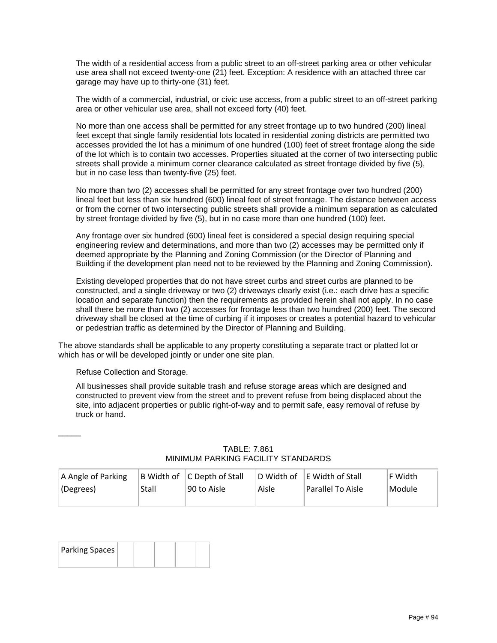The width of a residential access from a public street to an off-street parking area or other vehicular use area shall not exceed twenty-one (21) feet. Exception: A residence with an attached three car garage may have up to thirty-one (31) feet.

The width of a commercial, industrial, or civic use access, from a public street to an off-street parking area or other vehicular use area, shall not exceed forty (40) feet.

No more than one access shall be permitted for any street frontage up to two hundred (200) lineal feet except that single family residential lots located in residential zoning districts are permitted two accesses provided the lot has a minimum of one hundred (100) feet of street frontage along the side of the lot which is to contain two accesses. Properties situated at the corner of two intersecting public streets shall provide a minimum corner clearance calculated as street frontage divided by five (5), but in no case less than twenty-five (25) feet.

No more than two (2) accesses shall be permitted for any street frontage over two hundred (200) lineal feet but less than six hundred (600) lineal feet of street frontage. The distance between access or from the corner of two intersecting public streets shall provide a minimum separation as calculated by street frontage divided by five (5), but in no case more than one hundred (100) feet.

Any frontage over six hundred (600) lineal feet is considered a special design requiring special engineering review and determinations, and more than two (2) accesses may be permitted only if deemed appropriate by the Planning and Zoning Commission (or the Director of Planning and Building if the development plan need not to be reviewed by the Planning and Zoning Commission).

Existing developed properties that do not have street curbs and street curbs are planned to be constructed, and a single driveway or two (2) driveways clearly exist (i.e.: each drive has a specific location and separate function) then the requirements as provided herein shall not apply. In no case shall there be more than two (2) accesses for frontage less than two hundred (200) feet. The second driveway shall be closed at the time of curbing if it imposes or creates a potential hazard to vehicular or pedestrian traffic as determined by the Director of Planning and Building.

The above standards shall be applicable to any property constituting a separate tract or platted lot or which has or will be developed jointly or under one site plan.

Refuse Collection and Storage.

 $\overline{\phantom{a}}$ 

All businesses shall provide suitable trash and refuse storage areas which are designed and constructed to prevent view from the street and to prevent refuse from being displaced about the site, into adjacent properties or public right-of-way and to permit safe, easy removal of refuse by truck or hand.

| A Angle of Parking | ∣B Width of | C Depth of Stall | D Width of | E Width of Stall  | F Width |
|--------------------|-------------|------------------|------------|-------------------|---------|
| (Degrees)          | Stall       | 90 to Aisle      | Aisle      | Parallel To Aisle | Module  |
|                    |             |                  |            |                   |         |

| TABLE: 7.861                       |  |  |  |  |  |  |
|------------------------------------|--|--|--|--|--|--|
| MINIMUM PARKING FACILITY STANDARDS |  |  |  |  |  |  |

| Parking Spaces |  |  |  |
|----------------|--|--|--|
|                |  |  |  |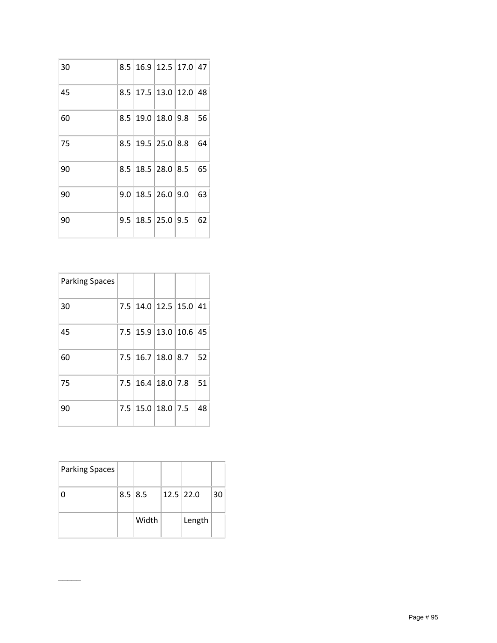| 30 |  | $8.5$ 16.9 12.5 17.0 47               |    |
|----|--|---------------------------------------|----|
| 45 |  | $8.5$   17.5   13.0   12.0            | 48 |
| 60 |  | $8.5$   19.0   18.0   9.8             | 56 |
| 75 |  | $8.5$   19.5   25.0   8.8             | 64 |
| 90 |  | $8.5 \, \, 18.5 \, \, 28.0 \, \, 8.5$ | 65 |
| 90 |  | $9.0$   18.5   26.0   9.0             | 63 |
| 90 |  | $9.5$   18.5   25.0   9.5             | 62 |

| <b>Parking Spaces</b> |  |                           |    |
|-----------------------|--|---------------------------|----|
| 30                    |  | 7.5 14.0 12.5 15.0 41     |    |
| 45                    |  | 7.5 15.9 13.0 10.6 45     |    |
| 60                    |  | 7.5 16.7 18.0 8.7         | 52 |
| 75                    |  | $7.5$   16.4   18.0   7.8 | 51 |
| 90                    |  | $7.5$   15.0   18.0   7.5 | 48 |

| Parking Spaces |         |       |             |        |    |
|----------------|---------|-------|-------------|--------|----|
|                | 8.5 8.5 |       | $12.5$ 22.0 |        | 30 |
|                |         | Width |             | Length |    |

 $\frac{1}{2}$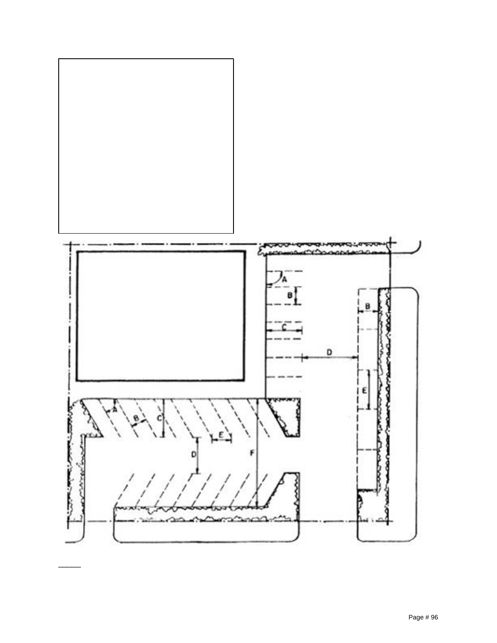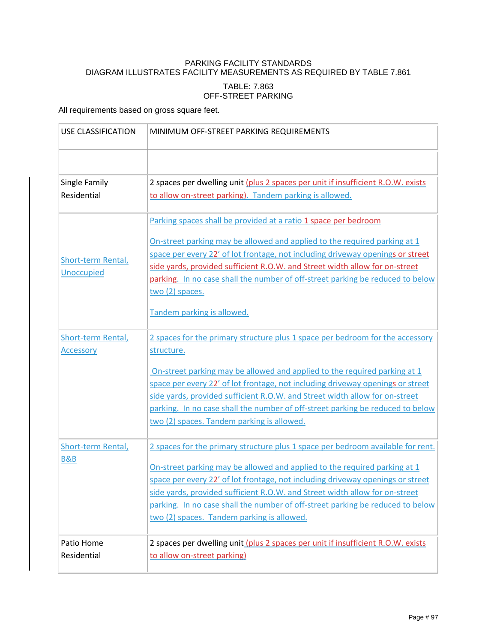## PARKING FACILITY STANDARDS DIAGRAM ILLUSTRATES FACILITY MEASUREMENTS AS REQUIRED BY TABLE 7.861

## TABLE: 7.863 OFF-STREET PARKING

All requirements based on gross square feet.

| USE CLASSIFICATION | MINIMUM OFF-STREET PARKING REQUIREMENTS                                          |
|--------------------|----------------------------------------------------------------------------------|
|                    |                                                                                  |
| Single Family      | 2 spaces per dwelling unit (plus 2 spaces per unit if insufficient R.O.W. exists |
| Residential        | to allow on-street parking). Tandem parking is allowed.                          |
|                    | Parking spaces shall be provided at a ratio 1 space per bedroom                  |
|                    | On-street parking may be allowed and applied to the required parking at 1        |
| Short-term Rental, | space per every 22' of lot frontage, not including driveway openings or street   |
| Unoccupied         | side yards, provided sufficient R.O.W. and Street width allow for on-street      |
|                    | parking. In no case shall the number of off-street parking be reduced to below   |
|                    | two (2) spaces.                                                                  |
|                    | Tandem parking is allowed.                                                       |
|                    |                                                                                  |
| Short-term Rental, | 2 spaces for the primary structure plus 1 space per bedroom for the accessory    |
| <b>Accessory</b>   | structure.                                                                       |
|                    | On-street parking may be allowed and applied to the required parking at 1        |
|                    | space per every 22' of lot frontage, not including driveway openings or street   |
|                    | side yards, provided sufficient R.O.W. and Street width allow for on-street      |
|                    | parking. In no case shall the number of off-street parking be reduced to below   |
|                    | two (2) spaces. Tandem parking is allowed.                                       |
| Short-term Rental, | 2 spaces for the primary structure plus 1 space per bedroom available for rent.  |
| <b>B&amp;B</b>     | On-street parking may be allowed and applied to the required parking at 1        |
|                    | space per every 22' of lot frontage, not including driveway openings or street   |
|                    | side yards, provided sufficient R.O.W. and Street width allow for on-street      |
|                    | parking. In no case shall the number of off-street parking be reduced to below   |
|                    | two (2) spaces. Tandem parking is allowed.                                       |
| Patio Home         | 2 spaces per dwelling unit (plus 2 spaces per unit if insufficient R.O.W. exists |
| Residential        | to allow on-street parking)                                                      |
|                    |                                                                                  |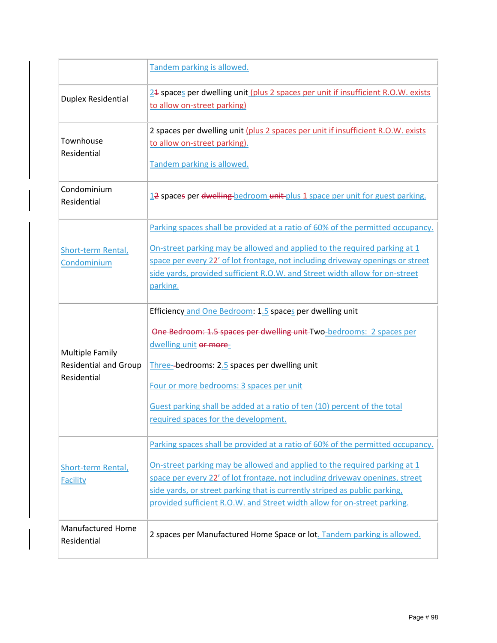|                                                                       | Tandem parking is allowed.                                                                                                                                                                                                                                                                                                                                                                            |  |
|-----------------------------------------------------------------------|-------------------------------------------------------------------------------------------------------------------------------------------------------------------------------------------------------------------------------------------------------------------------------------------------------------------------------------------------------------------------------------------------------|--|
| <b>Duplex Residential</b>                                             | 24 spaces per dwelling unit (plus 2 spaces per unit if insufficient R.O.W. exists<br>to allow on-street parking)                                                                                                                                                                                                                                                                                      |  |
| Townhouse<br>Residential                                              | 2 spaces per dwelling unit (plus 2 spaces per unit if insufficient R.O.W. exists<br>to allow on-street parking).<br>Tandem parking is allowed.                                                                                                                                                                                                                                                        |  |
| Condominium<br>Residential                                            | 12 spaces per dwelling bedroom unit plus 1 space per unit for guest parking.                                                                                                                                                                                                                                                                                                                          |  |
| Short-term Rental,<br>Condominium                                     | Parking spaces shall be provided at a ratio of 60% of the permitted occupancy.<br>On-street parking may be allowed and applied to the required parking at 1<br>space per every 22' of lot frontage, not including driveway openings or street<br>side yards, provided sufficient R.O.W. and Street width allow for on-street<br>parking.                                                              |  |
| <b>Multiple Family</b><br><b>Residential and Group</b><br>Residential | Efficiency and One Bedroom: 1.5 spaces per dwelling unit<br>One Bedroom: 1.5 spaces per dwelling unit-Two-bedrooms: 2 spaces per<br>dwelling unit or more-<br>Three-bedrooms: 2.5 spaces per dwelling unit<br>Four or more bedrooms: 3 spaces per unit<br>Guest parking shall be added at a ratio of ten (10) percent of the total<br>required spaces for the development.                            |  |
| Short-term Rental,<br><b>Facility</b>                                 | Parking spaces shall be provided at a ratio of 60% of the permitted occupancy.<br>On-street parking may be allowed and applied to the required parking at 1<br>space per every 22' of lot frontage, not including driveway openings, street<br>side yards, or street parking that is currently striped as public parking,<br>provided sufficient R.O.W. and Street width allow for on-street parking. |  |
| <b>Manufactured Home</b><br>Residential                               | 2 spaces per Manufactured Home Space or lot. Tandem parking is allowed.                                                                                                                                                                                                                                                                                                                               |  |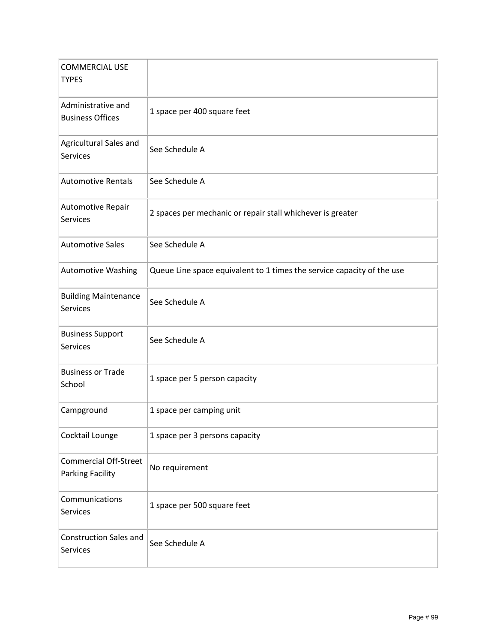| <b>COMMERCIAL USE</b><br><b>TYPES</b>                   |                                                                        |
|---------------------------------------------------------|------------------------------------------------------------------------|
| Administrative and<br><b>Business Offices</b>           | 1 space per 400 square feet                                            |
| Agricultural Sales and<br><b>Services</b>               | See Schedule A                                                         |
| <b>Automotive Rentals</b>                               | See Schedule A                                                         |
| Automotive Repair<br><b>Services</b>                    | 2 spaces per mechanic or repair stall whichever is greater             |
| <b>Automotive Sales</b>                                 | See Schedule A                                                         |
| <b>Automotive Washing</b>                               | Queue Line space equivalent to 1 times the service capacity of the use |
| <b>Building Maintenance</b><br><b>Services</b>          | See Schedule A                                                         |
| <b>Business Support</b><br><b>Services</b>              | See Schedule A                                                         |
| <b>Business or Trade</b><br>School                      | 1 space per 5 person capacity                                          |
| Campground                                              | 1 space per camping unit                                               |
| Cocktail Lounge                                         | 1 space per 3 persons capacity                                         |
| <b>Commercial Off-Street</b><br><b>Parking Facility</b> | No requirement                                                         |
| Communications<br><b>Services</b>                       | 1 space per 500 square feet                                            |
| <b>Construction Sales and</b><br><b>Services</b>        | See Schedule A                                                         |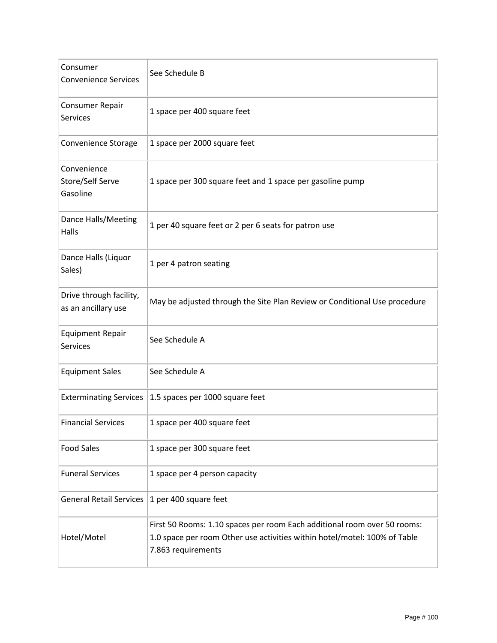| Consumer<br><b>Convenience Services</b>        | See Schedule B                                                                                                                                                              |
|------------------------------------------------|-----------------------------------------------------------------------------------------------------------------------------------------------------------------------------|
| Consumer Repair<br><b>Services</b>             | 1 space per 400 square feet                                                                                                                                                 |
| Convenience Storage                            | 1 space per 2000 square feet                                                                                                                                                |
| Convenience<br>Store/Self Serve<br>Gasoline    | 1 space per 300 square feet and 1 space per gasoline pump                                                                                                                   |
| Dance Halls/Meeting<br>Halls                   | 1 per 40 square feet or 2 per 6 seats for patron use                                                                                                                        |
| Dance Halls (Liquor<br>Sales)                  | 1 per 4 patron seating                                                                                                                                                      |
| Drive through facility,<br>as an ancillary use | May be adjusted through the Site Plan Review or Conditional Use procedure                                                                                                   |
| <b>Equipment Repair</b><br><b>Services</b>     | See Schedule A                                                                                                                                                              |
| <b>Equipment Sales</b>                         | See Schedule A                                                                                                                                                              |
| <b>Exterminating Services</b>                  | 1.5 spaces per 1000 square feet                                                                                                                                             |
| <b>Financial Services</b>                      | 1 space per 400 square feet                                                                                                                                                 |
| <b>Food Sales</b>                              | 1 space per 300 square feet                                                                                                                                                 |
| <b>Funeral Services</b>                        | 1 space per 4 person capacity                                                                                                                                               |
| <b>General Retail Services</b>                 | 1 per 400 square feet                                                                                                                                                       |
| Hotel/Motel                                    | First 50 Rooms: 1.10 spaces per room Each additional room over 50 rooms:<br>1.0 space per room Other use activities within hotel/motel: 100% of Table<br>7.863 requirements |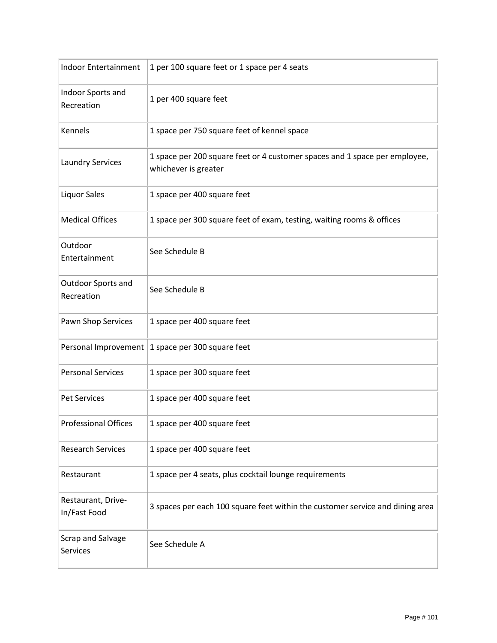| <b>Indoor Entertainment</b>          | 1 per 100 square feet or 1 space per 4 seats                                                       |  |
|--------------------------------------|----------------------------------------------------------------------------------------------------|--|
| Indoor Sports and<br>Recreation      | 1 per 400 square feet                                                                              |  |
| Kennels                              | 1 space per 750 square feet of kennel space                                                        |  |
| <b>Laundry Services</b>              | 1 space per 200 square feet or 4 customer spaces and 1 space per employee,<br>whichever is greater |  |
| <b>Liquor Sales</b>                  | 1 space per 400 square feet                                                                        |  |
| <b>Medical Offices</b>               | 1 space per 300 square feet of exam, testing, waiting rooms & offices                              |  |
| Outdoor<br>Entertainment             | See Schedule B                                                                                     |  |
| Outdoor Sports and<br>Recreation     | See Schedule B                                                                                     |  |
| Pawn Shop Services                   | 1 space per 400 square feet                                                                        |  |
|                                      | Personal Improvement 1 space per 300 square feet                                                   |  |
| <b>Personal Services</b>             | 1 space per 300 square feet                                                                        |  |
| Pet Services                         | 1 space per 400 square feet                                                                        |  |
| <b>Professional Offices</b>          | 1 space per 400 square feet                                                                        |  |
| <b>Research Services</b>             | 1 space per 400 square feet                                                                        |  |
| Restaurant                           | 1 space per 4 seats, plus cocktail lounge requirements                                             |  |
| Restaurant, Drive-<br>In/Fast Food   | 3 spaces per each 100 square feet within the customer service and dining area                      |  |
| Scrap and Salvage<br><b>Services</b> | See Schedule A                                                                                     |  |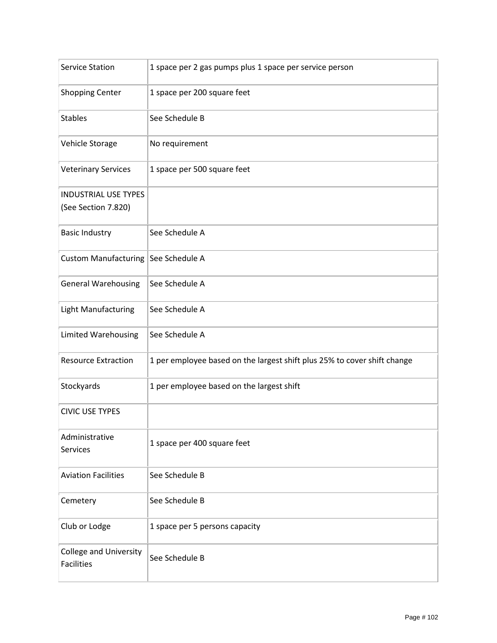| <b>Service Station</b>                             | 1 space per 2 gas pumps plus 1 space per service person                  |
|----------------------------------------------------|--------------------------------------------------------------------------|
| <b>Shopping Center</b>                             | 1 space per 200 square feet                                              |
| <b>Stables</b>                                     | See Schedule B                                                           |
| Vehicle Storage                                    | No requirement                                                           |
| <b>Veterinary Services</b>                         | 1 space per 500 square feet                                              |
| <b>INDUSTRIAL USE TYPES</b><br>(See Section 7.820) |                                                                          |
| <b>Basic Industry</b>                              | See Schedule A                                                           |
| Custom Manufacturing See Schedule A                |                                                                          |
| <b>General Warehousing</b>                         | See Schedule A                                                           |
| Light Manufacturing                                | See Schedule A                                                           |
| <b>Limited Warehousing</b>                         | See Schedule A                                                           |
| <b>Resource Extraction</b>                         | 1 per employee based on the largest shift plus 25% to cover shift change |
| Stockyards                                         | 1 per employee based on the largest shift                                |
| <b>CIVIC USE TYPES</b>                             |                                                                          |
| Administrative<br><b>Services</b>                  | 1 space per 400 square feet                                              |
| <b>Aviation Facilities</b>                         | See Schedule B                                                           |
| Cemetery                                           | See Schedule B                                                           |
| Club or Lodge                                      | 1 space per 5 persons capacity                                           |
| <b>College and University</b><br><b>Facilities</b> | See Schedule B                                                           |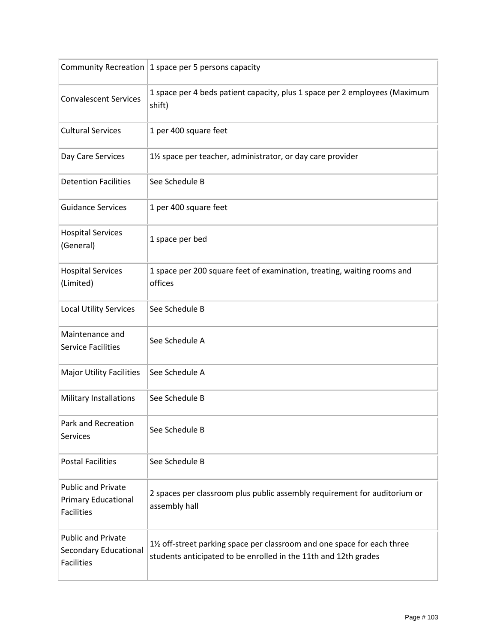|                                                                                | Community Recreation 1 space per 5 persons capacity                                                                                       |  |
|--------------------------------------------------------------------------------|-------------------------------------------------------------------------------------------------------------------------------------------|--|
| <b>Convalescent Services</b>                                                   | 1 space per 4 beds patient capacity, plus 1 space per 2 employees (Maximum<br>shift)                                                      |  |
| <b>Cultural Services</b>                                                       | 1 per 400 square feet                                                                                                                     |  |
| Day Care Services                                                              | 1½ space per teacher, administrator, or day care provider                                                                                 |  |
| <b>Detention Facilities</b>                                                    | See Schedule B                                                                                                                            |  |
| <b>Guidance Services</b>                                                       | 1 per 400 square feet                                                                                                                     |  |
| <b>Hospital Services</b><br>(General)                                          | 1 space per bed                                                                                                                           |  |
| <b>Hospital Services</b><br>(Limited)                                          | 1 space per 200 square feet of examination, treating, waiting rooms and<br>offices                                                        |  |
| <b>Local Utility Services</b>                                                  | See Schedule B                                                                                                                            |  |
| Maintenance and<br><b>Service Facilities</b>                                   | See Schedule A                                                                                                                            |  |
| <b>Major Utility Facilities</b>                                                | See Schedule A                                                                                                                            |  |
| Military Installations                                                         | See Schedule B                                                                                                                            |  |
| Park and Recreation<br><b>Services</b>                                         | See Schedule B                                                                                                                            |  |
| <b>Postal Facilities</b>                                                       | See Schedule B                                                                                                                            |  |
| <b>Public and Private</b><br><b>Primary Educational</b><br><b>Facilities</b>   | 2 spaces per classroom plus public assembly requirement for auditorium or<br>assembly hall                                                |  |
| <b>Public and Private</b><br><b>Secondary Educational</b><br><b>Facilities</b> | 1½ off-street parking space per classroom and one space for each three<br>students anticipated to be enrolled in the 11th and 12th grades |  |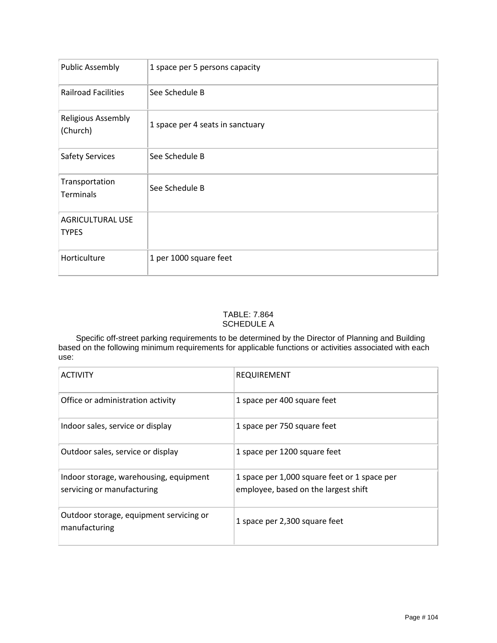| <b>Public Assembly</b>                  | 1 space per 5 persons capacity   |
|-----------------------------------------|----------------------------------|
| <b>Railroad Facilities</b>              | See Schedule B                   |
| <b>Religious Assembly</b><br>(Church)   | 1 space per 4 seats in sanctuary |
| <b>Safety Services</b>                  | See Schedule B                   |
| Transportation<br><b>Terminals</b>      | See Schedule B                   |
| <b>AGRICULTURAL USE</b><br><b>TYPES</b> |                                  |
| Horticulture                            | 1 per 1000 square feet           |

## TABLE: 7.864 SCHEDULE A

Specific off-street parking requirements to be determined by the Director of Planning and Building based on the following minimum requirements for applicable functions or activities associated with each use:

| <b>ACTIVITY</b>                                          | REQUIREMENT                                  |
|----------------------------------------------------------|----------------------------------------------|
| Office or administration activity                        | 1 space per 400 square feet                  |
| Indoor sales, service or display                         | 1 space per 750 square feet                  |
| Outdoor sales, service or display                        | 1 space per 1200 square feet                 |
| Indoor storage, warehousing, equipment                   | 1 space per 1,000 square feet or 1 space per |
| servicing or manufacturing                               | employee, based on the largest shift         |
| Outdoor storage, equipment servicing or<br>manufacturing | 1 space per 2,300 square feet                |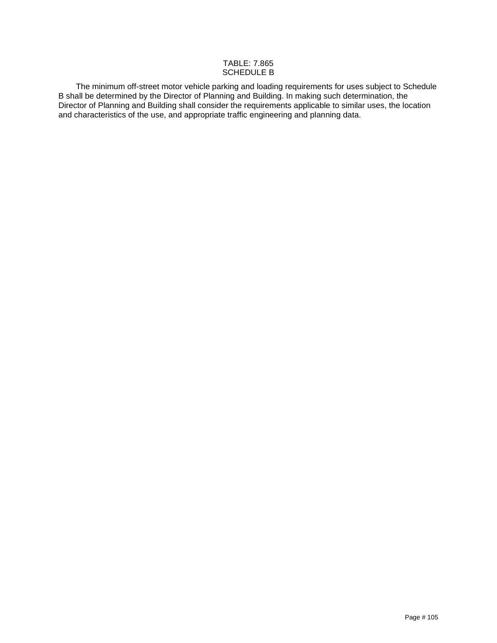## TABLE: 7.865 SCHEDULE B

The minimum off-street motor vehicle parking and loading requirements for uses subject to Schedule B shall be determined by the Director of Planning and Building. In making such determination, the Director of Planning and Building shall consider the requirements applicable to similar uses, the location and characteristics of the use, and appropriate traffic engineering and planning data.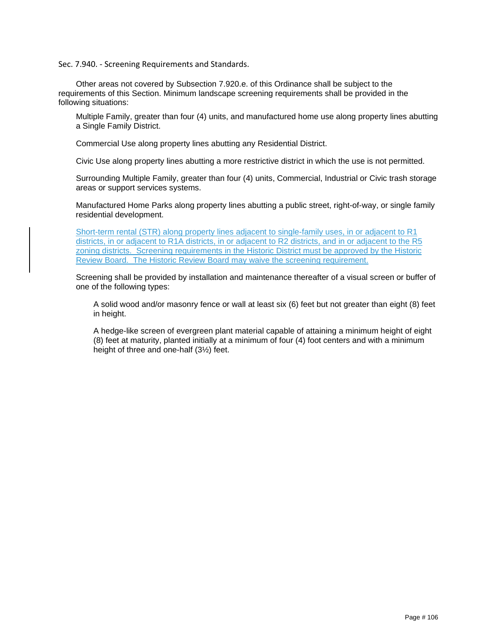Sec. 7.940. - Screening Requirements and Standards.

Other areas not covered by Subsection 7.920.e. of this Ordinance shall be subject to the requirements of this Section. Minimum landscape screening requirements shall be provided in the following situations:

Multiple Family, greater than four (4) units, and manufactured home use along property lines abutting a Single Family District.

Commercial Use along property lines abutting any Residential District.

Civic Use along property lines abutting a more restrictive district in which the use is not permitted.

Surrounding Multiple Family, greater than four (4) units, Commercial, Industrial or Civic trash storage areas or support services systems.

Manufactured Home Parks along property lines abutting a public street, right-of-way, or single family residential development.

Short-term rental (STR) along property lines adjacent to single-family uses, in or adjacent to R1 districts, in or adjacent to R1A districts, in or adjacent to R2 districts, and in or adjacent to the R5 zoning districts. Screening requirements in the Historic District must be approved by the Historic Review Board. The Historic Review Board may waive the screening requirement.

Screening shall be provided by installation and maintenance thereafter of a visual screen or buffer of one of the following types:

A solid wood and/or masonry fence or wall at least six (6) feet but not greater than eight (8) feet in height.

A hedge-like screen of evergreen plant material capable of attaining a minimum height of eight (8) feet at maturity, planted initially at a minimum of four (4) foot centers and with a minimum height of three and one-half (3½) feet.